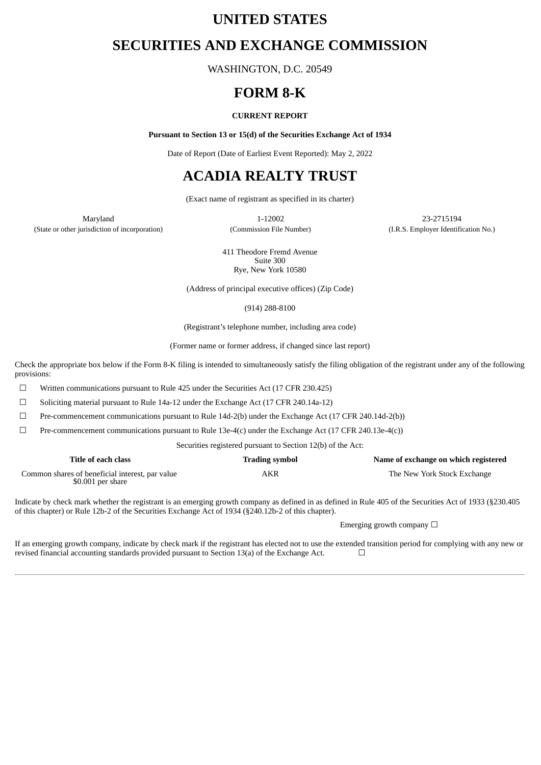# **UNITED STATES**

# **SECURITIES AND EXCHANGE COMMISSION**

WASHINGTON, D.C. 20549

# **FORM 8-K**

### **CURRENT REPORT**

**Pursuant to Section 13 or 15(d) of the Securities Exchange Act of 1934**

Date of Report (Date of Earliest Event Reported): May 2, 2022

# **ACADIA REALTY TRUST**

(Exact name of registrant as specified in its charter)

(State or other jurisdiction of incorporation) (Commission File Number) (I.R.S. Employer Identification No.)

Maryland 1-12002 23-2715194

411 Theodore Fremd Avenue Suite 300 Rye, New York 10580

(Address of principal executive offices) (Zip Code)

(914) 288-8100

(Registrant's telephone number, including area code)

(Former name or former address, if changed since last report)

Check the appropriate box below if the Form 8-K filing is intended to simultaneously satisfy the filing obligation of the registrant under any of the following provisions:

☐ Written communications pursuant to Rule 425 under the Securities Act (17 CFR 230.425)

☐ Soliciting material pursuant to Rule 14a-12 under the Exchange Act (17 CFR 240.14a-12)

 $\Box$  Pre-commencement communications pursuant to Rule 14d-2(b) under the Exchange Act (17 CFR 240.14d-2(b))

 $\Box$  Pre-commencement communications pursuant to Rule 13e-4(c) under the Exchange Act (17 CFR 240.13e-4(c))

Securities registered pursuant to Section 12(b) of the Act:

| Title of each class                                                   | <b>Trading symbol</b> | Name of exchange on which registered |
|-----------------------------------------------------------------------|-----------------------|--------------------------------------|
| Common shares of beneficial interest, par value<br>$$0.001$ per share | AKR                   | The New York Stock Exchange          |

Indicate by check mark whether the registrant is an emerging growth company as defined in as defined in Rule 405 of the Securities Act of 1933 (§230.405 of this chapter) or Rule 12b-2 of the Securities Exchange Act of 1934 (§240.12b-2 of this chapter).

Emerging growth company  $\Box$ 

If an emerging growth company, indicate by check mark if the registrant has elected not to use the extended transition period for complying with any new or revised financial accounting standards provided pursuant to Section 13(a) of the Exchange Act.  $□$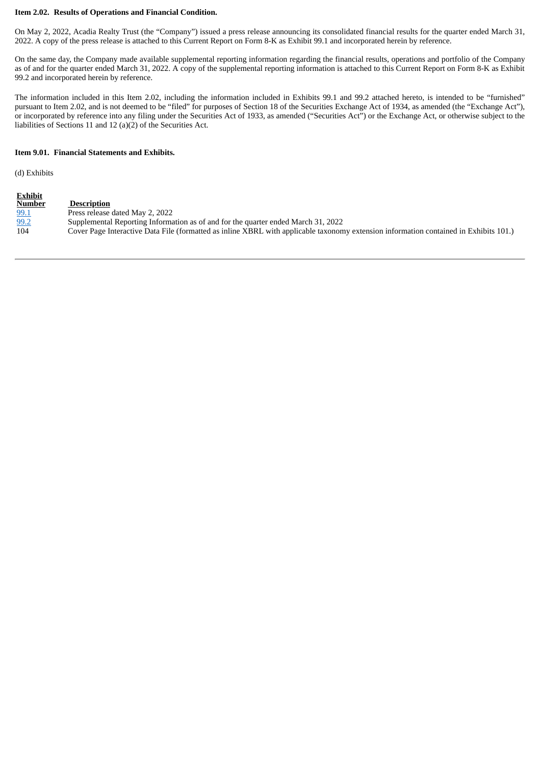#### **Item 2.02. Results of Operations and Financial Condition.**

On May 2, 2022, Acadia Realty Trust (the "Company") issued a press release announcing its consolidated financial results for the quarter ended March 31, 2022. A copy of the press release is attached to this Current Report on Form 8-K as Exhibit 99.1 and incorporated herein by reference.

On the same day, the Company made available supplemental reporting information regarding the financial results, operations and portfolio of the Company as of and for the quarter ended March 31, 2022. A copy of the supplemental reporting information is attached to this Current Report on Form 8-K as Exhibit 99.2 and incorporated herein by reference.

The information included in this Item 2.02, including the information included in Exhibits 99.1 and 99.2 attached hereto, is intended to be "furnished" pursuant to Item 2.02, and is not deemed to be "filed" for purposes of Section 18 of the Securities Exchange Act of 1934, as amended (the "Exchange Act"), or incorporated by reference into any filing under the Securities Act of 1933, as amended ("Securities Act") or the Exchange Act, or otherwise subject to the liabilities of Sections 11 and 12 (a)(2) of the Securities Act.

#### **Item 9.01. Financial Statements and Exhibits.**

(d) Exhibits

| <b>Exhibit</b> |                                                                                                                                       |
|----------------|---------------------------------------------------------------------------------------------------------------------------------------|
| <b>Number</b>  | <b>Description</b>                                                                                                                    |
| 99.1           | Press release dated May 2, 2022                                                                                                       |
| 99.2           | Supplemental Reporting Information as of and for the quarter ended March 31, 2022                                                     |
| 104            | Cover Page Interactive Data File (formatted as inline XBRL with applicable taxonomy extension information contained in Exhibits 101.) |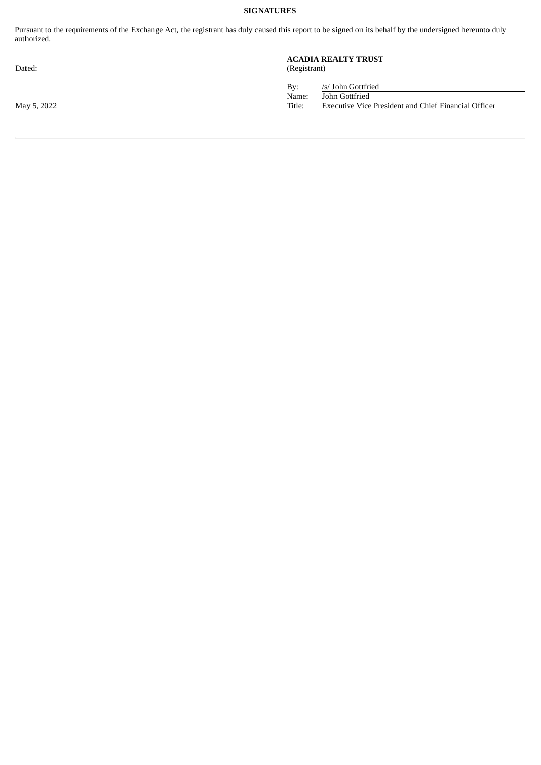# **SIGNATURES**

Pursuant to the requirements of the Exchange Act, the registrant has duly caused this report to be signed on its behalf by the undersigned hereunto duly authorized.

#### **ACADIA REALTY TRUST** Dated: (Registrant)

By: /s/ John Gottfried Name: John Gottfried May 5, 2022 Title: Executive Vice President and Chief Financial Officer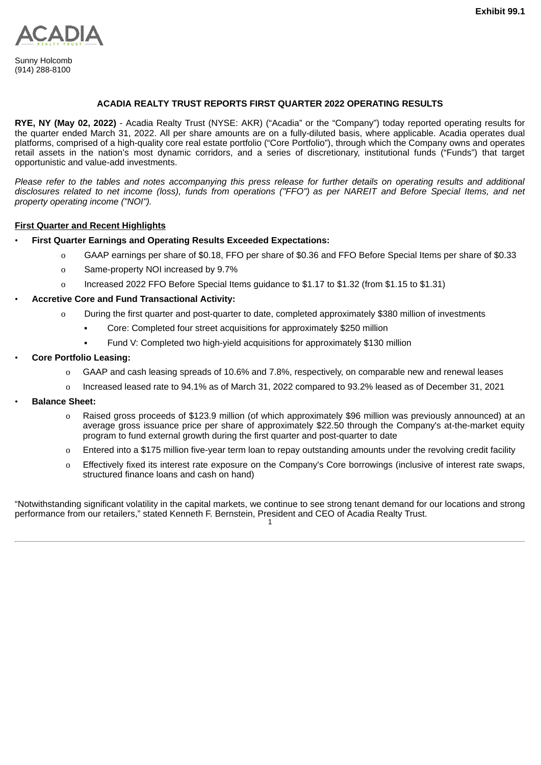<span id="page-3-0"></span>

Sunny Holcomb (914) 288-8100

# **ACADIA REALTY TRUST REPORTS FIRST QUARTER 2022 OPERATING RESULTS**

**RYE, NY (May 02, 2022)** - Acadia Realty Trust (NYSE: AKR) ("Acadia" or the "Company") today reported operating results for the quarter ended March 31, 2022. All per share amounts are on a fully-diluted basis, where applicable. Acadia operates dual platforms, comprised of a high-quality core real estate portfolio ("Core Portfolio"), through which the Company owns and operates retail assets in the nation's most dynamic corridors, and a series of discretionary, institutional funds ("Funds") that target opportunistic and value-add investments.

Please refer to the tables and notes accompanying this press release for further details on operating results and additional disclosures related to net income (loss), funds from operations ("FFO") as per NAREIT and Before Special Items, and net *property operating income ("NOI").*

# **First Quarter and Recent Highlights**

- **First Quarter Earnings and Operating Results Exceeded Expectations:**
	- o GAAP earnings per share of \$0.18, FFO per share of \$0.36 and FFO Before Special Items per share of \$0.33
	- o Same-property NOI increased by 9.7%
	- o Increased 2022 FFO Before Special Items guidance to \$1.17 to \$1.32 (from \$1.15 to \$1.31)

# • **Accretive Core and Fund Transactional Activity:**

- o During the first quarter and post-quarter to date, completed approximately \$380 million of investments
	- Core: Completed four street acquisitions for approximately \$250 million
	- Fund V: Completed two high-yield acquisitions for approximately \$130 million

# • **Core Portfolio Leasing:**

- o GAAP and cash leasing spreads of 10.6% and 7.8%, respectively, on comparable new and renewal leases
- o Increased leased rate to 94.1% as of March 31, 2022 compared to 93.2% leased as of December 31, 2021
- **Balance Sheet:**
	- o Raised gross proceeds of \$123.9 million (of which approximately \$96 million was previously announced) at an average gross issuance price per share of approximately \$22.50 through the Company's at-the-market equity program to fund external growth during the first quarter and post-quarter to date
	- o Entered into a \$175 million five-year term loan to repay outstanding amounts under the revolving credit facility
	- o Effectively fixed its interest rate exposure on the Company's Core borrowings (inclusive of interest rate swaps, structured finance loans and cash on hand)

"Notwithstanding significant volatility in the capital markets, we continue to see strong tenant demand for our locations and strong performance from our retailers," stated Kenneth F. Bernstein, President and CEO of Acadia Realty Trust. 1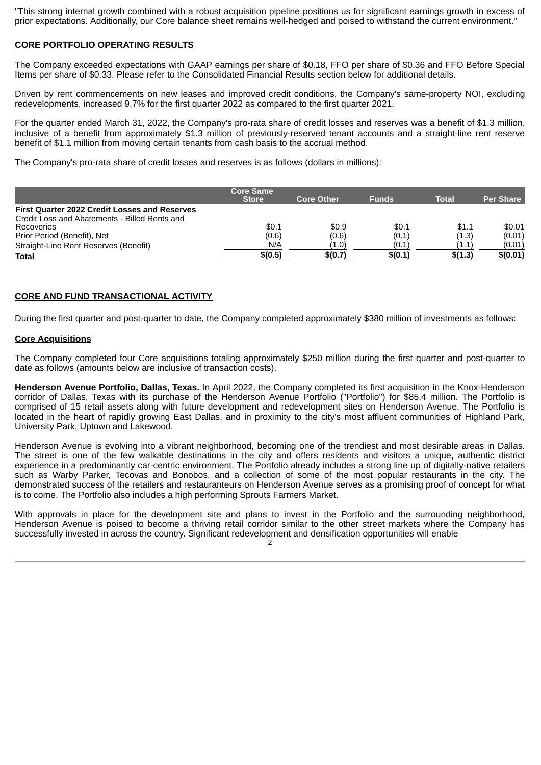"This strong internal growth combined with a robust acquisition pipeline positions us for significant earnings growth in excess of prior expectations. Additionally, our Core balance sheet remains well-hedged and poised to withstand the current environment."

# **CORE PORTFOLIO OPERATING RESULTS**

The Company exceeded expectations with GAAP earnings per share of \$0.18, FFO per share of \$0.36 and FFO Before Special Items per share of \$0.33. Please refer to the Consolidated Financial Results section below for additional details.

Driven by rent commencements on new leases and improved credit conditions, the Company's same-property NOI, excluding redevelopments, increased 9.7% for the first quarter 2022 as compared to the first quarter 2021.

For the quarter ended March 31, 2022, the Company's pro-rata share of credit losses and reserves was a benefit of \$1.3 million, inclusive of a benefit from approximately \$1.3 million of previously-reserved tenant accounts and a straight-line rent reserve benefit of \$1.1 million from moving certain tenants from cash basis to the accrual method.

The Company's pro-rata share of credit losses and reserves is as follows (dollars in millions):

|                                                      | <b>Core Same</b><br><b>Store</b> | <b>Core Other</b> | <b>Funds</b> | <b>Total</b> | <b>Per Share</b> |
|------------------------------------------------------|----------------------------------|-------------------|--------------|--------------|------------------|
| <b>First Quarter 2022 Credit Losses and Reserves</b> |                                  |                   |              |              |                  |
| Credit Loss and Abatements - Billed Rents and        |                                  |                   |              |              |                  |
| Recoveries                                           | \$0.1                            | \$0.9             | \$0.1        | \$1.1        | \$0.01           |
| Prior Period (Benefit), Net                          | (0.6)                            | (0.6)             | (0.1)        | (1.3)        | (0.01)           |
| Straight-Line Rent Reserves (Benefit)                | N/A                              | (1.0)             | (0.1)        | (1.1)        | (0.01)           |
| <b>Total</b>                                         | \$(0.5)                          | \$(0.7)           | \$(0.1)      | \$(1.3)      | \$(0.01)         |

### **CORE AND FUND TRANSACTIONAL ACTIVITY**

During the first quarter and post-quarter to date, the Company completed approximately \$380 million of investments as follows:

### **Core Acquisitions**

The Company completed four Core acquisitions totaling approximately \$250 million during the first quarter and post-quarter to date as follows (amounts below are inclusive of transaction costs).

**Henderson Avenue Portfolio, Dallas, Texas.** In April 2022, the Company completed its first acquisition in the Knox-Henderson corridor of Dallas, Texas with its purchase of the Henderson Avenue Portfolio ("Portfolio") for \$85.4 million. The Portfolio is comprised of 15 retail assets along with future development and redevelopment sites on Henderson Avenue. The Portfolio is located in the heart of rapidly growing East Dallas, and in proximity to the city's most affluent communities of Highland Park, University Park, Uptown and Lakewood.

Henderson Avenue is evolving into a vibrant neighborhood, becoming one of the trendiest and most desirable areas in Dallas. The street is one of the few walkable destinations in the city and offers residents and visitors a unique, authentic district experience in a predominantly car-centric environment. The Portfolio already includes a strong line up of digitally-native retailers such as Warby Parker, Tecovas and Bonobos, and a collection of some of the most popular restaurants in the city. The demonstrated success of the retailers and restauranteurs on Henderson Avenue serves as a promising proof of concept for what is to come. The Portfolio also includes a high performing Sprouts Farmers Market.

With approvals in place for the development site and plans to invest in the Portfolio and the surrounding neighborhood, Henderson Avenue is poised to become a thriving retail corridor similar to the other street markets where the Company has successfully invested in across the country. Significant redevelopment and densification opportunities will enable

<sup>่</sup>ว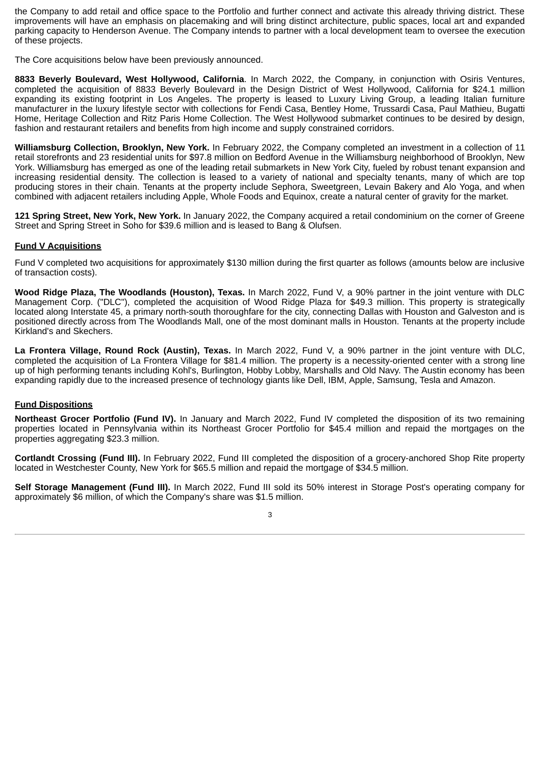the Company to add retail and office space to the Portfolio and further connect and activate this already thriving district. These improvements will have an emphasis on placemaking and will bring distinct architecture, public spaces, local art and expanded parking capacity to Henderson Avenue. The Company intends to partner with a local development team to oversee the execution of these projects.

The Core acquisitions below have been previously announced.

**8833 Beverly Boulevard, West Hollywood, California**. In March 2022, the Company, in conjunction with Osiris Ventures, completed the acquisition of 8833 Beverly Boulevard in the Design District of West Hollywood, California for \$24.1 million expanding its existing footprint in Los Angeles. The property is leased to Luxury Living Group, a leading Italian furniture manufacturer in the luxury lifestyle sector with collections for Fendi Casa, Bentley Home, Trussardi Casa, Paul Mathieu, Bugatti Home, Heritage Collection and Ritz Paris Home Collection. The West Hollywood submarket continues to be desired by design, fashion and restaurant retailers and benefits from high income and supply constrained corridors.

**Williamsburg Collection, Brooklyn, New York.** In February 2022, the Company completed an investment in a collection of 11 retail storefronts and 23 residential units for \$97.8 million on Bedford Avenue in the Williamsburg neighborhood of Brooklyn, New York. Williamsburg has emerged as one of the leading retail submarkets in New York City, fueled by robust tenant expansion and increasing residential density. The collection is leased to a variety of national and specialty tenants, many of which are top producing stores in their chain. Tenants at the property include Sephora, Sweetgreen, Levain Bakery and Alo Yoga, and when combined with adjacent retailers including Apple, Whole Foods and Equinox, create a natural center of gravity for the market.

**121 Spring Street, New York, New York.** In January 2022, the Company acquired a retail condominium on the corner of Greene Street and Spring Street in Soho for \$39.6 million and is leased to Bang & Olufsen.

# **Fund V Acquisitions**

Fund V completed two acquisitions for approximately \$130 million during the first quarter as follows (amounts below are inclusive of transaction costs).

**Wood Ridge Plaza, The Woodlands (Houston), Texas.** In March 2022, Fund V, a 90% partner in the joint venture with DLC Management Corp. ("DLC"), completed the acquisition of Wood Ridge Plaza for \$49.3 million. This property is strategically located along Interstate 45, a primary north-south thoroughfare for the city, connecting Dallas with Houston and Galveston and is positioned directly across from The Woodlands Mall, one of the most dominant malls in Houston. Tenants at the property include Kirkland's and Skechers.

**La Frontera Village, Round Rock (Austin), Texas.** In March 2022, Fund V, a 90% partner in the joint venture with DLC, completed the acquisition of La Frontera Village for \$81.4 million. The property is a necessity-oriented center with a strong line up of high performing tenants including Kohl's, Burlington, Hobby Lobby, Marshalls and Old Navy. The Austin economy has been expanding rapidly due to the increased presence of technology giants like Dell, IBM, Apple, Samsung, Tesla and Amazon.

# **Fund Dispositions**

**Northeast Grocer Portfolio (Fund IV).** In January and March 2022, Fund IV completed the disposition of its two remaining properties located in Pennsylvania within its Northeast Grocer Portfolio for \$45.4 million and repaid the mortgages on the properties aggregating \$23.3 million.

**Cortlandt Crossing (Fund III).** In February 2022, Fund III completed the disposition of a grocery-anchored Shop Rite property located in Westchester County, New York for \$65.5 million and repaid the mortgage of \$34.5 million.

**Self Storage Management (Fund III).** In March 2022, Fund III sold its 50% interest in Storage Post's operating company for approximately \$6 million, of which the Company's share was \$1.5 million.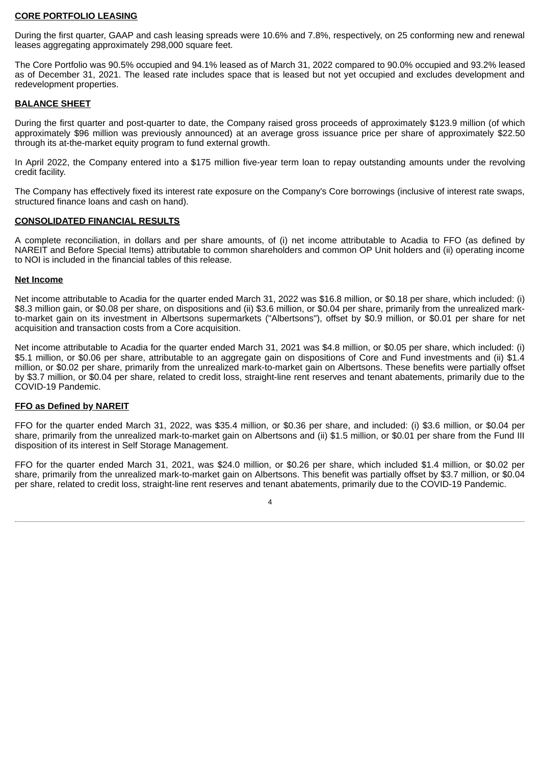#### **CORE PORTFOLIO LEASING**

During the first quarter, GAAP and cash leasing spreads were 10.6% and 7.8%, respectively, on 25 conforming new and renewal leases aggregating approximately 298,000 square feet.

The Core Portfolio was 90.5% occupied and 94.1% leased as of March 31, 2022 compared to 90.0% occupied and 93.2% leased as of December 31, 2021. The leased rate includes space that is leased but not yet occupied and excludes development and redevelopment properties.

# **BALANCE SHEET**

During the first quarter and post-quarter to date, the Company raised gross proceeds of approximately \$123.9 million (of which approximately \$96 million was previously announced) at an average gross issuance price per share of approximately \$22.50 through its at-the-market equity program to fund external growth.

In April 2022, the Company entered into a \$175 million five-year term loan to repay outstanding amounts under the revolving credit facility.

The Company has effectively fixed its interest rate exposure on the Company's Core borrowings (inclusive of interest rate swaps, structured finance loans and cash on hand).

# **CONSOLIDATED FINANCIAL RESULTS**

A complete reconciliation, in dollars and per share amounts, of (i) net income attributable to Acadia to FFO (as defined by NAREIT and Before Special Items) attributable to common shareholders and common OP Unit holders and (ii) operating income to NOI is included in the financial tables of this release.

### **Net Income**

Net income attributable to Acadia for the quarter ended March 31, 2022 was \$16.8 million, or \$0.18 per share, which included: (i) \$8.3 million gain, or \$0.08 per share, on dispositions and (ii) \$3.6 million, or \$0.04 per share, primarily from the unrealized markto-market gain on its investment in Albertsons supermarkets ("Albertsons"), offset by \$0.9 million, or \$0.01 per share for net acquisition and transaction costs from a Core acquisition.

Net income attributable to Acadia for the quarter ended March 31, 2021 was \$4.8 million, or \$0.05 per share, which included: (i) \$5.1 million, or \$0.06 per share, attributable to an aggregate gain on dispositions of Core and Fund investments and (ii) \$1.4 million, or \$0.02 per share, primarily from the unrealized mark-to-market gain on Albertsons. These benefits were partially offset by \$3.7 million, or \$0.04 per share, related to credit loss, straight-line rent reserves and tenant abatements, primarily due to the COVID-19 Pandemic.

# **FFO as Defined by NAREIT**

FFO for the quarter ended March 31, 2022, was \$35.4 million, or \$0.36 per share, and included: (i) \$3.6 million, or \$0.04 per share, primarily from the unrealized mark-to-market gain on Albertsons and (ii) \$1.5 million, or \$0.01 per share from the Fund III disposition of its interest in Self Storage Management.

FFO for the quarter ended March 31, 2021, was \$24.0 million, or \$0.26 per share, which included \$1.4 million, or \$0.02 per share, primarily from the unrealized mark-to-market gain on Albertsons. This benefit was partially offset by \$3.7 million, or \$0.04 per share, related to credit loss, straight-line rent reserves and tenant abatements, primarily due to the COVID-19 Pandemic.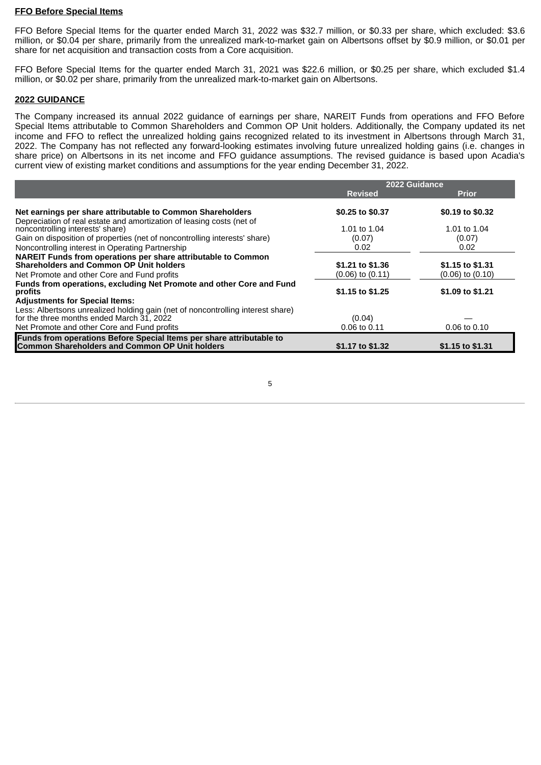### **FFO Before Special Items**

FFO Before Special Items for the quarter ended March 31, 2022 was \$32.7 million, or \$0.33 per share, which excluded: \$3.6 million, or \$0.04 per share, primarily from the unrealized mark-to-market gain on Albertsons offset by \$0.9 million, or \$0.01 per share for net acquisition and transaction costs from a Core acquisition.

FFO Before Special Items for the quarter ended March 31, 2021 was \$22.6 million, or \$0.25 per share, which excluded \$1.4 million, or \$0.02 per share, primarily from the unrealized mark-to-market gain on Albertsons.

# **2022 GUIDANCE**

The Company increased its annual 2022 guidance of earnings per share, NAREIT Funds from operations and FFO Before Special Items attributable to Common Shareholders and Common OP Unit holders. Additionally, the Company updated its net income and FFO to reflect the unrealized holding gains recognized related to its investment in Albertsons through March 31, 2022. The Company has not reflected any forward-looking estimates involving future unrealized holding gains (i.e. changes in share price) on Albertsons in its net income and FFO guidance assumptions. The revised guidance is based upon Acadia's current view of existing market conditions and assumptions for the year ending December 31, 2022.

|                                                                                                           | 2022 Guidance        |                      |  |
|-----------------------------------------------------------------------------------------------------------|----------------------|----------------------|--|
|                                                                                                           | <b>Revised</b>       | <b>Prior</b>         |  |
| Net earnings per share attributable to Common Shareholders                                                | \$0.25 to \$0.37     | \$0.19 to \$0.32     |  |
| Depreciation of real estate and amortization of leasing costs (net of<br>noncontrolling interests' share) | 1.01 to 1.04         | 1.01 to 1.04         |  |
| Gain on disposition of properties (net of noncontrolling interests' share)                                | (0.07)               | (0.07)               |  |
| Noncontrolling interest in Operating Partnership                                                          | 0.02                 | 0.02                 |  |
| <b>NAREIT Funds from operations per share attributable to Common</b>                                      |                      |                      |  |
| <b>Shareholders and Common OP Unit holders</b>                                                            | \$1.21 to \$1.36     | \$1.15 to \$1.31     |  |
| Net Promote and other Core and Fund profits                                                               | $(0.06)$ to $(0.11)$ | $(0.06)$ to $(0.10)$ |  |
| Funds from operations, excluding Net Promote and other Core and Fund<br>profits                           | \$1.15 to \$1.25     | \$1.09 to \$1.21     |  |
| <b>Adjustments for Special Items:</b>                                                                     |                      |                      |  |
| Less: Albertsons unrealized holding gain (net of noncontrolling interest share)                           |                      |                      |  |
| for the three months ended March $31$ , 2022                                                              | (0.04)               |                      |  |
| Net Promote and other Core and Fund profits                                                               | 0.06 to 0.11         | 0.06 to 0.10         |  |
| Funds from operations Before Special Items per share attributable to                                      |                      |                      |  |
| <b>Common Shareholders and Common OP Unit holders</b>                                                     | \$1.17 to \$1.32     | \$1.15 to \$1.31     |  |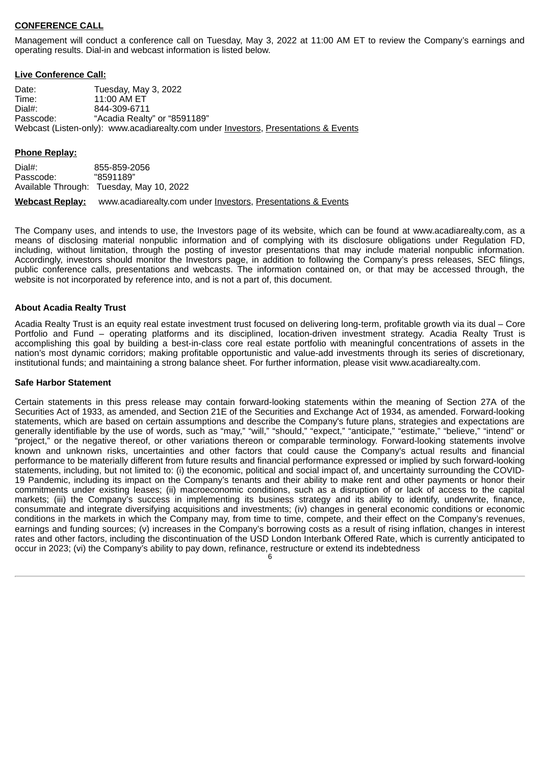# **CONFERENCE CALL**

Management will conduct a conference call on Tuesday, May 3, 2022 at 11:00 AM ET to review the Company's earnings and operating results. Dial-in and webcast information is listed below.

### **Live Conference Call:**

Date: Tuesday, May 3, 2022 Time: 11:00 AM ET Dial#: 844-309-6711 Passcode: "Acadia Realty" or "8591189" Webcast (Listen-only): www.acadiarealty.com under Investors, Presentations & Events

### **Phone Replay:**

Dial#: 855-859-2056<br>Passcode: "8591189" Passcode: Available Through: Tuesday, May 10, 2022 **Webcast Replay:** www.acadiarealty.com under Investors, Presentations & Events

The Company uses, and intends to use, the Investors page of its website, which can be found at www.acadiarealty.com, as a means of disclosing material nonpublic information and of complying with its disclosure obligations under Regulation FD, including, without limitation, through the posting of investor presentations that may include material nonpublic information. Accordingly, investors should monitor the Investors page, in addition to following the Company's press releases, SEC filings, public conference calls, presentations and webcasts. The information contained on, or that may be accessed through, the website is not incorporated by reference into, and is not a part of, this document.

### **About Acadia Realty Trust**

Acadia Realty Trust is an equity real estate investment trust focused on delivering long-term, profitable growth via its dual – Core Portfolio and Fund – operating platforms and its disciplined, location-driven investment strategy. Acadia Realty Trust is accomplishing this goal by building a best-in-class core real estate portfolio with meaningful concentrations of assets in the nation's most dynamic corridors; making profitable opportunistic and value-add investments through its series of discretionary, institutional funds; and maintaining a strong balance sheet. For further information, please visit www.acadiarealty.com.

#### **Safe Harbor Statement**

Certain statements in this press release may contain forward-looking statements within the meaning of Section 27A of the Securities Act of 1933, as amended, and Section 21E of the Securities and Exchange Act of 1934, as amended. Forward-looking statements, which are based on certain assumptions and describe the Company's future plans, strategies and expectations are generally identifiable by the use of words, such as "may," "will," "should," "expect," "anticipate," "estimate," "believe," "intend" or "project," or the negative thereof, or other variations thereon or comparable terminology. Forward-looking statements involve known and unknown risks, uncertainties and other factors that could cause the Company's actual results and financial performance to be materially different from future results and financial performance expressed or implied by such forward-looking statements, including, but not limited to: (i) the economic, political and social impact of, and uncertainty surrounding the COVID-19 Pandemic, including its impact on the Company's tenants and their ability to make rent and other payments or honor their commitments under existing leases; (ii) macroeconomic conditions, such as a disruption of or lack of access to the capital markets; (iii) the Company's success in implementing its business strategy and its ability to identify, underwrite, finance, consummate and integrate diversifying acquisitions and investments; (iv) changes in general economic conditions or economic conditions in the markets in which the Company may, from time to time, compete, and their effect on the Company's revenues, earnings and funding sources; (v) increases in the Company's borrowing costs as a result of rising inflation, changes in interest rates and other factors, including the discontinuation of the USD London Interbank Offered Rate, which is currently anticipated to occur in 2023; (vi) the Company's ability to pay down, refinance, restructure or extend its indebtedness

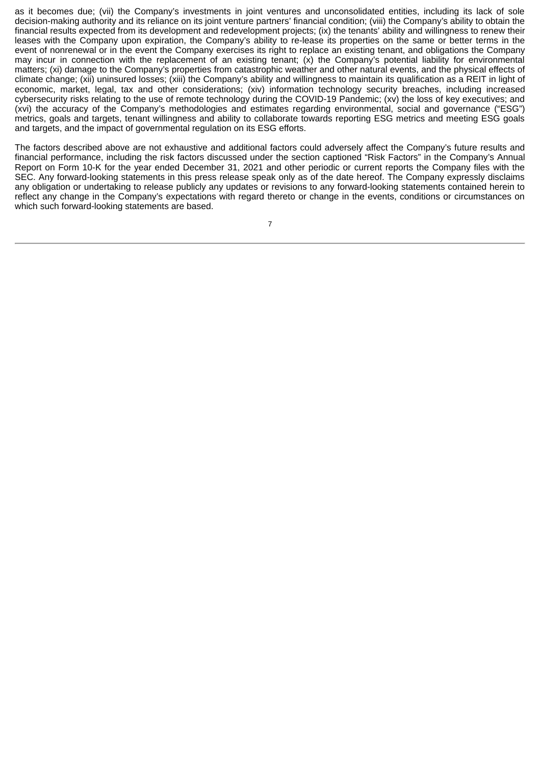as it becomes due; (vii) the Company's investments in joint ventures and unconsolidated entities, including its lack of sole decision-making authority and its reliance on its joint venture partners' financial condition; (viii) the Company's ability to obtain the financial results expected from its development and redevelopment projects; (ix) the tenants' ability and willingness to renew their leases with the Company upon expiration, the Company's ability to re-lease its properties on the same or better terms in the event of nonrenewal or in the event the Company exercises its right to replace an existing tenant, and obligations the Company may incur in connection with the replacement of an existing tenant;  $(x)$  the Company's potential liability for environmental matters; (xi) damage to the Company's properties from catastrophic weather and other natural events, and the physical effects of climate change; (xii) uninsured losses; (xiii) the Company's ability and willingness to maintain its qualification as a REIT in light of economic, market, legal, tax and other considerations; (xiv) information technology security breaches, including increased cybersecurity risks relating to the use of remote technology during the COVID-19 Pandemic; (xv) the loss of key executives; and (xvi) the accuracy of the Company's methodologies and estimates regarding environmental, social and governance ("ESG") metrics, goals and targets, tenant willingness and ability to collaborate towards reporting ESG metrics and meeting ESG goals and targets, and the impact of governmental regulation on its ESG efforts.

The factors described above are not exhaustive and additional factors could adversely affect the Company's future results and financial performance, including the risk factors discussed under the section captioned "Risk Factors" in the Company's Annual Report on Form 10-K for the year ended December 31, 2021 and other periodic or current reports the Company files with the SEC. Any forward-looking statements in this press release speak only as of the date hereof. The Company expressly disclaims any obligation or undertaking to release publicly any updates or revisions to any forward-looking statements contained herein to reflect any change in the Company's expectations with regard thereto or change in the events, conditions or circumstances on which such forward-looking statements are based.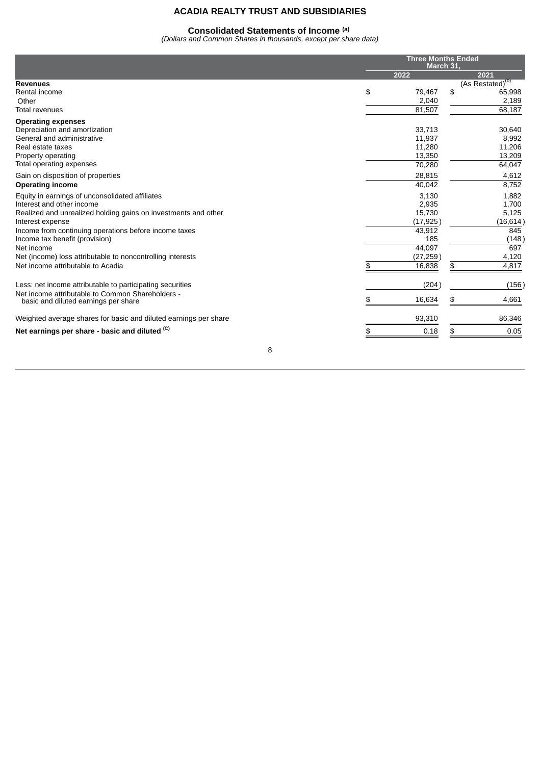#### **Consolidated Statements of Income (a)**

*(Dollars and Common Shares in thousands, except per share data)*

|                                                                                          |              | <b>Three Months Ended</b><br>March 31. |
|------------------------------------------------------------------------------------------|--------------|----------------------------------------|
|                                                                                          | 2022         | 2021                                   |
| <b>Revenues</b>                                                                          |              | (As Restated) <sup>(b)</sup>           |
| Rental income                                                                            | \$<br>79,467 | \$<br>65,998                           |
| Other                                                                                    | 2,040        | 2,189                                  |
| <b>Total revenues</b>                                                                    | 81,507       | 68,187                                 |
| <b>Operating expenses</b>                                                                |              |                                        |
| Depreciation and amortization                                                            | 33,713       | 30,640                                 |
| General and administrative                                                               | 11,937       | 8,992                                  |
| Real estate taxes                                                                        | 11,280       | 11,206                                 |
| Property operating                                                                       | 13,350       | 13,209                                 |
| Total operating expenses                                                                 | 70,280       | 64,047                                 |
| Gain on disposition of properties                                                        | 28,815       | 4,612                                  |
| <b>Operating income</b>                                                                  | 40,042       | 8,752                                  |
| Equity in earnings of unconsolidated affiliates                                          | 3,130        | 1,882                                  |
| Interest and other income                                                                | 2,935        | 1,700                                  |
| Realized and unrealized holding gains on investments and other                           | 15,730       | 5,125                                  |
| Interest expense                                                                         | (17, 925)    | (16, 614)                              |
| Income from continuing operations before income taxes                                    | 43,912       | 845                                    |
| Income tax benefit (provision)                                                           | 185          | (148)                                  |
| Net income                                                                               | 44,097       | 697                                    |
| Net (income) loss attributable to noncontrolling interests                               | (27, 259)    | 4,120                                  |
| Net income attributable to Acadia                                                        | 16,838       | \$<br>4,817                            |
| Less: net income attributable to participating securities                                | (204)        | (156)                                  |
| Net income attributable to Common Shareholders -<br>basic and diluted earnings per share | 16,634       | 4,661<br>\$                            |
|                                                                                          |              |                                        |
| Weighted average shares for basic and diluted earnings per share                         | 93,310       | 86,346                                 |
| Net earnings per share - basic and diluted <sup>(C)</sup>                                | 0.18         | 0.05<br>\$                             |
|                                                                                          |              |                                        |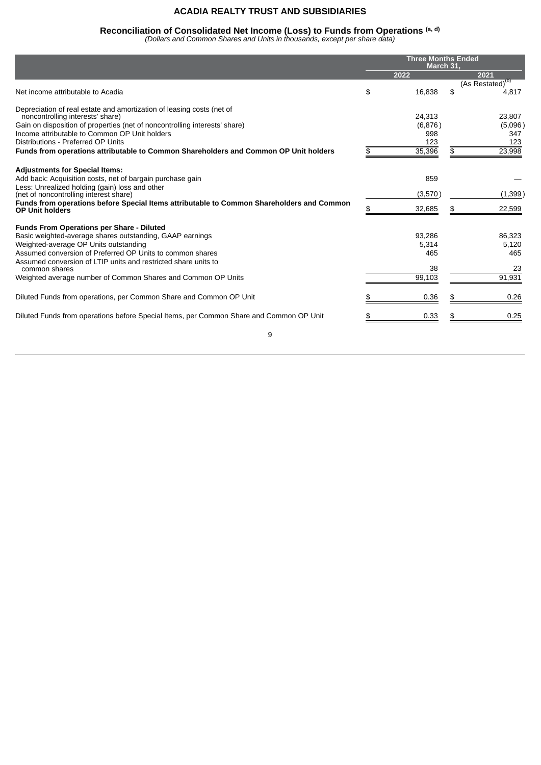# **Reconciliation of Consolidated Net Income (Loss) to Funds from Operations (a, d)**

*(Dollars and Common Shares and Units in thousands, except per share data)*

|                                                                                                                     | <b>Three Months Ended</b><br>March 31, |    |                              |  |
|---------------------------------------------------------------------------------------------------------------------|----------------------------------------|----|------------------------------|--|
|                                                                                                                     | 2022                                   |    | 2021                         |  |
|                                                                                                                     |                                        |    | (As Restated) <sup>(b)</sup> |  |
| Net income attributable to Acadia                                                                                   | \$<br>16,838                           | \$ | 4,817                        |  |
| Depreciation of real estate and amortization of leasing costs (net of                                               |                                        |    |                              |  |
| noncontrolling interests' share)                                                                                    | 24,313                                 |    | 23,807                       |  |
| Gain on disposition of properties (net of noncontrolling interests' share)                                          | (6,876)                                |    | (5,096)                      |  |
| Income attributable to Common OP Unit holders                                                                       | 998                                    |    | 347                          |  |
| Distributions - Preferred OP Units                                                                                  | 123                                    |    | 123                          |  |
| Funds from operations attributable to Common Shareholders and Common OP Unit holders                                | 35,396                                 | \$ | 23,998                       |  |
| <b>Adjustments for Special Items:</b>                                                                               |                                        |    |                              |  |
| Add back: Acquisition costs, net of bargain purchase gain                                                           | 859                                    |    |                              |  |
| Less: Unrealized holding (gain) loss and other                                                                      |                                        |    |                              |  |
| (net of noncontrolling interest share)                                                                              | (3,570)                                |    | (1, 399)                     |  |
| Funds from operations before Special Items attributable to Common Shareholders and Common<br><b>OP Unit holders</b> | 32,685                                 | \$ | 22,599                       |  |
| <b>Funds From Operations per Share - Diluted</b>                                                                    |                                        |    |                              |  |
| Basic weighted-average shares outstanding, GAAP earnings                                                            | 93,286                                 |    | 86,323                       |  |
| Weighted-average OP Units outstanding                                                                               | 5,314                                  |    | 5,120                        |  |
| Assumed conversion of Preferred OP Units to common shares                                                           | 465                                    |    | 465                          |  |
| Assumed conversion of LTIP units and restricted share units to<br>common shares                                     | 38                                     |    | 23                           |  |
|                                                                                                                     | 99.103                                 |    | 91,931                       |  |
| Weighted average number of Common Shares and Common OP Units                                                        |                                        |    |                              |  |
| Diluted Funds from operations, per Common Share and Common OP Unit                                                  | 0.36                                   |    | 0.26                         |  |
| Diluted Funds from operations before Special Items, per Common Share and Common OP Unit                             | 0.33                                   |    | 0.25                         |  |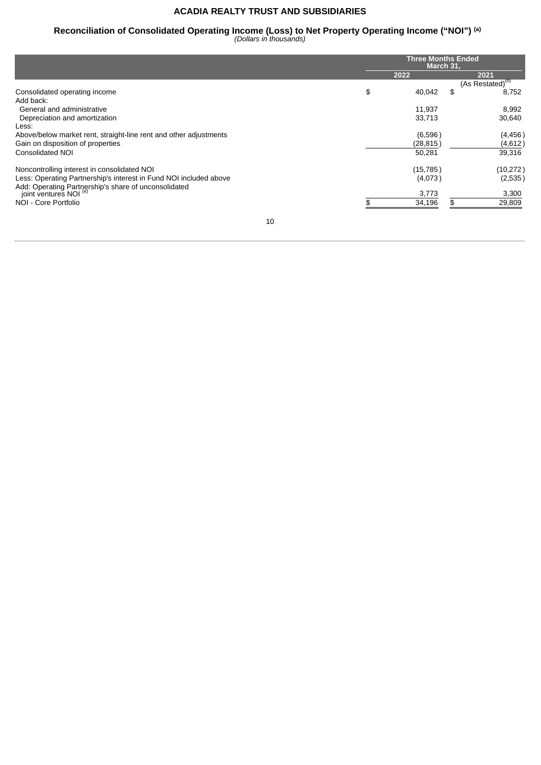# **Reconciliation of Consolidated Operating Income (Loss) to Net Property Operating Income ("NOI") (a)**

*(Dollars in thousands)*

|                                                                                           |      | <b>Three Months Ended</b><br>March 31, |                          |  |  |
|-------------------------------------------------------------------------------------------|------|----------------------------------------|--------------------------|--|--|
|                                                                                           | 2022 |                                        | 2021                     |  |  |
|                                                                                           |      |                                        | $(As$ Restated $)^{(D)}$ |  |  |
| Consolidated operating income                                                             | \$   | \$<br>40,042                           | 8,752                    |  |  |
| Add back:                                                                                 |      |                                        |                          |  |  |
| General and administrative                                                                |      | 11,937                                 | 8,992                    |  |  |
| Depreciation and amortization                                                             |      | 33,713                                 | 30,640                   |  |  |
| Less:                                                                                     |      |                                        |                          |  |  |
| Above/below market rent, straight-line rent and other adjustments                         |      | (6,596)                                | (4, 456)                 |  |  |
| Gain on disposition of properties                                                         |      | (28, 815)                              | (4,612)                  |  |  |
| <b>Consolidated NOI</b>                                                                   |      | 50,281                                 | 39,316                   |  |  |
| Noncontrolling interest in consolidated NOI                                               |      | (15, 785)                              | (10, 272)                |  |  |
| Less: Operating Partnership's interest in Fund NOI included above                         |      | (4,073)                                | (2,535)                  |  |  |
| Add: Operating Partnership's share of unconsolidated<br>joint ventures NOI <sup>(e)</sup> |      | 3,773                                  | 3,300                    |  |  |
| NOI - Core Portfolio                                                                      |      | 34,196<br>\$.                          | 29,809                   |  |  |
|                                                                                           |      |                                        |                          |  |  |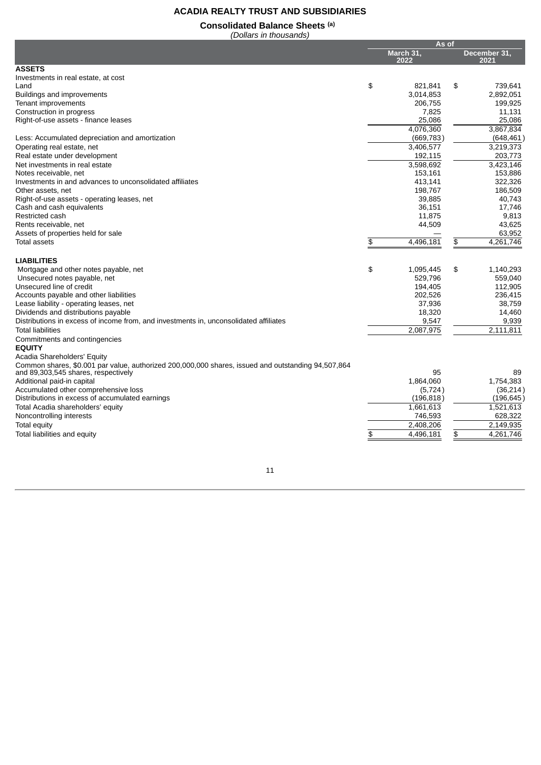# **Consolidated Balance Sheets (a)**

*(Dollars in thousands)*

|                                                                                                    | As of |                   |    |                      |
|----------------------------------------------------------------------------------------------------|-------|-------------------|----|----------------------|
|                                                                                                    |       | March 31,<br>2022 |    | December 31,<br>2021 |
| <b>ASSETS</b>                                                                                      |       |                   |    |                      |
| Investments in real estate, at cost                                                                |       |                   |    |                      |
| Land                                                                                               | \$    | 821,841           | \$ | 739,641              |
| Buildings and improvements                                                                         |       | 3.014.853         |    | 2.892.051            |
| Tenant improvements                                                                                |       | 206,755           |    | 199,925              |
| Construction in progress                                                                           |       | 7,825             |    | 11,131               |
| Right-of-use assets - finance leases                                                               |       | 25,086            |    | 25,086               |
|                                                                                                    |       | 4,076,360         |    | 3,867,834            |
| Less: Accumulated depreciation and amortization                                                    |       | (669, 783)        |    | (648, 461)           |
| Operating real estate, net                                                                         |       | 3,406,577         |    | 3,219,373            |
| Real estate under development                                                                      |       | 192,115           |    | 203,773              |
| Net investments in real estate                                                                     |       | 3,598,692         |    | 3,423,146            |
| Notes receivable, net                                                                              |       | 153,161           |    | 153,886              |
| Investments in and advances to unconsolidated affiliates                                           |       | 413,141           |    | 322,326              |
| Other assets, net                                                                                  |       | 198,767           |    | 186,509              |
| Right-of-use assets - operating leases, net                                                        |       | 39,885            |    | 40,743               |
| Cash and cash equivalents                                                                          |       | 36,151            |    | 17.746               |
| Restricted cash                                                                                    |       | 11,875            |    | 9,813                |
| Rents receivable, net                                                                              |       | 44,509            |    | 43,625               |
| Assets of properties held for sale                                                                 |       |                   |    | 63,952               |
| <b>Total assets</b>                                                                                | \$    | 4,496,181         | \$ | 4,261,746            |
| <b>LIABILITIES</b>                                                                                 |       |                   |    |                      |
| Mortgage and other notes payable, net                                                              | \$    | 1,095,445         | \$ | 1,140,293            |
| Unsecured notes payable, net                                                                       |       | 529,796           |    | 559,040              |
| Unsecured line of credit                                                                           |       | 194,405           |    | 112,905              |
| Accounts payable and other liabilities                                                             |       | 202,526           |    | 236,415              |
| Lease liability - operating leases, net                                                            |       | 37,936            |    | 38,759               |
| Dividends and distributions payable                                                                |       | 18,320            |    | 14,460               |
| Distributions in excess of income from, and investments in, unconsolidated affiliates              |       | 9,547             |    | 9,939                |
| <b>Total liabilities</b>                                                                           |       | 2,087,975         |    | 2,111,811            |
| Commitments and contingencies                                                                      |       |                   |    |                      |
| <b>EQUITY</b>                                                                                      |       |                   |    |                      |
| Acadia Shareholders' Equity                                                                        |       |                   |    |                      |
| Common shares, \$0.001 par value, authorized 200,000,000 shares, issued and outstanding 94,507,864 |       |                   |    |                      |
| and 89,303,545 shares, respectively                                                                |       | 95                |    | 89                   |
| Additional paid-in capital                                                                         |       | 1,864,060         |    | 1,754,383            |
| Accumulated other comprehensive loss                                                               |       | (5, 724)          |    | (36, 214)            |
| Distributions in excess of accumulated earnings                                                    |       | (196, 818)        |    | (196, 645)           |
| Total Acadia shareholders' equity                                                                  |       | 1,661,613         |    | 1,521,613            |
| Noncontrolling interests                                                                           |       | 746,593           |    | 628,322              |
| <b>Total equity</b>                                                                                |       | 2,408,206         |    | 2,149,935            |
| Total liabilities and equity                                                                       | \$    | 4.496.181         | \$ | 4,261,746            |
|                                                                                                    |       |                   |    |                      |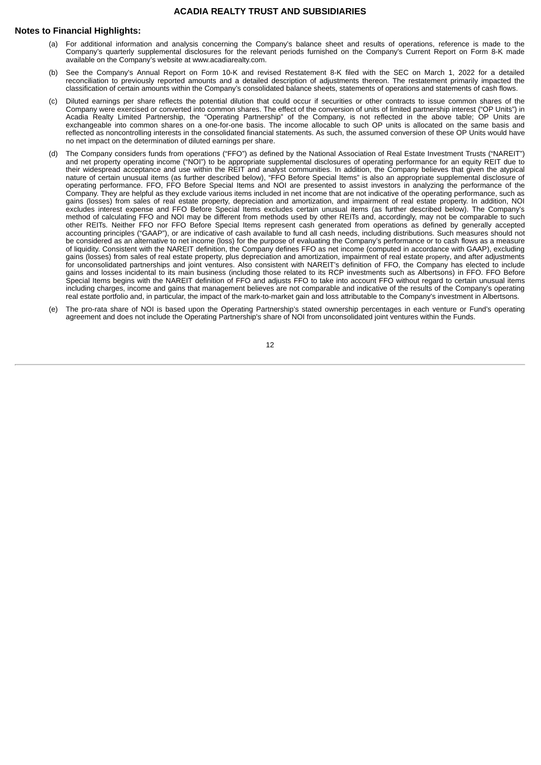#### **Notes to Financial Highlights:**

- (a) For additional information and analysis concerning the Company's balance sheet and results of operations, reference is made to the Company's quarterly supplemental disclosures for the relevant periods furnished on the Company's Current Report on Form 8-K made available on the Company's website at www.acadiarealty.com.
- (b) See the Company's Annual Report on Form 10-K and revised Restatement 8-K filed with the SEC on March 1, 2022 for a detailed reconciliation to previously reported amounts and a detailed description of adjustments thereon. The restatement primarily impacted the classification of certain amounts within the Company's consolidated balance sheets, statements of operations and statements of cash flows.
- (c) Diluted earnings per share reflects the potential dilution that could occur if securities or other contracts to issue common shares of the Company were exercised or converted into common shares. The effect of the conversion of units of limited partnership interest ("OP Units") in Acadia Realty Limited Partnership, the "Operating Partnership" of the Company, is not reflected in the above table; OP Units are exchangeable into common shares on a one-for-one basis. The income allocable to such OP units is allocated on the same basis and reflected as noncontrolling interests in the consolidated financial statements. As such, the assumed conversion of these OP Units would have no net impact on the determination of diluted earnings per share.
- (d) The Company considers funds from operations ("FFO") as defined by the National Association of Real Estate Investment Trusts ("NAREIT") and net property operating income ("NOI") to be appropriate supplemental disclosures of operating performance for an equity REIT due to their widespread acceptance and use within the REIT and analyst communities. In addition, the Company believes that given the atypical nature of certain unusual items (as further described below), "FFO Before Special Items" is also an appropriate supplemental disclosure of operating performance. FFO, FFO Before Special Items and NOI are presented to assist investors in analyzing the performance of the Company. They are helpful as they exclude various items included in net income that are not indicative of the operating performance, such as gains (losses) from sales of real estate property, depreciation and amortization, and impairment of real estate property. In addition, NOI excludes interest expense and FFO Before Special Items excludes certain unusual items (as further described below). The Company's method of calculating FFO and NOI may be different from methods used by other REITs and, accordingly, may not be comparable to such other REITs. Neither FFO nor FFO Before Special Items represent cash generated from operations as defined by generally accepted accounting principles ("GAAP"), or are indicative of cash available to fund all cash needs, including distributions. Such measures should not be considered as an alternative to net income (loss) for the purpose of evaluating the Company's performance or to cash flows as a measure of liquidity. Consistent with the NAREIT definition, the Company defines FFO as net income (computed in accordance with GAAP), excluding gains (losses) from sales of real estate property, plus depreciation and amortization, impairment of real estate property, and after adjustments for unconsolidated partnerships and joint ventures. Also consistent with NAREIT's definition of FFO, the Company has elected to include gains and losses incidental to its main business (including those related to its RCP investments such as Albertsons) in FFO. FFO Before Special Items begins with the NAREIT definition of FFO and adjusts FFO to take into account FFO without regard to certain unusual items including charges, income and gains that management believes are not comparable and indicative of the results of the Company's operating real estate portfolio and, in particular, the impact of the mark-to-market gain and loss attributable to the Company's investment in Albertsons.
- (e) The pro-rata share of NOI is based upon the Operating Partnership's stated ownership percentages in each venture or Fund's operating agreement and does not include the Operating Partnership's share of NOI from unconsolidated joint ventures within the Funds.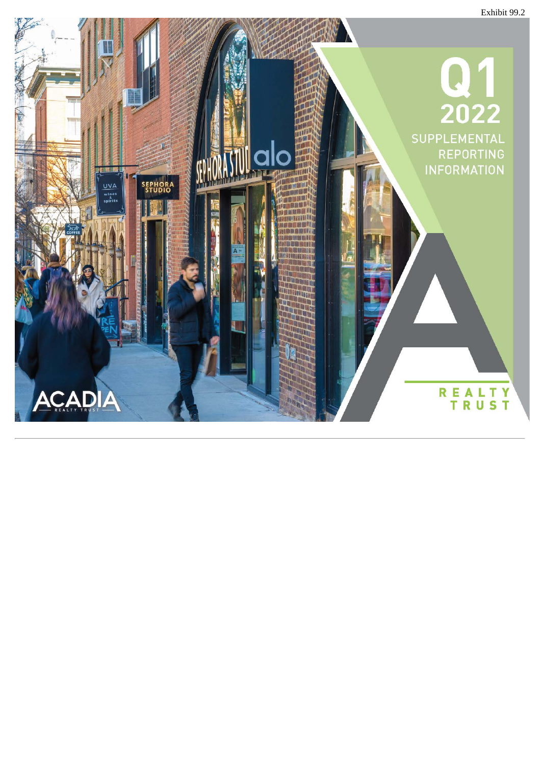<span id="page-15-0"></span>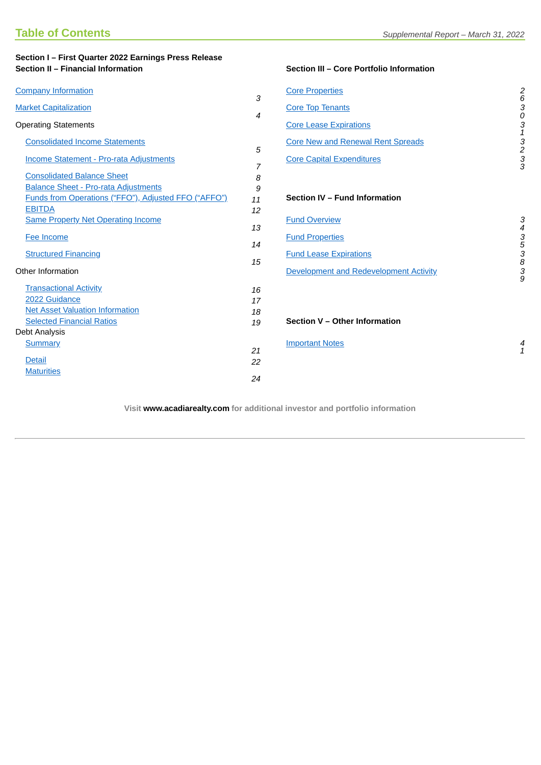| Section I - First Quarter 2022 Earnings Press Release<br>Section II - Financial Information |                | Section III - Core Portfolio Information |                                 |
|---------------------------------------------------------------------------------------------|----------------|------------------------------------------|---------------------------------|
| <b>Company Information</b>                                                                  | 3              | <b>Core Properties</b>                   | $\frac{2}{6}$                   |
| <b>Market Capitalization</b>                                                                | 4              | <b>Core Top Tenants</b>                  | $\stackrel{3}{\scriptstyle{0}}$ |
| <b>Operating Statements</b>                                                                 |                | <b>Core Lease Expirations</b>            |                                 |
| <b>Consolidated Income Statements</b>                                                       | 5              | <b>Core New and Renewal Rent Spreads</b> |                                 |
| Income Statement - Pro-rata Adjustments                                                     | $\overline{7}$ | <b>Core Capital Expenditures</b>         | 313233                          |
| <b>Consolidated Balance Sheet</b>                                                           | 8              |                                          |                                 |
| <b>Balance Sheet - Pro-rata Adjustments</b>                                                 | 9              |                                          |                                 |
| Funds from Operations ("FFO"), Adjusted FFO ("AFFO")                                        | 11             | Section IV - Fund Information            |                                 |
| <b>EBITDA</b>                                                                               | 12             |                                          |                                 |
| <b>Same Property Net Operating Income</b>                                                   | 13             | <b>Fund Overview</b>                     | 3                               |
| Fee Income                                                                                  | 14             | <b>Fund Properties</b>                   |                                 |
| <b>Structured Financing</b>                                                                 | 15             | <b>Fund Lease Expirations</b>            |                                 |
| Other Information                                                                           |                | Development and Redevelopment Activity   | 4353839                         |
| <b>Transactional Activity</b>                                                               | 16             |                                          |                                 |
| 2022 Guidance                                                                               | 17             |                                          |                                 |
| <b>Net Asset Valuation Information</b>                                                      | 18             |                                          |                                 |
| <b>Selected Financial Ratios</b>                                                            | 19             | Section V - Other Information            |                                 |
| Debt Analysis                                                                               |                |                                          |                                 |
| <b>Summary</b>                                                                              | 21             | <b>Important Notes</b>                   | 4<br>$\mathbf{1}$               |
| <b>Detail</b>                                                                               | 22             |                                          |                                 |
| <b>Maturities</b>                                                                           | 24             |                                          |                                 |
|                                                                                             |                |                                          |                                 |

**Visit www.acadiarealty.com for additional investor and portfolio information**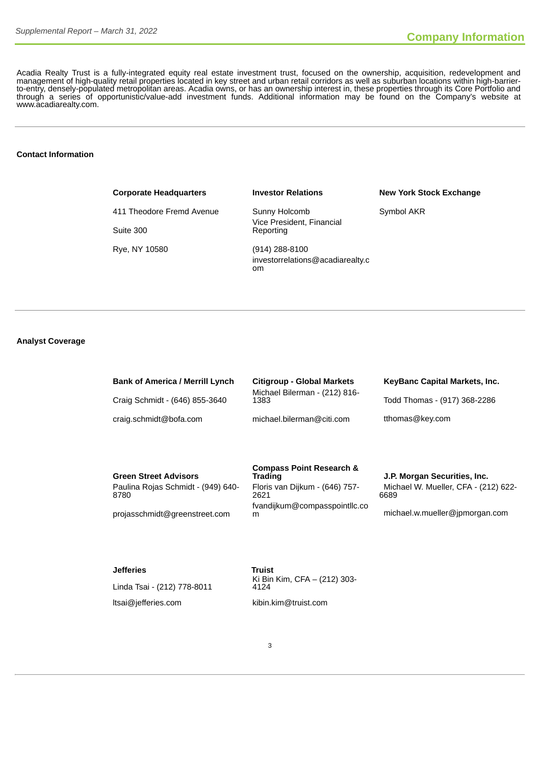Acadia Realty Trust is a fully-integrated equity real estate investment trust, focused on the ownership, acquisition, redevelopment and management of high-quality retail properties located in key street and urban retail corridors as well as suburban locations within high-barrierto-entry, densely-populated metropolitan areas. Acadia owns, or has an ownership interest in, these properties through its Core Portfolio and through a series of opportunistic/value-add investment funds. Additional information may be found on the Company's website at www.acadiarealty.com.

#### **Contact Information**

# **Corporate Headquarters Investor Relations New York Stock Exchange**

411 Theodore Fremd Avenue Sunny Holcomb Symbol AKR Suite 300 Rye, NY 10580 (914) 288-8100

<span id="page-17-0"></span>Vice President, Financial Reporting

investorrelations@acadiarealty.c om

#### **Analyst Coverage**

| <b>Bank of America / Merrill Lynch</b> | <b>Citigroup - Global Markets</b>     | KeyBanc Capital Markets, Inc. |
|----------------------------------------|---------------------------------------|-------------------------------|
| Craig Schmidt - (646) 855-3640         | Michael Bilerman - (212) 816-<br>1383 | Todd Thomas - (917) 368-2286  |
| craig.schmidt@bofa.com                 | michael.bilerman@citi.com             | tthomas@key.com               |
|                                        |                                       |                               |

**Green Street Advisors** Paulina Rojas Schmidt - (949) 640- 8780

projasschmidt@greenstreet.com

# **Compass Point Research &** Floris van Dijkum - (646) 757- 2621 fvandijkum@compasspointllc.co

#### **Trading J.P. Morgan Securities, Inc.** Michael W. Mueller, CFA - (212) 622- 6689

m michael.w.mueller@jpmorgan.com

#### **Jefferies Truist**

Linda Tsai - (212) 778-8011 ltsai@jefferies.com kibin.kim@truist.com

Ki Bin Kim, CFA – (212) 303- 4124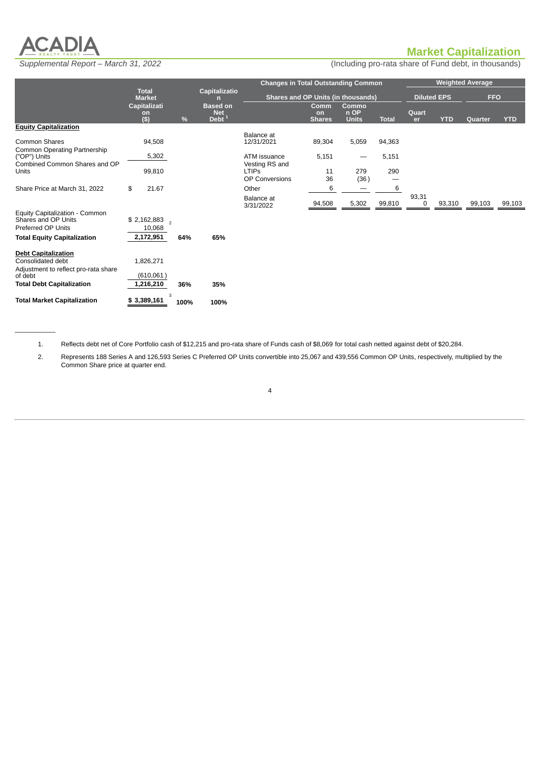

 $\overline{\phantom{a}}$ 

# <span id="page-18-0"></span>**Market Capitalization**

*Supplemental Report – March 31, 2022* (Including pro-rata share of Fund debt, in thousands)

|                                                                                         |                                     |      |                                                               | <b>Changes in Total Outstanding Common</b>       |                                           |                               |              |             |                    | <b>Weighted Average</b> |            |
|-----------------------------------------------------------------------------------------|-------------------------------------|------|---------------------------------------------------------------|--------------------------------------------------|-------------------------------------------|-------------------------------|--------------|-------------|--------------------|-------------------------|------------|
|                                                                                         | <b>Total</b><br><b>Market</b>       |      | Capitalizatio<br>n                                            | <b>Shares and OP Units (in thousands)</b>        |                                           |                               |              |             | <b>Diluted EPS</b> | <b>FFO</b>              |            |
|                                                                                         | Capitalizati<br>on<br>$($ \$)       | %    | <b>Based on</b><br><b>Net</b><br>$\overline{\mathsf{Debt}}^1$ |                                                  | <b>Comm</b><br><b>on</b><br><b>Shares</b> | Commo<br>n OP<br><b>Units</b> | <b>Total</b> | Quart<br>er | <b>YTD</b>         | <b>Quarter</b>          | <b>YTD</b> |
| <b>Equity Capitalization</b>                                                            |                                     |      |                                                               |                                                  |                                           |                               |              |             |                    |                         |            |
| <b>Common Shares</b>                                                                    | 94,508                              |      |                                                               | Balance at<br>12/31/2021                         | 89,304                                    | 5,059                         | 94,363       |             |                    |                         |            |
| Common Operating Partnership<br>("OP") Units                                            | 5,302                               |      |                                                               | ATM issuance                                     | 5,151                                     |                               | 5,151        |             |                    |                         |            |
| Combined Common Shares and OP<br>Units                                                  | 99,810                              |      |                                                               | Vesting RS and<br><b>LTIPS</b><br>OP Conversions | 11<br>36                                  | 279<br>(36)                   | 290          |             |                    |                         |            |
| Share Price at March 31, 2022                                                           | \$<br>21.67                         |      |                                                               | Other                                            | 6                                         |                               | 6            |             |                    |                         |            |
|                                                                                         |                                     |      |                                                               | Balance at<br>3/31/2022                          | 94,508                                    | 5,302                         | 99,810       | 93,31<br>0  | 93,310             | 99,103                  | 99,103     |
| Equity Capitalization - Common<br>Shares and OP Units<br>Preferred OP Units             | $$2,162,883$ <sub>2</sub><br>10,068 |      |                                                               |                                                  |                                           |                               |              |             |                    |                         |            |
| <b>Total Equity Capitalization</b>                                                      | 2,172,951                           | 64%  | 65%                                                           |                                                  |                                           |                               |              |             |                    |                         |            |
| <b>Debt Capitalization</b><br>Consolidated debt<br>Adjustment to reflect pro-rata share | 1,826,271                           |      |                                                               |                                                  |                                           |                               |              |             |                    |                         |            |
| of debt<br><b>Total Debt Capitalization</b>                                             | (610,061)<br>1,216,210              | 36%  | 35%                                                           |                                                  |                                           |                               |              |             |                    |                         |            |
| <b>Total Market Capitalization</b>                                                      | 3<br>\$3,389,161                    | 100% | 100%                                                          |                                                  |                                           |                               |              |             |                    |                         |            |

1. Reflects debt net of Core Portfolio cash of \$12,215 and pro-rata share of Funds cash of \$8,069 for total cash netted against debt of \$20,284.

2. Represents 188 Series A and 126,593 Series C Preferred OP Units convertible into 25,067 and 439,556 Common OP Units, respectively, multiplied by the Common Share price at quarter end.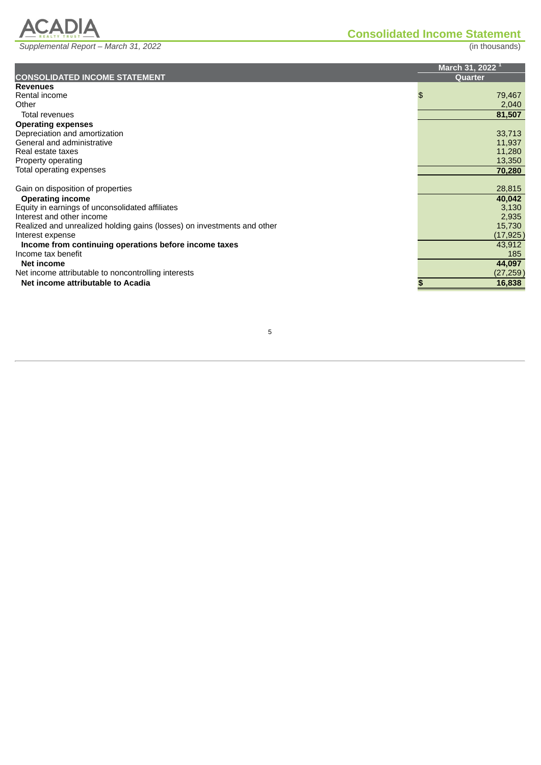*Supplemental Report – March 31, 2022* (in thousands)

ACADIA

<span id="page-19-0"></span>

| <b>Revenues</b><br>Rental income<br>79,467<br>\$<br>2,040<br>Other<br>81,507<br>Total revenues<br><b>Operating expenses</b><br>Depreciation and amortization<br>33,713<br>General and administrative<br>11,937<br>11,280<br>Real estate taxes<br>13,350<br>Property operating<br>Total operating expenses<br>70,280<br>28,815<br>Gain on disposition of properties<br>40,042<br><b>Operating income</b><br>Equity in earnings of unconsolidated affiliates<br>3,130<br>2,935<br>Interest and other income<br>15,730<br>Realized and unrealized holding gains (losses) on investments and other<br>(17, 925)<br>Interest expense<br>43,912<br>Income from continuing operations before income taxes<br>185<br>Income tax benefit<br>44,097<br>Net income<br>(27, 259)<br>Net income attributable to noncontrolling interests<br>Net income attributable to Acadia<br>16,838 | <b>CONSOLIDATED INCOME STATEMENT</b> | March 31, 2022 $^1$<br><b>Ouarter</b> |
|----------------------------------------------------------------------------------------------------------------------------------------------------------------------------------------------------------------------------------------------------------------------------------------------------------------------------------------------------------------------------------------------------------------------------------------------------------------------------------------------------------------------------------------------------------------------------------------------------------------------------------------------------------------------------------------------------------------------------------------------------------------------------------------------------------------------------------------------------------------------------|--------------------------------------|---------------------------------------|
|                                                                                                                                                                                                                                                                                                                                                                                                                                                                                                                                                                                                                                                                                                                                                                                                                                                                            |                                      |                                       |
|                                                                                                                                                                                                                                                                                                                                                                                                                                                                                                                                                                                                                                                                                                                                                                                                                                                                            |                                      |                                       |
|                                                                                                                                                                                                                                                                                                                                                                                                                                                                                                                                                                                                                                                                                                                                                                                                                                                                            |                                      |                                       |
|                                                                                                                                                                                                                                                                                                                                                                                                                                                                                                                                                                                                                                                                                                                                                                                                                                                                            |                                      |                                       |
|                                                                                                                                                                                                                                                                                                                                                                                                                                                                                                                                                                                                                                                                                                                                                                                                                                                                            |                                      |                                       |
|                                                                                                                                                                                                                                                                                                                                                                                                                                                                                                                                                                                                                                                                                                                                                                                                                                                                            |                                      |                                       |
|                                                                                                                                                                                                                                                                                                                                                                                                                                                                                                                                                                                                                                                                                                                                                                                                                                                                            |                                      |                                       |
|                                                                                                                                                                                                                                                                                                                                                                                                                                                                                                                                                                                                                                                                                                                                                                                                                                                                            |                                      |                                       |
|                                                                                                                                                                                                                                                                                                                                                                                                                                                                                                                                                                                                                                                                                                                                                                                                                                                                            |                                      |                                       |
|                                                                                                                                                                                                                                                                                                                                                                                                                                                                                                                                                                                                                                                                                                                                                                                                                                                                            |                                      |                                       |
|                                                                                                                                                                                                                                                                                                                                                                                                                                                                                                                                                                                                                                                                                                                                                                                                                                                                            |                                      |                                       |
|                                                                                                                                                                                                                                                                                                                                                                                                                                                                                                                                                                                                                                                                                                                                                                                                                                                                            |                                      |                                       |
|                                                                                                                                                                                                                                                                                                                                                                                                                                                                                                                                                                                                                                                                                                                                                                                                                                                                            |                                      |                                       |
|                                                                                                                                                                                                                                                                                                                                                                                                                                                                                                                                                                                                                                                                                                                                                                                                                                                                            |                                      |                                       |
|                                                                                                                                                                                                                                                                                                                                                                                                                                                                                                                                                                                                                                                                                                                                                                                                                                                                            |                                      |                                       |
|                                                                                                                                                                                                                                                                                                                                                                                                                                                                                                                                                                                                                                                                                                                                                                                                                                                                            |                                      |                                       |
|                                                                                                                                                                                                                                                                                                                                                                                                                                                                                                                                                                                                                                                                                                                                                                                                                                                                            |                                      |                                       |
|                                                                                                                                                                                                                                                                                                                                                                                                                                                                                                                                                                                                                                                                                                                                                                                                                                                                            |                                      |                                       |
|                                                                                                                                                                                                                                                                                                                                                                                                                                                                                                                                                                                                                                                                                                                                                                                                                                                                            |                                      |                                       |
|                                                                                                                                                                                                                                                                                                                                                                                                                                                                                                                                                                                                                                                                                                                                                                                                                                                                            |                                      |                                       |
|                                                                                                                                                                                                                                                                                                                                                                                                                                                                                                                                                                                                                                                                                                                                                                                                                                                                            |                                      |                                       |
|                                                                                                                                                                                                                                                                                                                                                                                                                                                                                                                                                                                                                                                                                                                                                                                                                                                                            |                                      |                                       |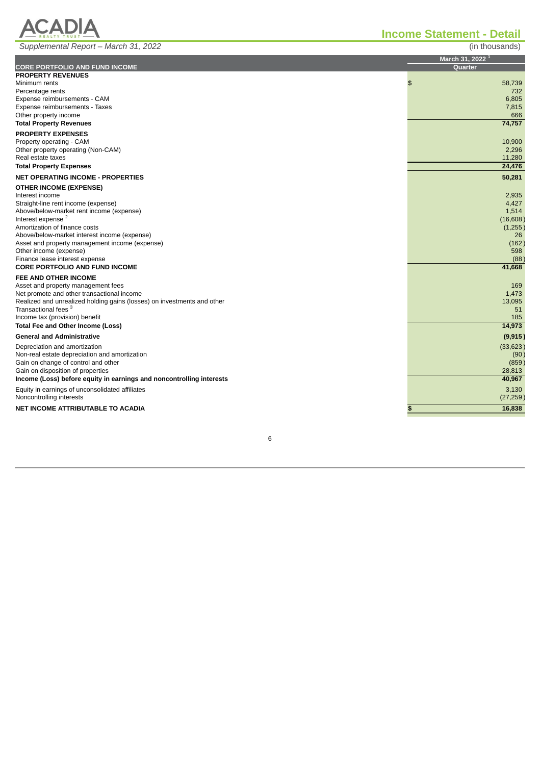# **ACADIA**

*Supplemental Report – March 31, 2022* (in thousands)

|  | in thousands |  |
|--|--------------|--|

| <i>Ouppicmental Report Middle 01, 2022</i>                                           | $\left( \text{m} \right)$ and $\left( \text{m} \right)$ |
|--------------------------------------------------------------------------------------|---------------------------------------------------------|
|                                                                                      | March 31, 2022 <sup>1</sup>                             |
| <b>CORE PORTFOLIO AND FUND INCOME</b>                                                | <b>Quarter</b>                                          |
| <b>PROPERTY REVENUES</b>                                                             |                                                         |
| Minimum rents                                                                        | \$<br>58,739<br>732                                     |
| Percentage rents<br>Expense reimbursements - CAM                                     | 6,805                                                   |
| Expense reimbursements - Taxes                                                       | 7,815                                                   |
| Other property income                                                                | 666                                                     |
| <b>Total Property Revenues</b>                                                       | 74,757                                                  |
| <b>PROPERTY EXPENSES</b>                                                             |                                                         |
| Property operating - CAM                                                             | 10,900                                                  |
| Other property operating (Non-CAM)                                                   | 2,296                                                   |
| Real estate taxes                                                                    | 11,280                                                  |
| <b>Total Property Expenses</b>                                                       | 24,476                                                  |
| <b>NET OPERATING INCOME - PROPERTIES</b>                                             | 50,281                                                  |
| <b>OTHER INCOME (EXPENSE)</b>                                                        |                                                         |
| Interest income                                                                      | 2,935                                                   |
| Straight-line rent income (expense)                                                  | 4,427                                                   |
| Above/below-market rent income (expense)                                             | 1,514                                                   |
| Interest expense <sup>2</sup>                                                        | (16,608)                                                |
| Amortization of finance costs<br>Above/below-market interest income (expense)        | (1,255)                                                 |
| Asset and property management income (expense)                                       | 26<br>(162)                                             |
| Other income (expense)                                                               | 598                                                     |
| Finance lease interest expense                                                       | (88)                                                    |
| <b>CORE PORTFOLIO AND FUND INCOME</b>                                                | 41,668                                                  |
| FEE AND OTHER INCOME                                                                 |                                                         |
| Asset and property management fees                                                   | 169                                                     |
| Net promote and other transactional income                                           | 1,473                                                   |
| Realized and unrealized holding gains (losses) on investments and other              | 13,095                                                  |
| Transactional fees <sup>3</sup>                                                      | 51                                                      |
| Income tax (provision) benefit                                                       | 185<br>14,973                                           |
| Total Fee and Other Income (Loss)<br><b>General and Administrative</b>               |                                                         |
|                                                                                      | (9, 915)                                                |
| Depreciation and amortization                                                        | (33, 623)                                               |
| Non-real estate depreciation and amortization<br>Gain on change of control and other | (90)<br>(859)                                           |
| Gain on disposition of properties                                                    | 28,813                                                  |
| Income (Loss) before equity in earnings and noncontrolling interests                 | 40,967                                                  |
| Equity in earnings of unconsolidated affiliates                                      | 3,130                                                   |
| Noncontrolling interests                                                             | (27, 259)                                               |
| NET INCOME ATTRIBUTABLE TO ACADIA                                                    | 16,838<br>\$                                            |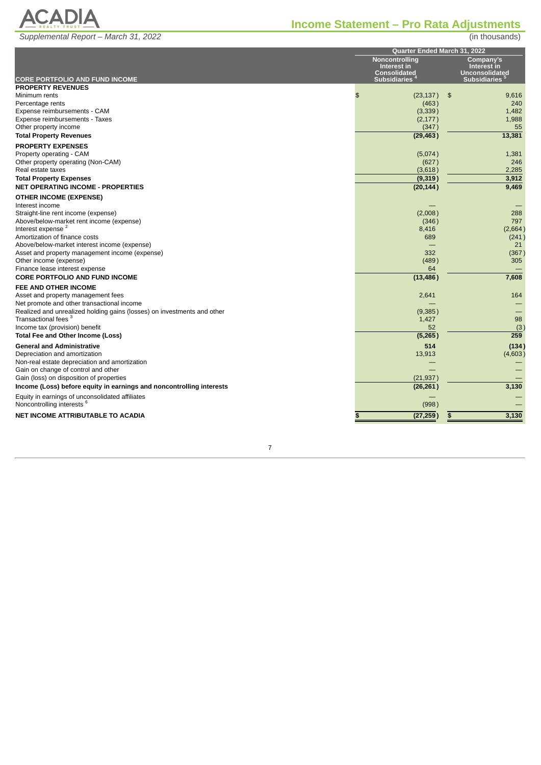

# <span id="page-21-0"></span>**Income Statement – Pro Rata Adjustments**

|                                                                                                            | Quarter Ended March 31, 2022 |                                            |     |                                              |  |
|------------------------------------------------------------------------------------------------------------|------------------------------|--------------------------------------------|-----|----------------------------------------------|--|
|                                                                                                            | Noncontrolling               |                                            |     |                                              |  |
|                                                                                                            |                              | Interest in                                |     | Interest in                                  |  |
| <b>CORE PORTFOLIO AND FUND INCOME</b>                                                                      |                              | <b>Consolidated</b><br><b>Subsidiaries</b> |     | <b>Unconsolidated</b><br><b>Subsidiaries</b> |  |
| <b>PROPERTY REVENUES</b>                                                                                   |                              |                                            |     |                                              |  |
| Minimum rents                                                                                              | \$                           | (23, 137)                                  | -\$ | 9,616                                        |  |
| Percentage rents                                                                                           |                              | (463)                                      |     | 240                                          |  |
| Expense reimbursements - CAM                                                                               |                              | (3, 339)                                   |     | 1,482                                        |  |
| Expense reimbursements - Taxes                                                                             |                              | (2, 177)                                   |     | 1,988                                        |  |
| Other property income                                                                                      |                              | (347)                                      |     | 55                                           |  |
| <b>Total Property Revenues</b>                                                                             |                              | (29, 463)                                  |     | 13,381                                       |  |
| <b>PROPERTY EXPENSES</b>                                                                                   |                              |                                            |     |                                              |  |
| Property operating - CAM                                                                                   |                              | (5,074)                                    |     | 1,381                                        |  |
| Other property operating (Non-CAM)                                                                         |                              | (627)                                      |     | 246                                          |  |
| Real estate taxes                                                                                          |                              | (3,618)                                    |     | 2,285                                        |  |
| <b>Total Property Expenses</b>                                                                             |                              | (9, 319)                                   |     | 3,912                                        |  |
| <b>NET OPERATING INCOME - PROPERTIES</b>                                                                   |                              | (20, 144)                                  |     | 9,469                                        |  |
| <b>OTHER INCOME (EXPENSE)</b>                                                                              |                              |                                            |     |                                              |  |
| Interest income                                                                                            |                              |                                            |     |                                              |  |
| Straight-line rent income (expense)                                                                        |                              | (2,008)                                    |     | 288                                          |  |
| Above/below-market rent income (expense)                                                                   |                              | (346)                                      |     | 797                                          |  |
| Interest expense <sup>2</sup>                                                                              |                              | 8,416                                      |     | (2,664)                                      |  |
| Amortization of finance costs                                                                              |                              | 689                                        |     | (241)                                        |  |
| Above/below-market interest income (expense)                                                               |                              |                                            |     | 21                                           |  |
| Asset and property management income (expense)                                                             |                              | 332                                        |     | (367)                                        |  |
| Other income (expense)                                                                                     |                              | (489)                                      |     | 305                                          |  |
| Finance lease interest expense                                                                             |                              | 64                                         |     |                                              |  |
| <b>CORE PORTFOLIO AND FUND INCOME</b>                                                                      |                              | (13, 486)                                  |     | 7,608                                        |  |
| FEE AND OTHER INCOME                                                                                       |                              |                                            |     |                                              |  |
| Asset and property management fees                                                                         |                              | 2,641                                      |     | 164                                          |  |
| Net promote and other transactional income                                                                 |                              |                                            |     |                                              |  |
| Realized and unrealized holding gains (losses) on investments and other<br>Transactional fees <sup>3</sup> |                              | (9,385)                                    |     | 98                                           |  |
| Income tax (provision) benefit                                                                             |                              | 1,427<br>52                                |     | (3)                                          |  |
| Total Fee and Other Income (Loss)                                                                          |                              | (5,265)                                    |     | 259                                          |  |
|                                                                                                            |                              |                                            |     |                                              |  |
| <b>General and Administrative</b>                                                                          |                              | 514                                        |     | (134)                                        |  |
| Depreciation and amortization                                                                              |                              | 13,913                                     |     | (4,603)                                      |  |
| Non-real estate depreciation and amortization<br>Gain on change of control and other                       |                              |                                            |     |                                              |  |
| Gain (loss) on disposition of properties                                                                   |                              | (21, 937)                                  |     |                                              |  |
| Income (Loss) before equity in earnings and noncontrolling interests                                       |                              | (26, 261)                                  |     | 3,130                                        |  |
|                                                                                                            |                              |                                            |     |                                              |  |
| Equity in earnings of unconsolidated affiliates                                                            |                              |                                            |     |                                              |  |
| Noncontrolling interests <sup>6</sup>                                                                      |                              | (998)                                      |     |                                              |  |
| <b>NET INCOME ATTRIBUTABLE TO ACADIA</b>                                                                   | \$                           | (27, 259)                                  | \$  | 3,130                                        |  |

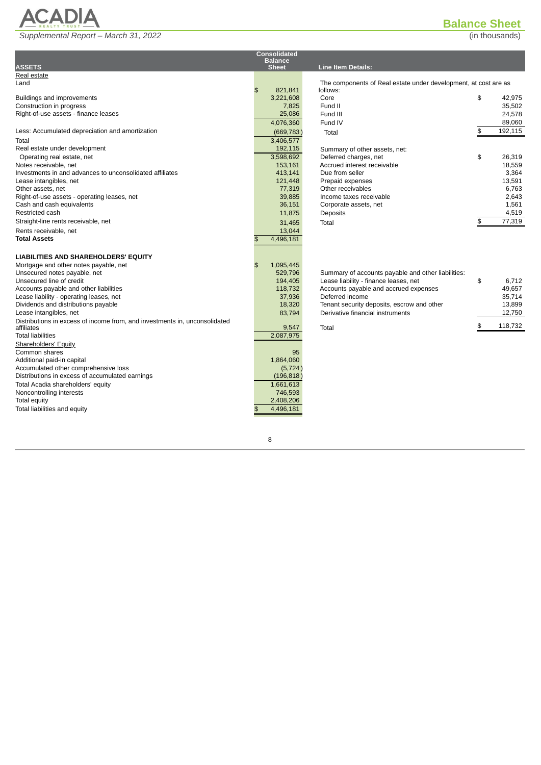

# **Balance Sheet**

<span id="page-22-0"></span>

|                                                                            |              | <b>Consolidated</b>  |                                                                 |               |
|----------------------------------------------------------------------------|--------------|----------------------|-----------------------------------------------------------------|---------------|
| <b>ASSETS</b>                                                              |              | <b>Balance</b>       | <b>Line Item Details:</b>                                       |               |
| Real estate                                                                |              | <b>Sheet</b>         |                                                                 |               |
| Land                                                                       |              |                      | The components of Real estate under development, at cost are as |               |
|                                                                            | \$           | 821,841              | follows:                                                        |               |
| Buildings and improvements                                                 |              | 3,221,608            | Core                                                            | \$<br>42.975  |
| Construction in progress                                                   |              | 7,825                | Fund II                                                         | 35,502        |
| Right-of-use assets - finance leases                                       |              | 25,086               | Fund III                                                        | 24.578        |
|                                                                            |              | 4,076,360            | Fund IV                                                         | 89,060        |
| Less: Accumulated depreciation and amortization                            |              | (669, 783)           | Total                                                           | \$<br>192,115 |
| Total                                                                      |              | 3,406,577            |                                                                 |               |
| Real estate under development                                              |              | 192,115              | Summary of other assets, net:                                   |               |
| Operating real estate, net                                                 |              | 3,598,692            | Deferred charges, net                                           | \$<br>26.319  |
| Notes receivable, net                                                      |              | 153,161              | Accrued interest receivable                                     | 18,559        |
| Investments in and advances to unconsolidated affiliates                   |              | 413,141              | Due from seller                                                 | 3,364         |
| Lease intangibles, net                                                     |              | 121.448              | Prepaid expenses                                                | 13.591        |
| Other assets, net                                                          |              | 77,319               | Other receivables                                               | 6.763         |
| Right-of-use assets - operating leases, net                                |              | 39,885               | Income taxes receivable                                         | 2,643         |
| Cash and cash equivalents                                                  |              | 36,151               | Corporate assets, net                                           | 1,561         |
| Restricted cash                                                            |              | 11,875               | Deposits                                                        | 4,519         |
| Straight-line rents receivable, net                                        |              | 31,465               | Total                                                           | \$<br>77,319  |
| Rents receivable, net                                                      |              | 13,044               |                                                                 |               |
| <b>Total Assets</b>                                                        | \$           | 4,496,181            |                                                                 |               |
|                                                                            |              |                      |                                                                 |               |
| <b>LIABILITIES AND SHAREHOLDERS' EQUITY</b>                                |              |                      |                                                                 |               |
| Mortgage and other notes payable, net                                      | \$           | 1,095,445            |                                                                 |               |
| Unsecured notes payable, net                                               |              | 529,796              | Summary of accounts payable and other liabilities:              |               |
| Unsecured line of credit                                                   |              | 194,405              | Lease liability - finance leases, net                           | \$<br>6,712   |
| Accounts payable and other liabilities                                     |              | 118.732              | Accounts payable and accrued expenses                           | 49.657        |
| Lease liability - operating leases, net                                    |              | 37,936               | Deferred income                                                 | 35,714        |
| Dividends and distributions payable                                        |              | 18,320               | Tenant security deposits, escrow and other                      | 13,899        |
| Lease intangibles, net                                                     |              | 83.794               | Derivative financial instruments                                | 12,750        |
| Distributions in excess of income from, and investments in, unconsolidated |              |                      |                                                                 | \$<br>118,732 |
| affiliates                                                                 |              | 9,547                | Total                                                           |               |
| <b>Total liabilities</b>                                                   |              | 2,087,975            |                                                                 |               |
| <b>Shareholders' Equity</b>                                                |              |                      |                                                                 |               |
| Common shares                                                              |              | 95                   |                                                                 |               |
| Additional paid-in capital                                                 |              | 1,864,060            |                                                                 |               |
| Accumulated other comprehensive loss                                       |              | (5, 724)             |                                                                 |               |
| Distributions in excess of accumulated earnings                            |              | (196, 818)           |                                                                 |               |
| Total Acadia shareholders' equity                                          |              | 1,661,613            |                                                                 |               |
| Noncontrolling interests                                                   |              | 746,593<br>2,408,206 |                                                                 |               |
| Total equity<br>Total liabilities and equity                               | $\mathbf{f}$ | 4,496,181            |                                                                 |               |
|                                                                            |              |                      |                                                                 |               |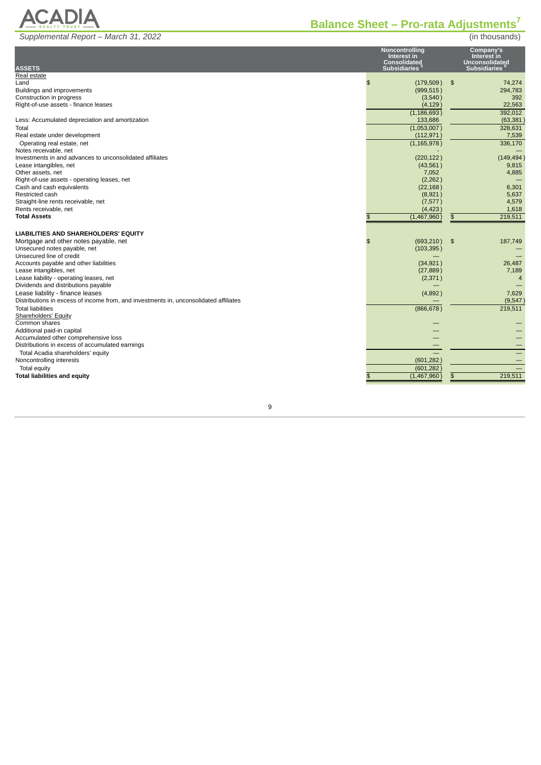

# <span id="page-23-0"></span>**Balance Sheet – Pro-rata Adjustments 7**

| <b>ASSETS</b>                                                                         | Noncontrolling<br>Interest in<br><b>Consolidated</b><br><b>Subsidiaries</b> | Company's<br>Interest in<br><b>Unconsolidated</b><br><b>Subsidiaries</b> |
|---------------------------------------------------------------------------------------|-----------------------------------------------------------------------------|--------------------------------------------------------------------------|
| Real estate                                                                           |                                                                             |                                                                          |
| Land                                                                                  | \$<br>$(179,509)$ \$                                                        | 74.274                                                                   |
| Buildings and improvements                                                            | (999, 515)                                                                  | 294.783                                                                  |
| Construction in progress<br>Right-of-use assets - finance leases                      | (3,540)<br>(4, 129)                                                         | 392<br>22.563                                                            |
|                                                                                       | (1, 186, 693)                                                               | 392,012                                                                  |
| Less: Accumulated depreciation and amortization                                       | 133,686                                                                     | (63, 381)                                                                |
| Total                                                                                 | (1,053,007)                                                                 | 328,631                                                                  |
| Real estate under development                                                         | (112, 971)                                                                  | 7,539                                                                    |
| Operating real estate, net                                                            | (1, 165, 978)                                                               | 336,170                                                                  |
| Notes receivable, net                                                                 |                                                                             |                                                                          |
| Investments in and advances to unconsolidated affiliates                              | (220, 122)                                                                  | (149, 494)                                                               |
| Lease intangibles, net                                                                | (43, 561)                                                                   | 9,815                                                                    |
| Other assets, net                                                                     | 7,052                                                                       | 4,885                                                                    |
| Right-of-use assets - operating leases, net                                           | (2, 262)                                                                    |                                                                          |
| Cash and cash equivalents                                                             | (22, 168)                                                                   | 6,301                                                                    |
| Restricted cash                                                                       | (8,921)                                                                     | 5,637                                                                    |
| Straight-line rents receivable, net                                                   | (7,577)                                                                     | 4,579                                                                    |
| Rents receivable, net<br><b>Total Assets</b>                                          | (4, 423)                                                                    | 1,618                                                                    |
|                                                                                       | (1,467,960)                                                                 | 219,511<br>$\boldsymbol{\mathsf{B}}$                                     |
|                                                                                       |                                                                             |                                                                          |
| LIABILITIES AND SHAREHOLDERS' EQUITY                                                  |                                                                             |                                                                          |
| Mortgage and other notes payable, net<br>Unsecured notes payable, net                 | $(693, 210)$ \$<br>$\mathfrak{L}$                                           | 187,749                                                                  |
| Unsecured line of credit                                                              | (103, 395)                                                                  |                                                                          |
| Accounts payable and other liabilities                                                | (34, 921)                                                                   | 26,487                                                                   |
| Lease intangibles, net                                                                | (27, 889)                                                                   | 7,189                                                                    |
| Lease liability - operating leases, net                                               | (2,371)                                                                     | $\overline{4}$                                                           |
| Dividends and distributions payable                                                   |                                                                             |                                                                          |
| Lease liability - finance leases                                                      | (4,892)                                                                     | 7,629                                                                    |
| Distributions in excess of income from, and investments in, unconsolidated affiliates |                                                                             | (9, 547)                                                                 |
| <b>Total liabilities</b>                                                              | (866, 678)                                                                  | 219,511                                                                  |
| Shareholders' Equity                                                                  |                                                                             |                                                                          |
| Common shares                                                                         |                                                                             |                                                                          |
| Additional paid-in capital                                                            |                                                                             |                                                                          |
| Accumulated other comprehensive loss                                                  |                                                                             |                                                                          |
| Distributions in excess of accumulated earnings                                       |                                                                             |                                                                          |
| Total Acadia shareholders' equity                                                     | (601, 282)                                                                  |                                                                          |
| Noncontrolling interests                                                              |                                                                             |                                                                          |
| Total equity<br><b>Total liabilities and equity</b>                                   | (601, 282)                                                                  | 219,511                                                                  |
|                                                                                       | (1,467,960)                                                                 | \$                                                                       |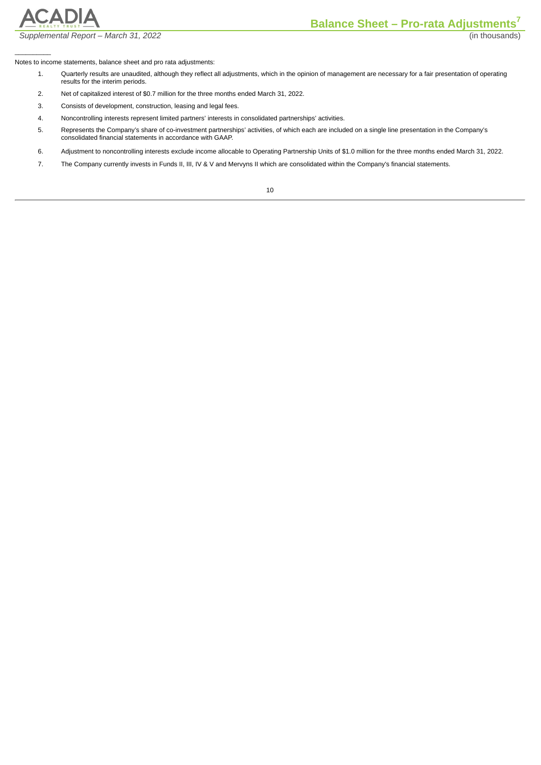

 $\frac{1}{2}$ 

*Supplemental Report – March 31, 2022* (in thousands)

Notes to income statements, balance sheet and pro rata adjustments:

- 1. Quarterly results are unaudited, although they reflect all adjustments, which in the opinion of management are necessary for a fair presentation of operating results for the interim periods.
- 2. Net of capitalized interest of \$0.7 million for the three months ended March 31, 2022.
- 3. Consists of development, construction, leasing and legal fees.
- 4. Noncontrolling interests represent limited partners' interests in consolidated partnerships' activities.
- 5. Represents the Company's share of co-investment partnerships' activities, of which each are included on a single line presentation in the Company's consolidated financial statements in accordance with GAAP.
- 6. Adjustment to noncontrolling interests exclude income allocable to Operating Partnership Units of \$1.0 million for the three months ended March 31, 2022.
- 7. The Company currently invests in Funds II, III, IV & V and Mervyns II which are consolidated within the Company's financial statements.

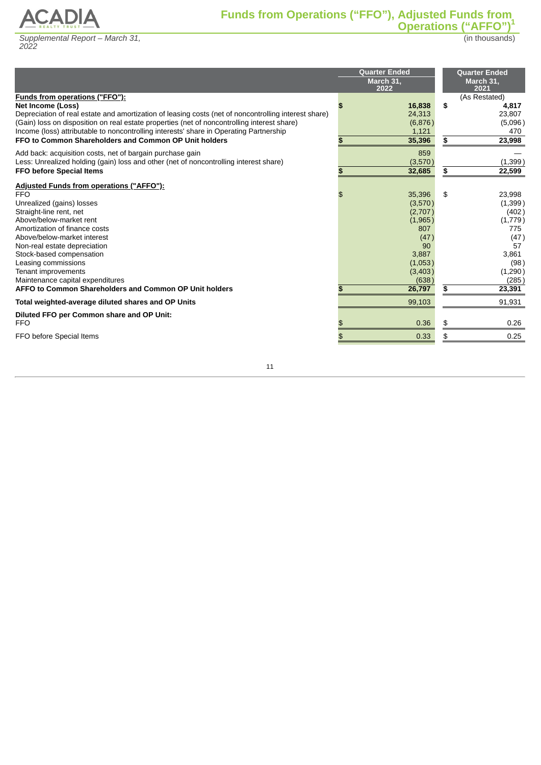<span id="page-25-0"></span>

(in thousands)

|                                                                                                      | <b>Ouarter Ended</b><br>March 31,<br>2022 |    | <b>Quarter Ended</b><br>March 31,<br>2021 |
|------------------------------------------------------------------------------------------------------|-------------------------------------------|----|-------------------------------------------|
| <b>Funds from operations ("FFO"):</b>                                                                |                                           |    | (As Restated)                             |
| Net Income (Loss)                                                                                    | 16,838                                    | \$ | 4,817                                     |
| Depreciation of real estate and amortization of leasing costs (net of noncontrolling interest share) | 24,313                                    |    | 23,807                                    |
| (Gain) loss on disposition on real estate properties (net of noncontrolling interest share)          | (6,876)                                   |    | (5,096)                                   |
| Income (loss) attributable to noncontrolling interests' share in Operating Partnership               | 1,121                                     |    | 470                                       |
| FFO to Common Shareholders and Common OP Unit holders                                                | 35,396                                    |    | 23,998                                    |
| Add back: acquisition costs, net of bargain purchase gain                                            | 859                                       |    |                                           |
| Less: Unrealized holding (gain) loss and other (net of noncontrolling interest share)                | (3,570)                                   |    | (1, 399)                                  |
| <b>FFO before Special Items</b>                                                                      | 32,685                                    | \$ | 22,599                                    |
| Adjusted Funds from operations ("AFFO"):                                                             |                                           |    |                                           |
| <b>FFO</b>                                                                                           | 35,396                                    | \$ | 23,998                                    |
| Unrealized (gains) losses                                                                            | (3,570)                                   |    | (1,399)                                   |
| Straight-line rent, net                                                                              | (2,707)                                   |    | (402)                                     |
| Above/below-market rent                                                                              | (1,965)                                   |    | (1,779)                                   |
| Amortization of finance costs                                                                        | 807                                       |    | 775                                       |
| Above/below-market interest                                                                          | (47)                                      |    | (47)                                      |
| Non-real estate depreciation                                                                         | 90                                        |    | 57                                        |
| Stock-based compensation                                                                             | 3,887                                     |    | 3,861                                     |
| Leasing commissions                                                                                  | (1,053)                                   |    | (98)                                      |
| Tenant improvements                                                                                  | (3,403)                                   |    | (1, 290)                                  |
| Maintenance capital expenditures                                                                     | (638)                                     |    | (285)                                     |
| AFFO to Common Shareholders and Common OP Unit holders                                               | 26,797                                    | S. | 23,391                                    |
| Total weighted-average diluted shares and OP Units                                                   | 99,103                                    |    | 91,931                                    |
| Diluted FFO per Common share and OP Unit:                                                            |                                           |    |                                           |
| <b>FFO</b>                                                                                           | 0.36                                      |    | 0.26                                      |
| FFO before Special Items                                                                             | 0.33                                      |    | 0.25                                      |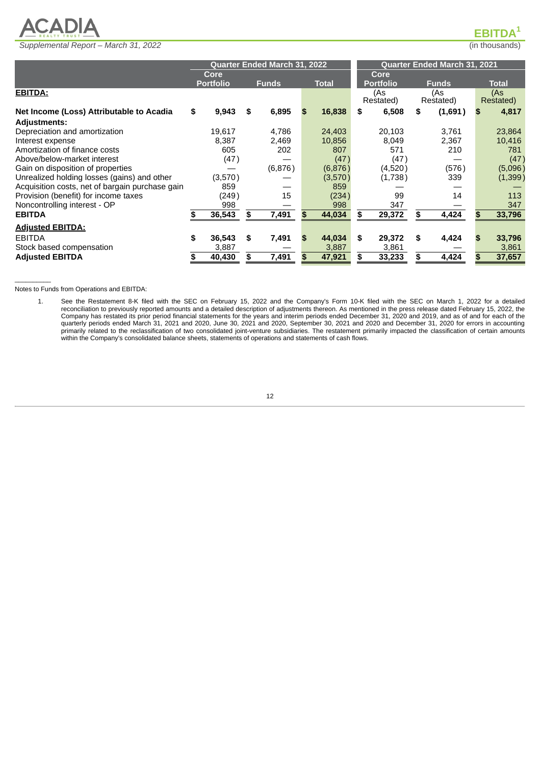

 $\mathsf{EBITDA}^\mathsf{1}$ 

<span id="page-26-0"></span>

|                                                 |                  |    | <b>Ouarter Ended March 31, 2022</b> |  |              | <b>Ouarter Ended March 31, 2021</b> |                  |   |                  |     |                  |
|-------------------------------------------------|------------------|----|-------------------------------------|--|--------------|-------------------------------------|------------------|---|------------------|-----|------------------|
|                                                 | Core             |    |                                     |  | Core         |                                     |                  |   |                  |     |                  |
|                                                 | <b>Portfolio</b> |    | <b>Funds</b>                        |  | <b>Total</b> |                                     | <b>Portfolio</b> |   | <b>Funds</b>     |     | <b>Total</b>     |
| <b>EBITDA:</b>                                  |                  |    |                                     |  |              |                                     | (As<br>Restated) |   | (As<br>Restated) |     | (As<br>Restated) |
| Net Income (Loss) Attributable to Acadia        | \$<br>9,943      | S  | 6,895                               |  | 16,838       | S                                   | 6,508            | S | (1,691)          | S   | 4,817            |
| <b>Adjustments:</b>                             |                  |    |                                     |  |              |                                     |                  |   |                  |     |                  |
| Depreciation and amortization                   | 19.617           |    | 4,786                               |  | 24,403       |                                     | 20.103           |   | 3.761            |     | 23,864           |
| Interest expense                                | 8.387            |    | 2,469                               |  | 10,856       |                                     | 8,049            |   | 2,367            |     | 10,416           |
| Amortization of finance costs                   | 605              |    | 202                                 |  | 807          |                                     | 571              |   | 210              |     | 781              |
| Above/below-market interest                     | (47)             |    |                                     |  | (47)         |                                     | (47)             |   |                  |     | (47)             |
| Gain on disposition of properties               |                  |    | (6,876)                             |  | (6,876)      |                                     | (4,520)          |   | (576)            |     | (5,096)          |
| Unrealized holding losses (gains) and other     | (3,570)          |    |                                     |  | (3,570)      |                                     | (1,738)          |   | 339              |     | (1, 399)         |
| Acquisition costs, net of bargain purchase gain | 859              |    |                                     |  | 859          |                                     |                  |   |                  |     |                  |
| Provision (benefit) for income taxes            | (249)            |    | 15                                  |  | (234)        |                                     | 99               |   | 14               |     | 113              |
| Noncontrolling interest - OP                    | 998              |    |                                     |  | 998          |                                     | 347              |   |                  |     | 347              |
| <b>EBITDA</b>                                   | 36,543           | S  | 7,491                               |  | 44,034       | S                                   | 29,372           |   | 4,424            |     | 33,796           |
| <b>Adjusted EBITDA:</b>                         |                  |    |                                     |  |              |                                     |                  |   |                  |     |                  |
| <b>EBITDA</b>                                   | \$<br>36,543     | \$ | 7,491                               |  | 44,034       | \$                                  | 29,372           | S | 4,424            | \$. | 33,796           |
| Stock based compensation                        | 3,887            |    |                                     |  | 3,887        |                                     | 3,861            |   |                  |     | 3,861            |
| <b>Adjusted EBITDA</b>                          | 40,430           | \$ | 7,491                               |  | 47,921       | S                                   | 33,233           |   | 4,424            |     | 37,657           |

Notes to Funds from Operations and EBITDA:

 $\mathcal{L}=\mathcal{L}^{\mathcal{L}}$ 

1. See the Restatement 8-K filed with the SEC on February 15, 2022 and the Company's Form 10-K filed with the SEC on March 1, 2022 for a detailed reconciliation to previously reported amounts and a detailed description of adjustments thereon. As mentioned in the press release dated February 15, 2022, the Company has restated its prior period financial statements for the years and interim periods ended December 31, 2020 and 2019, and as of and for each of the quarterly periods ended March 31, 2021 and 2020, June 30, 2021 and 2020, September 30, 2021 and 2020 and December 31, 2020 for errors in accounting primarily related to the reclassification of two consolidated joint-venture subsidiaries. The restatement primarily impacted the classification of certain amounts within the Company's consolidated balance sheets, statements of operations and statements of cash flows.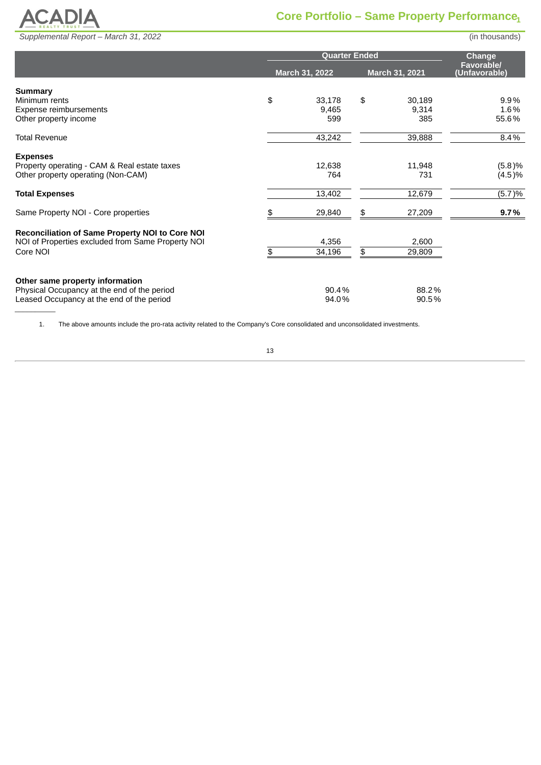

<span id="page-27-0"></span>

|                                                   |    | <b>Change</b>  |                |                                    |
|---------------------------------------------------|----|----------------|----------------|------------------------------------|
|                                                   |    | March 31, 2022 | March 31, 2021 | <b>Favorable/</b><br>(Unfavorable) |
| Summary                                           |    |                |                |                                    |
| Minimum rents                                     | \$ | 33,178         | \$<br>30,189   | 9.9%                               |
| Expense reimbursements<br>Other property income   |    | 9,465<br>599   | 9,314<br>385   | 1.6%<br>55.6%                      |
| <b>Total Revenue</b>                              |    | 43,242         | 39,888         | 8.4%                               |
| <b>Expenses</b>                                   |    |                |                |                                    |
| Property operating - CAM & Real estate taxes      |    | 12,638         | 11,948         | (5.8)%                             |
| Other property operating (Non-CAM)                |    | 764            | 731            | (4.5)%                             |
| <b>Total Expenses</b>                             |    | 13,402         | 12,679         | (5.7)%                             |
| Same Property NOI - Core properties               |    | 29,840         | 27,209         | 9.7%                               |
| Reconciliation of Same Property NOI to Core NOI   |    |                |                |                                    |
| NOI of Properties excluded from Same Property NOI |    | 4,356          | 2,600          |                                    |
| Core NOI                                          | \$ | 34,196         | \$<br>29,809   |                                    |
| Other same property information                   |    |                |                |                                    |
| Physical Occupancy at the end of the period       |    | 90.4%          | 88.2%          |                                    |
| Leased Occupancy at the end of the period         |    | 94.0%          | 90.5%          |                                    |

1. The above amounts include the pro-rata activity related to the Company's Core consolidated and unconsolidated investments.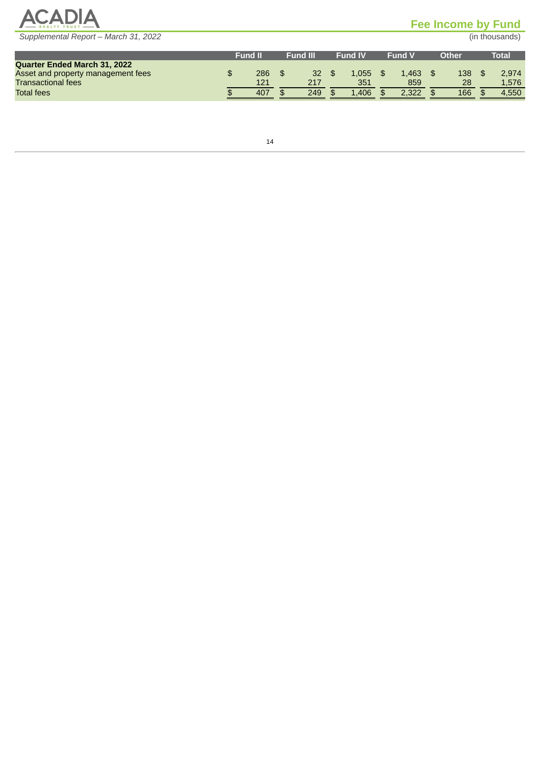

# <span id="page-28-0"></span>**Fee Income by Fund**

|                                     | <b>Fund II</b> | <b>Fund III</b> | <b>Fund IV</b> | <b>Fund V</b> | Other | Total |
|-------------------------------------|----------------|-----------------|----------------|---------------|-------|-------|
| <b>Ouarter Ended March 31, 2022</b> |                |                 |                |               |       |       |
| Asset and property management fees  | 286            | 32              | L.055          | 1.463         | 138   | 2,974 |
| <b>Transactional fees</b>           | 121            | 217             | 351            | 859           | 28    | 1,576 |
| <b>Total fees</b>                   | 407            | 249             | 1.406          | 2.322         | 166   | 4.550 |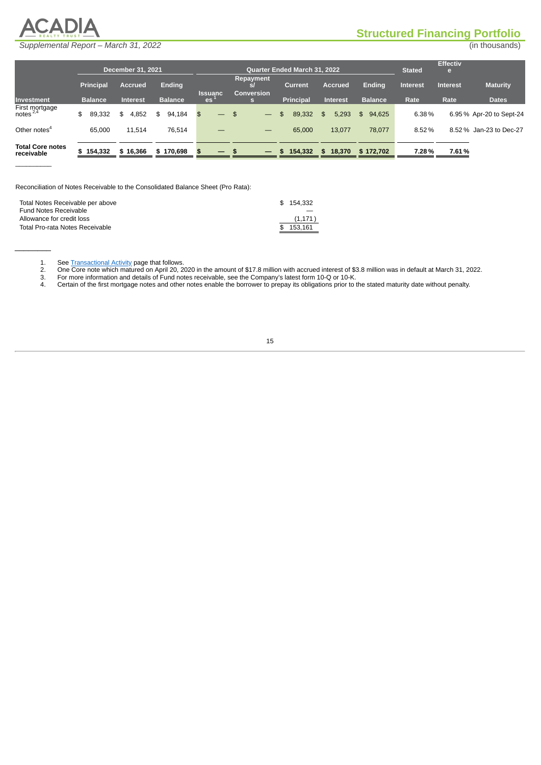<span id="page-29-0"></span>

 $\mathcal{L}=\mathcal{L}^{\mathcal{L}}$ 

 $\frac{1}{2}$ 

# **Structured Financing Portfolio**

| Supplemental Report - March 31, 2022 | (in thousands) |
|--------------------------------------|----------------|
|--------------------------------------|----------------|

|                                        |                  | <b>December 31, 2021</b> |                |                          | <b>Quarter Ended March 31, 2022</b>         |                  |                 |                |                 |                 |                         |
|----------------------------------------|------------------|--------------------------|----------------|--------------------------|---------------------------------------------|------------------|-----------------|----------------|-----------------|-----------------|-------------------------|
|                                        | <b>Principal</b> | <b>Accrued</b>           | Ending         | <b>Issuanc</b>           | <b>Repayment</b><br>sl<br><b>Conversion</b> | <b>Current</b>   | <b>Accrued</b>  | <b>Ending</b>  | <b>Interest</b> | <b>Interest</b> | <b>Maturity</b>         |
| <b>Investment</b>                      | <b>Balance</b>   | <b>Interest</b>          | <b>Balance</b> | es <sup>-</sup>          | s                                           | <b>Principal</b> | <b>Interest</b> | <b>Balance</b> | Rate            | Rate            | <b>Dates</b>            |
| First mortgage<br>notes <sup>2,4</sup> | 89.332<br>\$     | 4,852<br>\$              | 94.184<br>\$   | \$                       | - \$                                        | 89.332           | 5,293<br>\$     | 94.625<br>\$   | 6.38%           |                 | 6.95% Apr-20 to Sept-24 |
| Other notes $4$                        | 65.000           | 11.514                   | 76.514         |                          |                                             | 65.000           | 13.077          | 78.077         | 8.52%           |                 | 8.52 % Jan-23 to Dec-27 |
| <b>Total Core notes</b><br>receivable  | \$154.332        | \$16,366                 | \$170,698      | $\overline{\phantom{0}}$ | - \$<br>$\overline{\phantom{0}}$            | 154,332          | 18.370<br>\$.   | \$172,702      | 7.28%           | 7.61%           |                         |

Reconciliation of Notes Receivable to the Consolidated Balance Sheet (Pro Rata):

| Total Notes Receivable per above | \$154.332 |
|----------------------------------|-----------|
| Fund Notes Receivable            |           |
| Allowance for credit loss        | (1,171)   |
| Total Pro-rata Notes Receivable  | \$153.161 |
|                                  |           |

1. See [Transactional](#page-30-0) Activity page that follows.

2. One Core note which matured on April 20, 2020 in the amount of \$17.8 million with accrued interest of \$3.8 million was in default at March 31, 2022.

- 3. For more information and details of Fund notes receivable, see the Company's latest form 10-Q or 10-K.
- 4. Certain of the first mortgage that follows.<br>
2. Che Core note which matured on April 20, 2020 in the amount of \$17.8 million with accrued interest of \$3.8 million was in default at March 31, 20<br>
3. For more information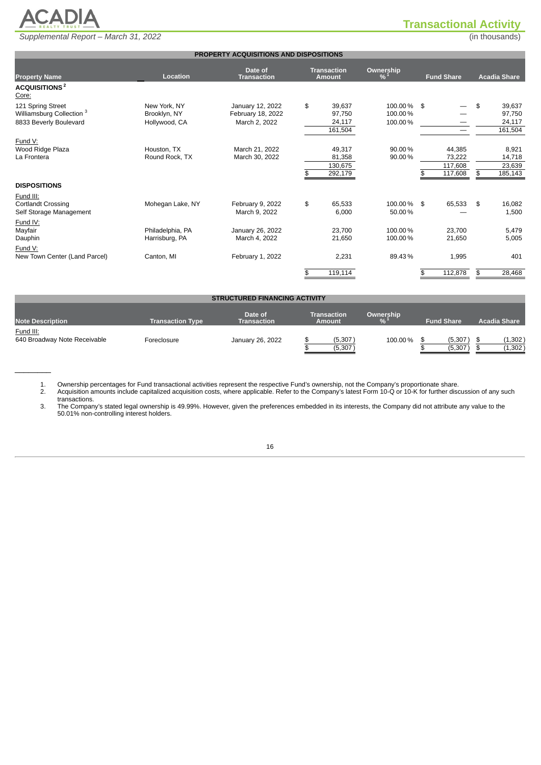

# **Transactional Activity**

<span id="page-30-0"></span>

|                                      |                  | PROPERTY ACQUISITIONS AND DISPOSITIONS |                    |                             |                   |                     |
|--------------------------------------|------------------|----------------------------------------|--------------------|-----------------------------|-------------------|---------------------|
|                                      |                  | Date of                                | <b>Transaction</b> |                             |                   |                     |
| <b>Property Name</b>                 | Location         | <b>Transaction</b>                     | <b>Amount</b>      | Ownership<br>% <sup>1</sup> | <b>Fund Share</b> | <b>Acadia Share</b> |
| ACQUISITIONS <sup>2</sup><br>Core:   |                  |                                        |                    |                             |                   |                     |
| 121 Spring Street                    | New York, NY     | January 12, 2022                       | \$<br>39.637       | 100.00% \$                  |                   | \$<br>39,637        |
| Williamsburg Collection <sup>3</sup> | Brooklyn, NY     | February 18, 2022                      | 97,750             | 100.00%                     |                   | 97,750              |
| 8833 Beverly Boulevard               | Hollywood, CA    | March 2, 2022                          | 24,117             | 100.00%                     |                   | 24,117              |
|                                      |                  |                                        | 161,504            |                             | —                 | 161,504             |
| Fund V:                              |                  |                                        |                    |                             |                   |                     |
| Wood Ridge Plaza                     | Houston, TX      | March 21, 2022                         | 49,317             | 90.00%                      | 44,385            | 8,921               |
| La Frontera                          | Round Rock, TX   | March 30, 2022                         | 81,358             | 90.00%                      | 73,222            | 14,718              |
|                                      |                  |                                        | 130,675            |                             | 117,608           | 23,639              |
|                                      |                  |                                        | 292,179            |                             | 117,608           | \$<br>185,143       |
| <b>DISPOSITIONS</b>                  |                  |                                        |                    |                             |                   |                     |
| Fund III:                            |                  |                                        |                    |                             |                   |                     |
| <b>Cortlandt Crossing</b>            | Mohegan Lake, NY | February 9, 2022                       | \$<br>65,533       | 100.00% \$                  | 65,533            | \$<br>16,082        |
| Self Storage Management              |                  | March 9, 2022                          | 6,000              | 50.00%                      |                   | 1,500               |
| Fund IV:                             |                  |                                        |                    |                             |                   |                     |
| Mayfair                              | Philadelphia, PA | January 26, 2022                       | 23.700             | 100.00%                     | 23,700            | 5,479               |
| Dauphin                              | Harrisburg, PA   | March 4, 2022                          | 21,650             | 100.00%                     | 21,650            | 5,005               |
| Fund V:                              |                  |                                        |                    |                             |                   |                     |
| New Town Center (Land Parcel)        | Canton, MI       | February 1, 2022                       | 2,231              | 89.43%                      | 1,995             | 401                 |
|                                      |                  |                                        | 119,114            |                             | 112,878           | \$<br>28,468        |
|                                      |                  |                                        |                    |                             |                   |                     |
|                                      |                  |                                        |                    |                             |                   |                     |
|                                      |                  | <b>STRUCTURED FINANCING ACTIVITY</b>   |                    |                             |                   |                     |

| <b>Note Description</b>                   | <b>Transaction Type</b> | Date of<br><b>Transaction</b> | Transaction<br><b>Amount</b> | Ownership | <b>Fund Share</b>    | <b>Acadia Share</b> |
|-------------------------------------------|-------------------------|-------------------------------|------------------------------|-----------|----------------------|---------------------|
| Fund III:<br>640 Broadway Note Receivable | Foreclosure             | January 26, 2022              | (5, 307)<br>(5, 307)         | 100.00%   | (5, 307)<br>(5, 307) | (1,302)<br>(1, 302) |

1. Ownership percentages for Fund transactional activities represent the respective Fund's ownership, not the Company's proportionate share. 2. Acquisition amounts include capitalized acquisition costs, where applicable. Refer to the Company's latest Form 10-Q or 10-K for further discussion of any such

transactions.

 $\frac{1}{2}$ 

3. The Company's stated legal ownership is 49.99%. However, given the preferences embedded in its interests, the Company did not attribute any value to the 50.01% non-controlling interest holders.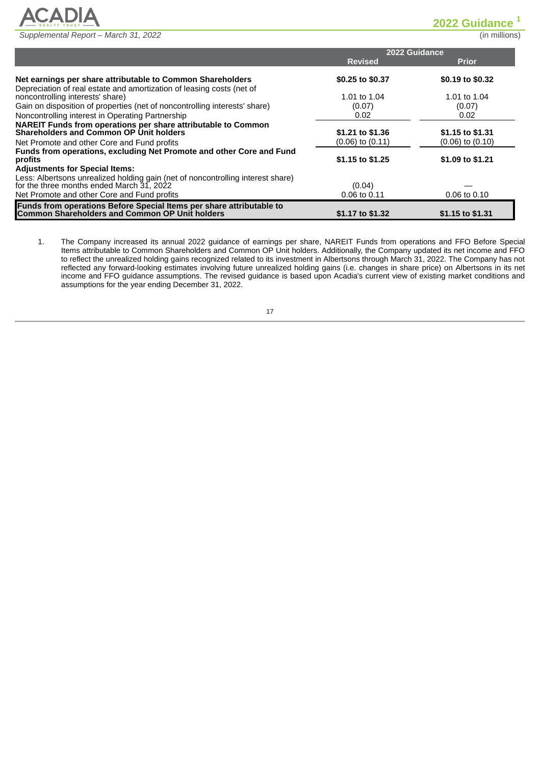

<span id="page-31-0"></span>**2022 Guidance 1**

|                                                                                 |                      | 2022 Guidance        |
|---------------------------------------------------------------------------------|----------------------|----------------------|
|                                                                                 | <b>Revised</b>       | <b>Prior</b>         |
| Net earnings per share attributable to Common Shareholders                      | \$0.25 to \$0.37     | \$0.19 to \$0.32     |
| Depreciation of real estate and amortization of leasing costs (net of           |                      |                      |
| noncontrolling interests' share)                                                | 1.01 to 1.04         | 1.01 to 1.04         |
| Gain on disposition of properties (net of noncontrolling interests' share)      | (0.07)               | (0.07)               |
| Noncontrolling interest in Operating Partnership                                | 0.02                 | 0.02                 |
| <b>NAREIT Funds from operations per share attributable to Common</b>            |                      |                      |
| <b>Shareholders and Common OP Unit holders</b>                                  | \$1.21 to \$1.36     | \$1.15 to \$1.31     |
| Net Promote and other Core and Fund profits                                     | $(0.06)$ to $(0.11)$ | $(0.06)$ to $(0.10)$ |
| Funds from operations, excluding Net Promote and other Core and Fund            |                      |                      |
| profits                                                                         | \$1.15 to \$1.25     | \$1.09 to \$1.21     |
| <b>Adjustments for Special Items:</b>                                           |                      |                      |
| Less: Albertsons unrealized holding gain (net of noncontrolling interest share) |                      |                      |
| for the three months ended March $31$ , 2022                                    | (0.04)               |                      |
| Net Promote and other Core and Fund profits                                     | 0.06 to 0.11         | 0.06 to 0.10         |
| Funds from operations Before Special Items per share attributable to            |                      |                      |
| <b>Common Shareholders and Common OP Unit holders</b>                           | \$1.17 to \$1.32     | \$1.15 to \$1.31     |

1. The Company increased its annual 2022 guidance of earnings per share, NAREIT Funds from operations and FFO Before Special Items attributable to Common Shareholders and Common OP Unit holders. Additionally, the Company updated its net income and FFO to reflect the unrealized holding gains recognized related to its investment in Albertsons through March 31, 2022. The Company has not reflected any forward-looking estimates involving future unrealized holding gains (i.e. changes in share price) on Albertsons in its net income and FFO guidance assumptions. The revised guidance is based upon Acadia's current view of existing market conditions and assumptions for the year ending December 31, 2022.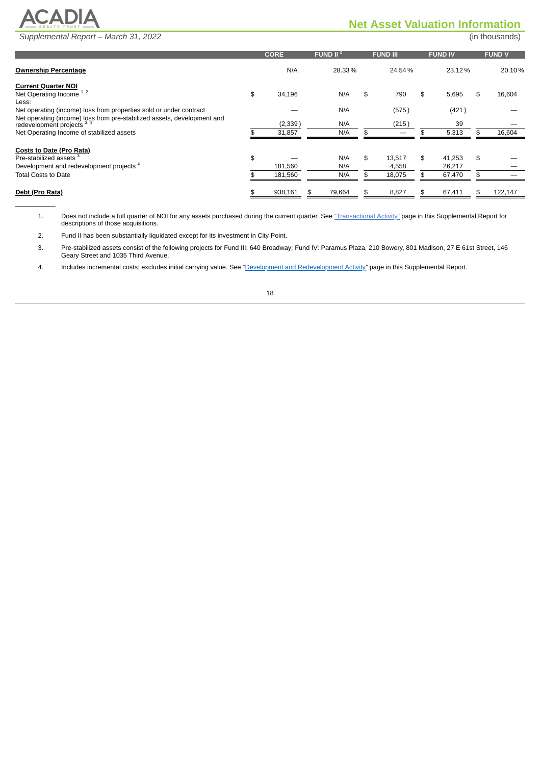

 $\overline{\phantom{a}}$ 

# <span id="page-32-0"></span>**Net Asset Valuation Information**

|                                                                                                    | <b>CORE</b>   | FUND II $^2$ |     | <b>FUND III</b> | <b>FUND IV</b> | <b>FUND V</b> |
|----------------------------------------------------------------------------------------------------|---------------|--------------|-----|-----------------|----------------|---------------|
| <b>Ownership Percentage</b>                                                                        | N/A           | 28.33%       |     | 24.54%          | 23.12%         | 20.10%        |
| <b>Current Quarter NOI</b>                                                                         |               |              |     |                 |                |               |
| Net Operating Income 1, 2                                                                          | \$<br>34,196  | N/A          | \$  | 790             | \$<br>5,695    | \$<br>16,604  |
| Less:                                                                                              |               |              |     |                 |                |               |
| Net operating (income) loss from properties sold or under contract                                 |               | N/A          |     | (575)           | (421)          |               |
| Net operating (income) loss from pre-stabilized assets, development and redevelopment projects 3,4 | (2, 339)      | N/A          |     | (215)           | 39             |               |
| Net Operating Income of stabilized assets                                                          | 31,857        | N/A          | \$. | –               | 5,313          | \$<br>16,604  |
| Costs to Date (Pro Rata)                                                                           |               |              |     |                 |                |               |
| Pre-stabilized assets <sup>3</sup>                                                                 | \$            | N/A          | \$  | 13,517          | \$<br>41,253   | \$            |
| Development and redevelopment projects <sup>4</sup>                                                | 181,560       | N/A          |     | 4,558           | 26,217         |               |
| <b>Total Costs to Date</b>                                                                         | 181,560       | N/A          |     | 18,075          | 67,470         |               |
|                                                                                                    |               |              |     |                 |                |               |
| Debt (Pro Rata)                                                                                    | \$<br>938,161 | 79,664       |     | 8,827           | 67,411         | 122,147       |

1. Does not include a full quarter of NOI for any assets purchased during the current quarter. See ["Transactional](#page-30-0) Activity" page in this Supplemental Report for descriptions of those acquisitions.

2. Fund II has been substantially liquidated except for its investment in City Point.

3. Pre-stabilized assets consist of the following projects for Fund III: 640 Broadway; Fund IV: Paramus Plaza, 210 Bowery, 801 Madison, 27 E 61st Street, 146 Geary Street and 1035 Third Avenue.

4. Includes incremental costs; excludes initial carrying value. See "Development and [Redevelopment](#page-53-0) Activity" page in this Supplemental Report.

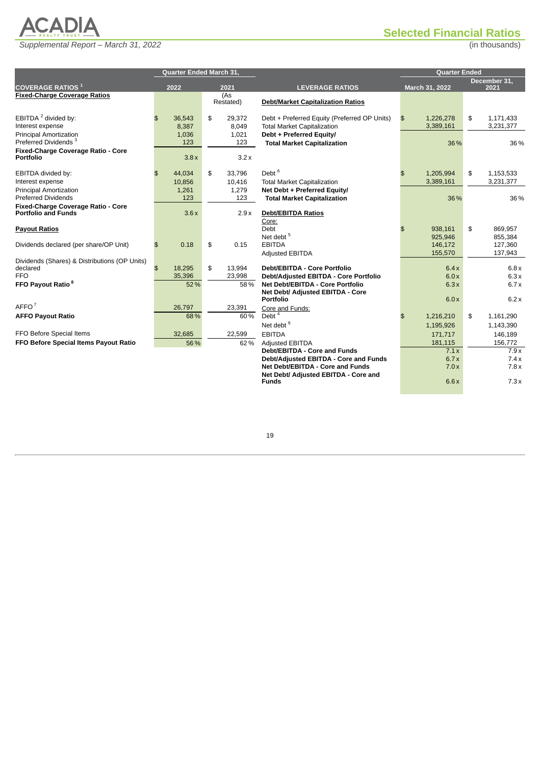

# <span id="page-33-0"></span>**Selected Financial Ratios**

|                                                                  | <b>Quarter Ended March 31,</b> |    |                  |                                                      |                | Quarter Ended  |    |              |  |  |  |
|------------------------------------------------------------------|--------------------------------|----|------------------|------------------------------------------------------|----------------|----------------|----|--------------|--|--|--|
|                                                                  |                                |    |                  |                                                      |                |                |    | December 31, |  |  |  |
| <b>COVERAGE RATIOS</b> 1                                         | 2022                           |    | 2021             | <b>LEVERAGE RATIOS</b>                               |                | March 31, 2022 |    | 2021         |  |  |  |
| <b>Fixed-Charge Coverage Ratios</b>                              |                                |    | (As<br>Restated) | <b>Debt/Market Capitalization Ratios</b>             |                |                |    |              |  |  |  |
| EBITDA <sup>2</sup> divided by:                                  | 36.543<br>$\mathfrak{L}$       | \$ | 29,372           | Debt + Preferred Equity (Preferred OP Units)         | \$             | 1,226,278      | \$ | 1,171,433    |  |  |  |
| Interest expense                                                 | 8,387                          |    | 8,049            | <b>Total Market Capitalization</b>                   |                | 3,389,161      |    | 3,231,377    |  |  |  |
| <b>Principal Amortization</b>                                    | 1,036                          |    | 1,021            | Debt + Preferred Equity/                             |                |                |    |              |  |  |  |
| Preferred Dividends <sup>3</sup>                                 | 123                            |    | 123              | <b>Total Market Capitalization</b>                   |                | 36%            |    | 36 %         |  |  |  |
| Fixed-Charge Coverage Ratio - Core<br><b>Portfolio</b>           | 3.8x                           |    | 3.2x             |                                                      |                |                |    |              |  |  |  |
| EBITDA divided by:                                               | 44.034<br>$\mathfrak{L}$       | \$ | 33.796           | Debt $6$                                             | $\mathfrak{P}$ | 1,205,994      | \$ | 1,153,533    |  |  |  |
| Interest expense                                                 | 10.856                         |    | 10,416           | <b>Total Market Capitalization</b>                   |                | 3,389,161      |    | 3,231,377    |  |  |  |
| <b>Principal Amortization</b>                                    | 1,261                          |    | 1,279            | Net Debt + Preferred Equity/                         |                |                |    |              |  |  |  |
| <b>Preferred Dividends</b>                                       | 123                            |    | 123              | <b>Total Market Capitalization</b>                   |                | 36%            |    | 36 %         |  |  |  |
| Fixed-Charge Coverage Ratio - Core<br><b>Portfolio and Funds</b> | 3.6x                           |    | 2.9x             | <b>Debt/EBITDA Ratios</b><br>Core:                   |                |                |    |              |  |  |  |
| <b>Payout Ratios</b>                                             |                                |    |                  | Debt                                                 | $\mathfrak{P}$ | 938.161        | \$ | 869.957      |  |  |  |
|                                                                  |                                |    |                  | Net debt <sup>5</sup>                                |                | 925,946        |    | 855,384      |  |  |  |
| Dividends declared (per share/OP Unit)                           | 0.18<br>$\mathfrak{S}$         | \$ | 0.15             | <b>EBITDA</b>                                        |                | 146,172        |    | 127,360      |  |  |  |
|                                                                  |                                |    |                  | Adjusted EBITDA                                      |                | 155,570        |    | 137,943      |  |  |  |
| Dividends (Shares) & Distributions (OP Units)<br>declared        | $\mathfrak{L}$<br>18.295       | \$ | 13.994           | <b>Debt/EBITDA - Core Portfolio</b>                  |                | 6.4x           |    | 6.8x         |  |  |  |
| FFO.                                                             | 35,396                         |    | 23,998           | Debt/Adjusted EBITDA - Core Portfolio                |                | 6.0x           |    | 6.3x         |  |  |  |
| FFO Payout Ratio <sup>8</sup>                                    | 52%                            |    | 58%              | <b>Net Debt/EBITDA - Core Portfolio</b>              |                | 6.3x           |    | 6.7x         |  |  |  |
|                                                                  |                                |    |                  | Net Debt/ Adjusted EBITDA - Core<br><b>Portfolio</b> |                | 6.0x           |    | 6.2x         |  |  |  |
| AFFO <sup>7</sup>                                                | 26,797                         |    | 23,391           | Core and Funds:                                      |                |                |    |              |  |  |  |
| <b>AFFO Payout Ratio</b>                                         | 68%                            |    | 60%              | Debt <sup>4</sup>                                    | \$             | 1,216,210      | \$ | 1,161,290    |  |  |  |
|                                                                  |                                |    |                  | Net debt <sup>6</sup>                                |                | 1,195,926      |    | 1,143,390    |  |  |  |
| FFO Before Special Items                                         | 32,685                         |    | 22,599           | <b>EBITDA</b>                                        |                | 171,717        |    | 146,189      |  |  |  |
| FFO Before Special Items Payout Ratio                            | 56%                            |    | 62%              | Adjusted EBITDA                                      |                | 181,115        |    | 156,772      |  |  |  |
|                                                                  |                                |    |                  | <b>Debt/EBITDA - Core and Funds</b>                  |                | 7.1x           |    | 7.9x         |  |  |  |
|                                                                  |                                |    |                  | Debt/Adjusted EBITDA - Core and Funds                |                | 6.7x           |    | 7.4x         |  |  |  |
|                                                                  |                                |    |                  | Net Debt/EBITDA - Core and Funds                     |                | 7.0x           |    | 7.8x         |  |  |  |
|                                                                  |                                |    |                  | Net Debt/ Adjusted EBITDA - Core and<br><b>Funds</b> |                | 6.6x           |    | 7.3x         |  |  |  |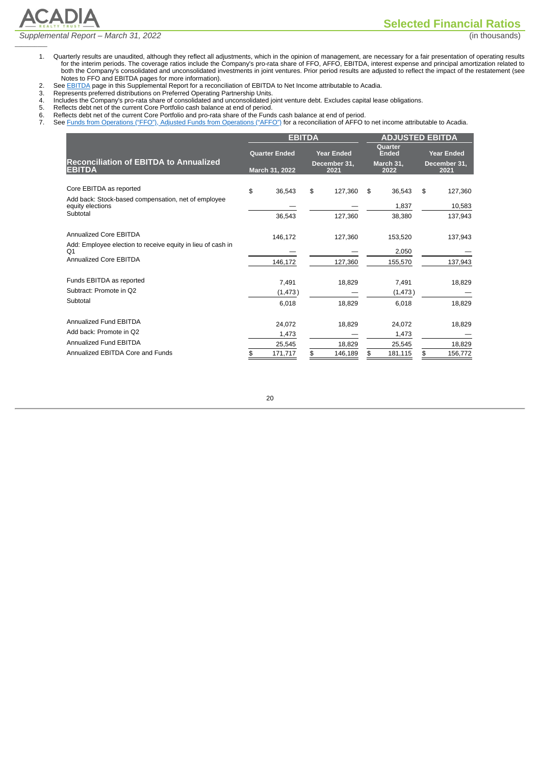*Supplemental Report – March 31, 2022* (in thousands)

 $\overline{\phantom{a}}$ 

**ACADIA** 

**Selected Financial Ratios**

- 1. Quarterly results are unaudited, although they reflect all adjustments, which in the opinion of management, are necessary for a fair presentation of operating results for the interim periods. The coverage ratios include the Company's pro-rata share of FFO, AFFO, EBITDA, interest expense and principal amortization related to both the Company's consolidated and unconsolidated investments in joint ventures. Prior period results are adjusted to reflect the impact of the restatement (see Notes to FFO and EBITDA pages for more information).
- 2. See [EBITDA](#page-26-0) page in this Supplemental Report for a reconciliation of EBITDA to Net Income attributable to Acadia.<br>3. Represents preferred distributions on Preferred Operating Partnership Units.<br>4. Includes the Company's
- Represents preferred distributions on Preferred Operating Partnership Units.
- 4. Includes the Company's pro-rata share of consolidated and unconsolidated joint venture debt. Excludes capital lease obligations.
- 5. Reflects debt net of the current Core Portfolio cash balance at end of period.
- 6. Reflects debt net of the current Core Portfolio cash balance at end of period.<br>6. Reflects debt net of the current Core Portfolio and pro-rata share of the Funds cash balance at end of period.<br>7. See Funds from Operatio
	- See Funds from [Operations](#page-25-0) ("FFO"), Adjusted Funds from Operations ("AFFO") for a reconciliation of AFFO to net income attributable to Acadia.

|                                                                         | <b>EBITDA</b>        |                      | <b>ADJUSTED EBITDA</b> |                                |    |                      |  |
|-------------------------------------------------------------------------|----------------------|----------------------|------------------------|--------------------------------|----|----------------------|--|
|                                                                         | <b>Quarter Ended</b> | <b>Year Ended</b>    |                        | <b>Ouarter</b><br><b>Ended</b> |    | <b>Year Ended</b>    |  |
| <b>Reconciliation of EBITDA to Annualized</b><br><b>EBITDA</b>          | March 31, 2022       | December 31,<br>2021 |                        | March 31,<br>2022              |    | December 31,<br>2021 |  |
| Core EBITDA as reported                                                 | \$<br>36,543         | \$<br>127.360        | \$                     | 36,543                         | \$ | 127,360              |  |
| Add back: Stock-based compensation, net of employee<br>equity elections |                      |                      |                        | 1,837                          |    | 10,583               |  |
| Subtotal                                                                | 36,543               | 127,360              |                        | 38,380                         |    | 137,943              |  |
| <b>Annualized Core EBITDA</b>                                           | 146,172              | 127,360              |                        | 153,520                        |    | 137,943              |  |
| Add: Employee election to receive equity in lieu of cash in<br>O1       |                      |                      |                        | 2,050                          |    |                      |  |
| Annualized Core EBITDA                                                  | 146,172              | 127,360              |                        | 155,570                        |    | 137,943              |  |
| Funds EBITDA as reported                                                | 7,491                | 18,829               |                        | 7,491                          |    | 18,829               |  |
| Subtract: Promote in Q2                                                 | (1, 473)             |                      |                        | (1, 473)                       |    |                      |  |
| Subtotal                                                                | 6,018                | 18,829               |                        | 6,018                          |    | 18,829               |  |
| Annualized Fund EBITDA                                                  | 24.072               | 18,829               |                        | 24.072                         |    | 18,829               |  |
| Add back: Promote in Q2                                                 | 1,473                |                      |                        | 1,473                          |    |                      |  |
| Annualized Fund EBITDA                                                  | 25,545               | 18.829               |                        | 25,545                         |    | 18,829               |  |
| Annualized EBITDA Core and Funds                                        | \$<br>171.717        | \$<br>146,189        | \$                     | 181,115                        | \$ | 156.772              |  |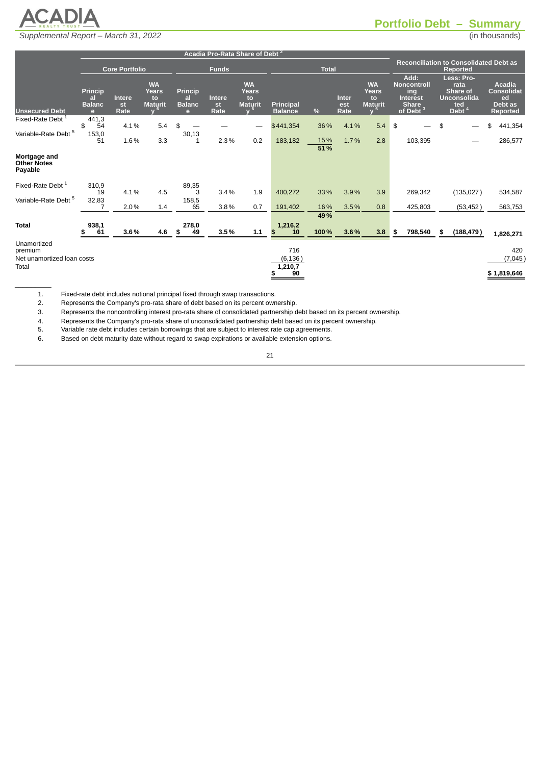

# <span id="page-35-0"></span>**Portfolio Debt – Summary**

|                                                      |                                            |                             |                                                   |                                                       | Acadia Pro-Rata Share of Debt <sup>2</sup> |                                                   |                                    |             |                             |                                                          |                                                                                      |                                                                          |                                                                 |
|------------------------------------------------------|--------------------------------------------|-----------------------------|---------------------------------------------------|-------------------------------------------------------|--------------------------------------------|---------------------------------------------------|------------------------------------|-------------|-----------------------------|----------------------------------------------------------|--------------------------------------------------------------------------------------|--------------------------------------------------------------------------|-----------------------------------------------------------------|
|                                                      |                                            | Core Portfolio              |                                                   |                                                       | <b>Funds</b>                               |                                                   | <b>Total</b>                       |             |                             |                                                          |                                                                                      | <b>Reconciliation to Consolidated Debt as</b><br>Reported                |                                                                 |
| <b>Unsecured Debt</b>                                | <b>Princip</b><br>al<br><b>Balanc</b><br>e | <b>Intere</b><br>st<br>Rate | <b>WA</b><br><b>Years</b><br>to<br><b>Maturit</b> | <b>Princip</b><br>al<br><b>Balanc</b><br>$\mathbf{e}$ | Intere<br>st<br>Rate                       | <b>WA</b><br><b>Years</b><br>to<br><b>Maturit</b> | <b>Principal</b><br><b>Balance</b> | %           | <b>Inter</b><br>est<br>Rate | <b>WA</b><br>Years<br>to<br><b>Maturit</b><br>$\sqrt{2}$ | Add:<br><b>Noncontroll</b><br>ing<br><b>Interest</b><br><b>Share</b><br>of Debt $^3$ | Less: Pro-<br>rata<br>Share of<br><b>Unconsolida</b><br>ted<br>Debt $^4$ | <b>Acadia</b><br><b>Consolidat</b><br>ed<br>Debt as<br>Reported |
| Fixed-Rate Debt <sup>1</sup>                         | 441,3<br>\$<br>54                          | 4.1%                        | 5.4                                               | \$                                                    |                                            |                                                   | \$441,354                          | 36%         | 4.1%                        | 5.4                                                      | \$                                                                                   | \$                                                                       | 441,354<br>\$                                                   |
| Variable-Rate Debt <sup>5</sup>                      | 153,0<br>51                                | 1.6%                        | 3.3                                               | 30,13<br>1                                            | 2.3%                                       | 0.2                                               | 183,182                            | 15%<br>51%  | 1.7%                        | 2.8                                                      | 103,395                                                                              |                                                                          | 286,577                                                         |
| Mortgage and<br><b>Other Notes</b><br>Payable        |                                            |                             |                                                   |                                                       |                                            |                                                   |                                    |             |                             |                                                          |                                                                                      |                                                                          |                                                                 |
| Fixed-Rate Debt <sup>1</sup>                         | 310,9<br>19                                | 4.1%                        | 4.5                                               | 89,35<br>3                                            | 3.4%                                       | 1.9                                               | 400,272                            | 33%         | 3.9%                        | 3.9                                                      | 269,342                                                                              | (135,027)                                                                | 534,587                                                         |
| Variable-Rate Debt <sup>5</sup>                      | 32,83                                      | 2.0%                        | 1.4                                               | 158,5<br>65                                           | 3.8%                                       | 0.7                                               | 191,402                            | 16%         | 3.5%                        | 0.8                                                      | 425,803                                                                              | (53, 452)                                                                | 563,753                                                         |
| <b>Total</b>                                         | 938,1<br>61<br>\$                          | 3.6%                        | 4.6                                               | 278,0<br>\$<br>49                                     | 3.5%                                       | 1.1                                               | 1,216,2<br>$\mathbf{F}$<br>10      | 49%<br>100% | 3.6%                        | 3.8                                                      | 798,540<br>- \$                                                                      | (188, 479)<br>\$                                                         | 1,826,271                                                       |
| Unamortized<br>premium<br>Net unamortized loan costs |                                            |                             |                                                   |                                                       |                                            |                                                   | 716<br>(6, 136)                    |             |                             |                                                          |                                                                                      |                                                                          | 420<br>(7,045)                                                  |
| Total                                                |                                            |                             |                                                   |                                                       |                                            |                                                   | 1,210,7<br>90                      |             |                             |                                                          |                                                                                      |                                                                          | \$1,819,646                                                     |

1. Fixed-rate debt includes notional principal fixed through swap transactions.

2. Represents the Company's pro-rata share of debt based on its percent ownership.

3. Represents the noncontrolling interest pro-rata share of consolidated partnership debt based on its percent ownership.

4. Represents the Company's pro-rata share of unconsolidated partnership debt based on its percent ownership.

5. Variable rate debt includes certain borrowings that are subject to interest rate cap agreements.

6. Based on debt maturity date without regard to swap expirations or available extension options.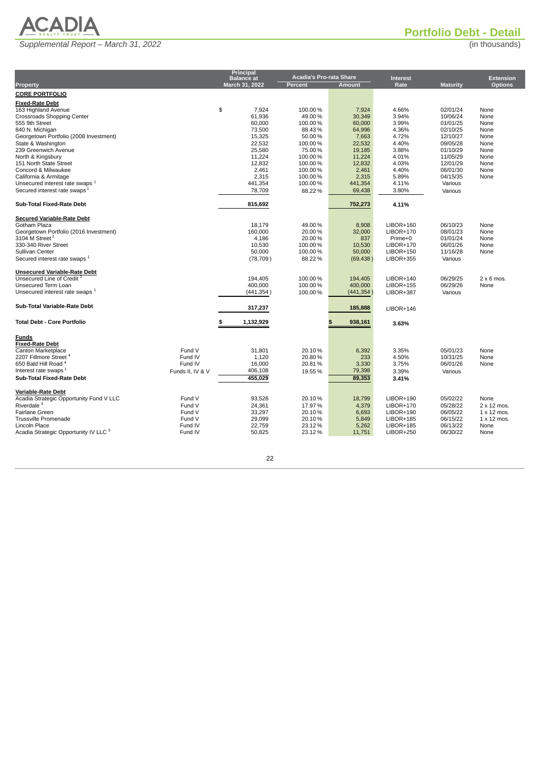

**Portfolio Debt - Detail**

<span id="page-36-0"></span>

|                                                                                                                                                                                                                                                                                           | <b>Principal</b>                                            |                                                            |                                                         |                                                                                                                      |                                                                      |                                                                          |
|-------------------------------------------------------------------------------------------------------------------------------------------------------------------------------------------------------------------------------------------------------------------------------------------|-------------------------------------------------------------|------------------------------------------------------------|---------------------------------------------------------|----------------------------------------------------------------------------------------------------------------------|----------------------------------------------------------------------|--------------------------------------------------------------------------|
|                                                                                                                                                                                                                                                                                           | <b>Balance</b> at                                           | <b>Acadia's Pro-rata Share</b>                             |                                                         | <b>Interest</b>                                                                                                      |                                                                      | <b>Extension</b>                                                         |
| <b>Property</b>                                                                                                                                                                                                                                                                           | March 31, 2022                                              | <b>Percent</b>                                             | <b>Amount</b>                                           | Rate                                                                                                                 | <b>Maturity</b>                                                      | <b>Options</b>                                                           |
| <b>CORE PORTFOLIO</b>                                                                                                                                                                                                                                                                     |                                                             |                                                            |                                                         |                                                                                                                      |                                                                      |                                                                          |
| <b>Fixed-Rate Debt</b><br>163 Highland Avenue<br><b>Crossroads Shopping Center</b><br>555 9th Street                                                                                                                                                                                      | \$<br>7,924<br>61,936<br>60,000                             | 100.00%<br>49.00%<br>100.00%                               | 7,924<br>30,349<br>60,000                               | 4.66%<br>3.94%<br>3.99%                                                                                              | 02/01/24<br>10/06/24<br>01/01/25                                     | None<br>None<br>None                                                     |
| 840 N. Michigan<br>Georgetown Portfolio (2008 Investment)<br>State & Washington<br>239 Greenwich Avenue                                                                                                                                                                                   | 73,500<br>15,325<br>22,532<br>25,580                        | 88.43%<br>50.00%<br>100.00%<br>75.00%                      | 64,996<br>7,663<br>22,532<br>19,185                     | 4.36%<br>4.72%<br>4.40%<br>3.88%                                                                                     | 02/10/25<br>12/10/27<br>09/05/28<br>01/10/29                         | None<br>None<br>None<br>None                                             |
| North & Kingsbury<br>151 North State Street<br>Concord & Milwaukee<br>California & Armitage                                                                                                                                                                                               | 11,224<br>12,832<br>2,461<br>2,315                          | 100.00%<br>100.00%<br>100.00%<br>100.00%                   | 11,224<br>12,832<br>2,461<br>2,315                      | 4.01%<br>4.03%<br>4.40%<br>5.89%                                                                                     | 11/05/29<br>12/01/29<br>06/01/30<br>04/15/35                         | None<br>None<br>None<br>None                                             |
| Unsecured interest rate swaps <sup>1</sup><br>Secured interest rate swaps <sup>1</sup><br><b>Sub-Total Fixed-Rate Debt</b>                                                                                                                                                                | 441,354<br>78,709<br>815,692                                | 100.00%<br>88.22%                                          | 441,354<br>69,438<br>752,273                            | 4.11%<br>3.80%<br>4.11%                                                                                              | Various<br>Various                                                   |                                                                          |
|                                                                                                                                                                                                                                                                                           |                                                             |                                                            |                                                         |                                                                                                                      |                                                                      |                                                                          |
| <b>Secured Variable-Rate Debt</b><br>Gotham Plaza<br>Georgetown Portfolio (2016 Investment)<br>3104 M Street <sup>2</sup><br>330-340 River Street<br>Sullivan Center<br>Secured interest rate swaps 1                                                                                     | 18,179<br>160,000<br>4,186<br>10.530<br>50,000<br>(78, 709) | 49.00%<br>20.00%<br>20.00%<br>100.00%<br>100.00%<br>88.22% | 8,908<br>32,000<br>837<br>10,530<br>50,000<br>(69, 438) | $LIBOR+160$<br><b>LIBOR+170</b><br>Prime+0<br><b>LIBOR+170</b><br><b>LIBOR+150</b><br><b>LIBOR+355</b>               | 06/10/23<br>08/01/23<br>01/01/24<br>06/01/26<br>11/16/28<br>Various  | None<br>None<br>None<br>None<br>None                                     |
| <b>Unsecured Variable-Rate Debt</b><br>Unsecured Line of Credit <sup>3</sup><br>Unsecured Term Loan<br>Unsecured interest rate swaps 1                                                                                                                                                    | 194,405<br>400,000<br>(441,354)                             | 100.00%<br>100.00%<br>100.00%                              | 194,405<br>400,000<br>(441, 354)                        | <b>LIBOR+140</b><br><b>LIBOR+155</b><br><b>LIBOR+387</b>                                                             | 06/29/25<br>06/29/26<br>Various                                      | $2 \times 6$ mos.<br>None                                                |
| Sub-Total Variable-Rate Debt                                                                                                                                                                                                                                                              | 317,237                                                     |                                                            | 185,888                                                 | <b>LIBOR+146</b>                                                                                                     |                                                                      |                                                                          |
| <b>Total Debt - Core Portfolio</b>                                                                                                                                                                                                                                                        | \$<br>1,132,929                                             |                                                            | 938,161                                                 | 3.63%                                                                                                                |                                                                      |                                                                          |
| Funds<br><b>Fixed-Rate Debt</b><br>Canton Marketplace<br>Fund V<br>2207 Fillmore Street 4<br>Fund IV<br>650 Bald Hill Road <sup>4</sup><br>Fund IV<br>Interest rate swaps <sup>1</sup><br>Funds II, IV & V<br><b>Sub-Total Fixed-Rate Debt</b>                                            | 31,801<br>1,120<br>16,000<br>406,108<br>455,029             | 20.10%<br>20.80%<br>20.81%<br>19.55%                       | 6,392<br>233<br>3,330<br>79,398<br>89,353               | 3.35%<br>4.50%<br>3.75%<br>3.39%<br>3.41%                                                                            | 05/01/23<br>10/31/25<br>06/01/26<br>Various                          | None<br>None<br>None                                                     |
| <b>Variable-Rate Debt</b><br>Acadia Strategic Opportunity Fund V LLC<br>Fund V<br>Riverdale <sup>4</sup><br>Fund V<br><b>Fairlane Green</b><br>Fund V<br><b>Trussville Promenade</b><br>Fund V<br>Lincoln Place<br>Fund IV<br>Acadia Strategic Opportunity IV LLC <sup>5</sup><br>Fund IV | 93,526<br>24,361<br>33,297<br>29,099<br>22,759<br>50,825    | 20.10%<br>17.97%<br>20.10%<br>20.10%<br>23.12%<br>23.12%   | 18,799<br>4,379<br>6,693<br>5,849<br>5,262<br>11,751    | <b>LIBOR+190</b><br><b>LIBOR+170</b><br><b>LIBOR+190</b><br><b>LIBOR+185</b><br><b>LIBOR+185</b><br><b>LIBOR+250</b> | 05/02/22<br>05/28/22<br>06/05/22<br>06/15/22<br>06/13/22<br>06/30/22 | None<br>$2 \times 12$ mos.<br>1 x 12 mos.<br>1 x 12 mos.<br>None<br>None |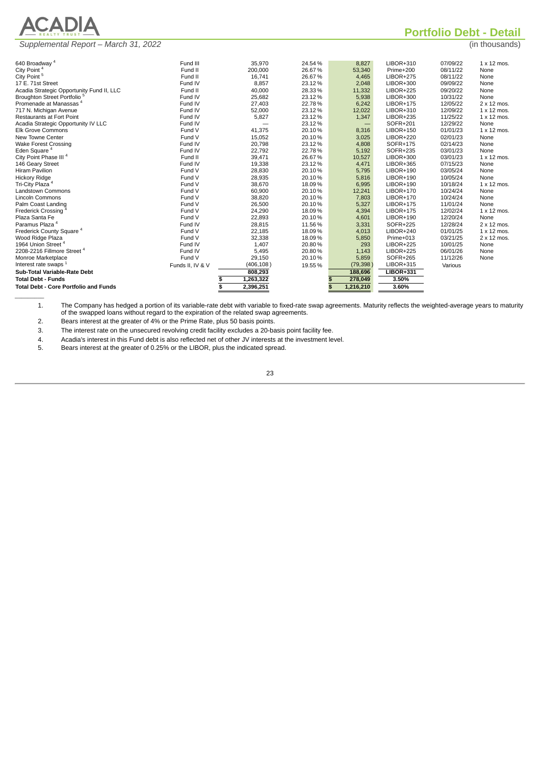|                          | REALTY TRUST - |  |
|--------------------------|----------------|--|
| <b>Contract Contract</b> | <b>Section</b> |  |

**Portfolio Debt - Detail**

*(in thousands)* 

|  | Supplemental Report - March 31, 2022 |
|--|--------------------------------------|
|--|--------------------------------------|

| 640 Broadway <sup>4</sup>                    | Fund III         | 35,970          | 24.54% | 8,827             | LIBOR+310        | 07/09/22 | $1 \times 12$ mos. |
|----------------------------------------------|------------------|-----------------|--------|-------------------|------------------|----------|--------------------|
| City Point <sup>4</sup>                      | Fund II          | 200.000         | 26.67% | 53.340            | Prime+200        | 08/11/22 | None               |
| City Point <sup>5</sup>                      | Fund II          | 16.741          | 26.67% | 4.465             | <b>LIBOR+275</b> | 08/11/22 | None               |
| 17 E. 71st Street                            | Fund IV          | 8,857           | 23.12% | 2,048             | LIBOR+300        | 09/09/22 | None               |
| Acadia Strategic Opportunity Fund II, LLC    | Fund II          | 40,000          | 28.33% | 11,332            | <b>LIBOR+225</b> | 09/20/22 | None               |
| Broughton Street Portfolio <sup>5</sup>      | Fund IV          | 25,682          | 23.12% | 5,938             | <b>LIBOR+300</b> | 10/31/22 | None               |
| Promenade at Manassas <sup>4</sup>           | Fund IV          | 27,403          | 22.78% | 6,242             | LIBOR+175        | 12/05/22 | 2 x 12 mos.        |
| 717 N. Michigan Avenue                       | Fund IV          | 52,000          | 23.12% | 12,022            | LIBOR+310        | 12/09/22 | $1 \times 12$ mos. |
| <b>Restaurants at Fort Point</b>             | Fund IV          | 5,827           | 23.12% | 1,347             | LIBOR+235        | 11/25/22 | $1 \times 12$ mos. |
| Acadia Strategic Opportunity IV LLC          | Fund IV          |                 | 23.12% | $\qquad \qquad -$ | SOFR+201         | 12/29/22 | None               |
| <b>Elk Grove Commons</b>                     | Fund V           | 41,375          | 20.10% | 8,316             | LIBOR+150        | 01/01/23 | $1 \times 12$ mos. |
| New Towne Center                             | Fund V           | 15,052          | 20.10% | 3,025             | LIBOR+220        | 02/01/23 | None               |
| <b>Wake Forest Crossing</b>                  | Fund IV          | 20,798          | 23.12% | 4,808             | SOFR+175         | 02/14/23 | None               |
| Eden Square <sup>4</sup>                     | Fund IV          | 22,792          | 22.78% | 5,192             | SOFR+235         | 03/01/23 | None               |
| City Point Phase III <sup>4</sup>            | Fund II          | 39,471          | 26.67% | 10,527            | $LIBOR+300$      | 03/01/23 | $1 \times 12$ mos. |
| 146 Geary Street                             | Fund IV          | 19,338          | 23.12% | 4,471             | $LIBOR+365$      | 07/15/23 | None               |
| <b>Hiram Pavilion</b>                        | Fund V           | 28,830          | 20.10% | 5,795             | $LIBOR+190$      | 03/05/24 | None               |
| <b>Hickory Ridge</b>                         | Fund V           | 28,935          | 20.10% | 5,816             | $LIBOR+190$      | 10/05/24 | None               |
| Tri-City Plaza <sup>4</sup>                  | Fund V           | 38,670          | 18.09% | 6,995             | LIBOR+190        | 10/18/24 | $1 \times 12$ mos. |
| <b>Landstown Commons</b>                     | Fund V           | 60,900          | 20.10% | 12,241            | LIBOR+170        | 10/24/24 | None               |
| <b>Lincoln Commons</b>                       | Fund V           | 38,820          | 20.10% | 7,803             | LIBOR+170        | 10/24/24 | None               |
| Palm Coast Landing                           | Fund V           | 26,500          | 20.10% | 5,327             | LIBOR+175        | 11/01/24 | None               |
| <b>Frederick Crossing</b>                    | Fund V           | 24,290          | 18.09% | 4,394             | <b>LIBOR+175</b> | 12/02/24 | $1 \times 12$ mos. |
| Plaza Santa Fe                               | Fund V           | 22,893          | 20.10% | 4,601             | LIBOR+190        | 12/20/24 | None               |
| Paramus Plaza <sup>4</sup>                   | Fund IV          | 28,815          | 11.56% | 3,331             | SOFR+225         | 12/28/24 | 2 x 12 mos.        |
| Frederick County Square <sup>4</sup>         | Fund V           | 22,185          | 18.09% | 4,013             | <b>LIBOR+240</b> | 01/01/25 | $1 \times 12$ mos. |
| Wood Ridge Plaza                             | Fund V           | 32,338          | 18.09% | 5,850             | Prime+013        | 03/21/25 | $2 \times 12$ mos. |
| 1964 Union Street <sup>4</sup>               | Fund IV          | 1,407           | 20.80% | 293               | <b>LIBOR+225</b> | 10/01/25 | None               |
| 2208-2216 Fillmore Street <sup>4</sup>       | Fund IV          | 5,495           | 20.80% | 1,143             | <b>LIBOR+225</b> | 06/01/26 | None               |
| Monroe Marketplace                           | Fund V           | 29,150          | 20.10% | 5,859             | SOFR+265         | 11/12/26 | None               |
| Interest rate swaps $1$                      | Funds II, IV & V | (406, 108)      | 19.55% | (79, 398)         | <b>LIBOR+315</b> | Various  |                    |
| Sub-Total Variable-Rate Debt                 |                  | 808,293         |        | 188,696           | <b>LIBOR+331</b> |          |                    |
| <b>Total Debt - Funds</b>                    |                  | 1,263,322<br>\$ |        | 278,049           | 3.50%            |          |                    |
| <b>Total Debt - Core Portfolio and Funds</b> |                  | 2,396,251<br>\$ |        | 1,216,210         | 3.60%            |          |                    |
|                                              |                  |                 |        |                   |                  |          |                    |
|                                              |                  |                 |        |                   |                  |          |                    |

1. The Company has hedged a portion of its variable-rate debt with variable to fixed-rate swap agreements. Maturity reflects the weighted-average years to maturity of the swapped loans without regard to the expiration of the related swap agreements.

2. Bears interest at the greater of 4% or the Prime Rate, plus 50 basis points.

3. The interest rate on the unsecured revolving credit facility excludes a 20-basis point facility fee.

4. Acadia's interest in this Fund debt is also reflected net of other JV interests at the investment level.

5. Bears interest at the greater of 0.25% or the LIBOR, plus the indicated spread.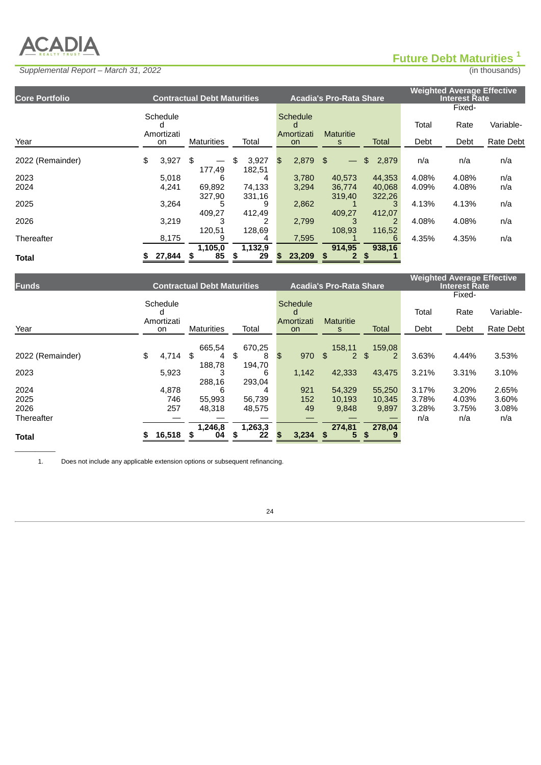# **ACADIA**

 $\overline{\phantom{a}}$ 

# <span id="page-38-0"></span>**Future Debt Maturities 1**

# *Supplemental Report – March 31, 2022* (in thousands)

| <b>Core Portfolio</b> |                        | <b>Contractual Debt Maturities</b> |    |         |    |                                    | <b>Acadia's Pro-Rata Share</b> |              | <b>Weighted Average Effective</b><br><b>Interest Rate</b> |        |           |  |
|-----------------------|------------------------|------------------------------------|----|---------|----|------------------------------------|--------------------------------|--------------|-----------------------------------------------------------|--------|-----------|--|
|                       |                        |                                    |    |         |    |                                    |                                |              |                                                           | Fixed- |           |  |
|                       | Schedule<br>Amortizati |                                    |    |         |    | <b>Schedule</b><br>d<br>Amortizati | <b>Maturitie</b>               |              | Total                                                     | Rate   | Variable- |  |
| Year                  | on                     | <b>Maturities</b>                  |    | Total   |    | <b>on</b>                          | S                              | <b>Total</b> | Debt                                                      | Debt   | Rate Debt |  |
| 2022 (Remainder)      | \$<br>3,927            | \$                                 | \$ | 3,927   | \$ | $2,879$ \$                         |                                | \$<br>2,879  | n/a                                                       | n/a    | n/a       |  |
|                       |                        | 177,49                             |    | 182,51  |    |                                    |                                |              |                                                           |        |           |  |
| 2023                  | 5,018                  | 6                                  |    | 4       |    | 3,780                              | 40,573                         | 44,353       | 4.08%                                                     | 4.08%  | n/a       |  |
| 2024                  | 4,241                  | 69.892                             |    | 74,133  |    | 3,294                              | 36,774                         | 40.068       | 4.09%                                                     | 4.08%  | n/a       |  |
|                       |                        | 327,90                             |    | 331,16  |    |                                    | 319,40                         | 322,26       |                                                           |        |           |  |
| 2025                  | 3,264                  | 5                                  |    | 9       |    | 2,862                              |                                | 3            | 4.13%                                                     | 4.13%  | n/a       |  |
|                       |                        | 409,27                             |    | 412,49  |    |                                    | 409,27                         | 412,07       |                                                           |        |           |  |
| 2026                  | 3.219                  |                                    |    |         |    | 2,799                              | 3                              | 2            | 4.08%                                                     | 4.08%  | n/a       |  |
|                       |                        | 120,51                             |    | 128,69  |    |                                    | 108,93                         | 116,52       |                                                           |        |           |  |
| Thereafter            | 8,175                  | q                                  |    | 4       |    | 7.595                              |                                | 6            | 4.35%                                                     | 4.35%  | n/a       |  |
|                       |                        | 1,105,0                            |    | 1,132,9 |    |                                    | 914,95                         | 938,16       |                                                           |        |           |  |
| <b>Total</b>          | 27,844                 | 85                                 | S  | 29      | S  | 23,209                             | \$                             | \$           |                                                           |        |           |  |
|                       |                        |                                    |    |         |    |                                    |                                |              |                                                           |        |           |  |

| <b>Funds</b>           |            | <b>Contractual Debt Maturities</b> |         |               | <b>Acadia's Pro-Rata Share</b> |              |       | <b>Weighted Average Effective</b><br><b>Interest Rate</b> |           |
|------------------------|------------|------------------------------------|---------|---------------|--------------------------------|--------------|-------|-----------------------------------------------------------|-----------|
|                        |            |                                    |         |               |                                |              |       | Fixed-                                                    |           |
|                        | Schedule   |                                    |         | Schedule<br>d |                                |              | Total | Rate                                                      | Variable- |
| Year                   | Amortizati | <b>Maturities</b>                  | Total   | Amortizati    | <b>Maturitie</b>               | <b>Total</b> | Debt  | Debt                                                      | Rate Debt |
|                        | on         |                                    |         | <sub>on</sub> | S                              |              |       |                                                           |           |
|                        |            | 665,54                             | 670,25  |               | 158,11                         | 159,08       |       |                                                           |           |
| \$<br>2022 (Remainder) | 4,714      | \$<br>4                            | \$<br>8 | 970<br>\$     | \$                             | \$           | 3.63% | 4.44%                                                     | 3.53%     |
|                        |            | 188.78                             | 194,70  |               |                                |              |       |                                                           |           |
| 2023                   | 5,923      | 3                                  | 6       | 1,142         | 42,333                         | 43,475       | 3.21% | 3.31%                                                     | 3.10%     |
|                        |            | 288.16                             | 293,04  |               |                                |              |       |                                                           |           |
| 2024                   | 4,878      | 6                                  | 4       | 921           | 54.329                         | 55,250       | 3.17% | 3.20%                                                     | 2.65%     |
| 2025                   | 746        | 55,993                             | 56,739  | 152           | 10,193                         | 10,345       | 3.78% | 4.03%                                                     | 3.60%     |
| 2026                   | 257        | 48.318                             | 48.575  | 49            | 9.848                          | 9,897        | 3.28% | 3.75%                                                     | 3.08%     |
| Thereafter             |            |                                    |         |               |                                |              | n/a   | n/a                                                       | n/a       |
|                        |            | 1,246,8                            | 1,263,3 |               | 274,81                         | 278,04       |       |                                                           |           |
| <b>Total</b>           | 16,518     | \$<br>04                           | 22      | 3,234         | \$                             |              |       |                                                           |           |

1. Does not include any applicable extension options or subsequent refinancing.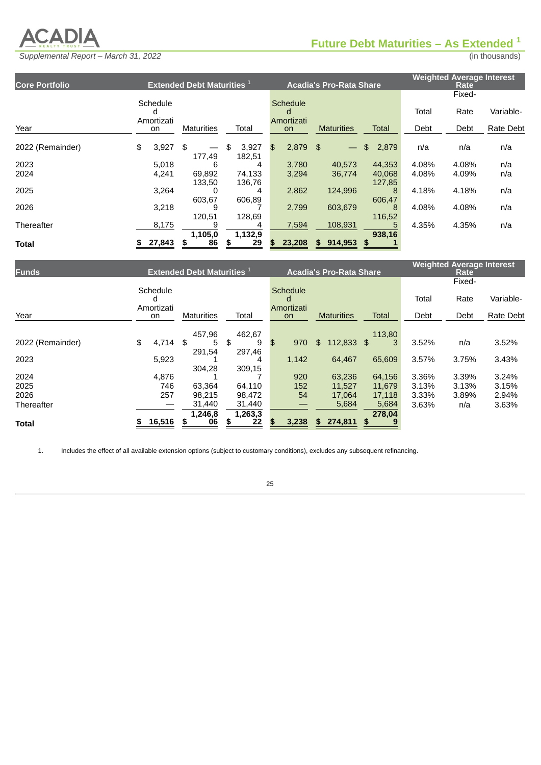

*Supplemental Report – March 31, 2022* (in thousands)

**1**

| <b>Core Portfolio</b> |                  | <b>Extended Debt Maturities<sup>1</sup></b> |                       |                  | <b>Acadia's Pro-Rata Share</b> |                  |       | <b>Weighted Average Interest</b><br>Rate |           |
|-----------------------|------------------|---------------------------------------------|-----------------------|------------------|--------------------------------|------------------|-------|------------------------------------------|-----------|
|                       |                  |                                             |                       |                  |                                |                  |       | Fixed-                                   |           |
|                       | Schedule         |                                             |                       | Schedule<br>d    |                                |                  | Total | Rate                                     | Variable- |
| Year                  | Amortizati<br>on | <b>Maturities</b>                           | Total                 | Amortizati<br>on | <b>Maturities</b>              | <b>Total</b>     | Debt  | Debt                                     | Rate Debt |
| 2022 (Remainder)      | \$<br>3,927      | \$<br>177,49                                | 3,927<br>\$<br>182,51 | \$<br>$2,879$ \$ | $\overline{\phantom{m}}$       | \$<br>2,879      | n/a   | n/a                                      | n/a       |
| 2023                  | 5,018            | 6                                           | 4                     | 3,780            | 40.573                         | 44.353           | 4.08% | 4.08%                                    | n/a       |
| 2024                  | 4,241            | 69,892<br>133,50                            | 74,133<br>136,76      | 3,294            | 36,774                         | 40,068<br>127,85 | 4.08% | 4.09%                                    | n/a       |
| 2025                  | 3,264            | 603,67                                      | 4<br>606,89           | 2,862            | 124,996                        | 8<br>606,47      | 4.18% | 4.18%                                    | n/a       |
| 2026                  | 3,218            | 9<br>120,51                                 | 128,69                | 2.799            | 603.679                        | 8<br>116,52      | 4.08% | 4.08%                                    | n/a       |
| Thereafter            | 8,175            |                                             |                       | 7,594            | 108.931                        |                  | 4.35% | 4.35%                                    | n/a       |
| <b>Total</b>          | 27,843           | 1,105,0<br>\$<br>86                         | 1,132,9<br>\$<br>29   | \$<br>23,208     | 914,953<br>\$                  | 938,16<br>\$     |       |                                          |           |

| <b>Funds</b>     |                             | <b>Extended Debt Maturities</b> <sup>1</sup> |             |                             | <b>Acadia's Pro-Rata Share</b> |         | <b>Weighted Average Interest</b><br>Rate |        |           |  |
|------------------|-----------------------------|----------------------------------------------|-------------|-----------------------------|--------------------------------|---------|------------------------------------------|--------|-----------|--|
|                  |                             |                                              |             |                             |                                |         |                                          | Fixed- |           |  |
|                  | Schedule                    |                                              |             | <b>Schedule</b><br>d        |                                |         | Total                                    | Rate   | Variable- |  |
| Year             | Amortizati<br><sub>on</sub> | <b>Maturities</b>                            | Total       | Amortizati<br><sub>on</sub> | <b>Maturities</b>              | Total   | Debt                                     | Debt   | Rate Debt |  |
|                  |                             | 457,96                                       | 462,67      |                             |                                | 113,80  |                                          |        |           |  |
| 2022 (Remainder) | \$<br>4,714                 | \$<br>5                                      | \$<br>9     | \$<br>970                   | 112,833<br>\$                  | \$<br>3 | 3.52%                                    | n/a    | 3.52%     |  |
| 2023             | 5,923                       | 291,54                                       | 297,46<br>4 | 1,142                       | 64.467                         | 65,609  | 3.57%                                    | 3.75%  | 3.43%     |  |
| 2024             | 4,876                       | 304,28                                       | 309,15      | 920                         | 63,236                         | 64,156  | 3.36%                                    | 3.39%  | 3.24%     |  |
| 2025             | 746                         | 63.364                                       | 64.110      | 152                         | 11,527                         | 11,679  | 3.13%                                    | 3.13%  | 3.15%     |  |
| 2026             | 257                         | 98,215                                       | 98,472      | 54                          | 17,064                         | 17,118  | 3.33%                                    | 3.89%  | 2.94%     |  |
| Thereafter       |                             | 31,440                                       | 31,440      |                             | 5,684                          | 5,684   | 3.63%                                    | n/a    | 3.63%     |  |
|                  |                             | 1,246,8                                      | 1,263,3     |                             |                                | 278,04  |                                          |        |           |  |
| <b>Total</b>     | 16,516                      | 06<br>\$                                     | 22<br>\$    | 3,238                       | 274,811<br>S                   | \$      |                                          |        |           |  |

1. Includes the effect of all available extension options (subject to customary conditions), excludes any subsequent refinancing.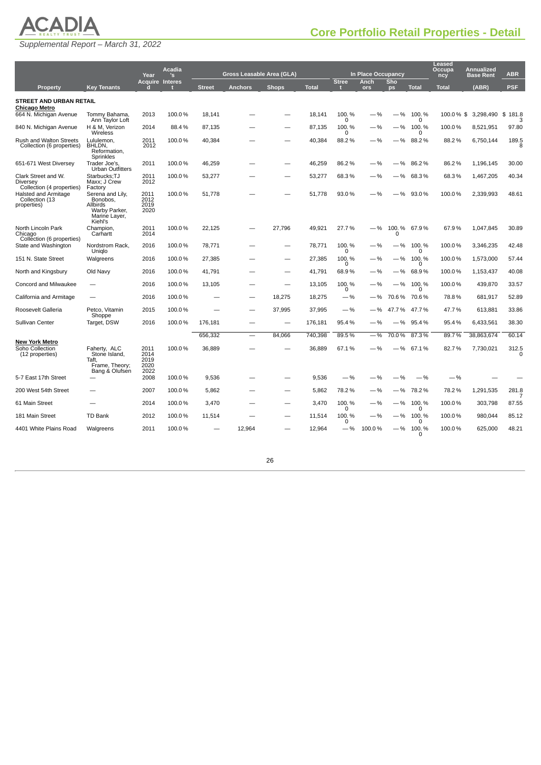# **ACADIA**

<span id="page-40-0"></span>

|                                                              |                                                                                       | Year                                 | Acadia<br>'s           |               | <b>Gross Leasable Area (GLA)</b> |              |              |                   | In Place Occupancy |           |               | <b>Leased</b><br>Occupa<br>ncy | <b>Annualized</b><br><b>Base Rent</b> | <b>ABR</b>       |
|--------------------------------------------------------------|---------------------------------------------------------------------------------------|--------------------------------------|------------------------|---------------|----------------------------------|--------------|--------------|-------------------|--------------------|-----------|---------------|--------------------------------|---------------------------------------|------------------|
| <b>Property</b>                                              | <b>Key Tenants</b>                                                                    |                                      | <b>Acquire Interes</b> | <b>Street</b> | <b>Anchors</b>                   | <b>Shops</b> | <b>Total</b> | <b>Stree</b><br>п | Anch<br>ors        | Sho<br>ps | <b>Total</b>  | <b>Total</b>                   | (ABR)                                 | <b>PSF</b>       |
| <b>STREET AND URBAN RETAIL</b><br>Chicago Metro              |                                                                                       |                                      |                        |               |                                  |              |              |                   |                    |           |               |                                |                                       |                  |
| 664 N. Michigan Avenue                                       | Tommy Bahama,<br>Ann Taylor Loft                                                      | 2013                                 | 100.0%                 | 18,141        |                                  |              | 18,141       | 100.%<br>ŋ        | -%                 | - %       | 100.%<br>O    | 100.0%\$                       | 3,298,490                             | 181.8<br>\$<br>З |
| 840 N. Michigan Avenue                                       | H & M. Verizon<br>Wireless                                                            | 2014                                 | 88.4%                  | 87,135        |                                  |              | 87,135       | 100.%<br>O        | $-$ %              | —%        | 100.%<br>O    | 100.0%                         | 8,521,951                             | 97.80            |
| Rush and Walton Streets<br>Collection (6 properties)         | Lululemon,<br>BHLDN,<br>Reformation,<br>Sprinkles                                     | 2011<br>2012                         | 100.0%                 | 40,384        |                                  |              | 40,384       | 88.2%             | $-$ %              | —%        | 88.2%         | 88.2%                          | 6,750,144                             | 189.5<br>8       |
| 651-671 West Diversey                                        | Trader Joe's,<br><b>Urban Outfitters</b>                                              | 2011                                 | 100.0%                 | 46,259        |                                  |              | 46,259       | 86.2%             | $-$ %              | $-$ %     | 86.2%         | 86.2%                          | 1,196,145                             | 30.00            |
| Clark Street and W.<br>Diversey<br>Collection (4 properties) | Starbucks;TJ<br>Maxx; J Crew<br>Factory                                               | 2011<br>2012                         | 100.0%                 | 53,277        |                                  |              | 53,277       | 68.3%             | —%                 | —%        | 68.3%         | 68.3%                          | 1,467,205                             | 40.34            |
| Halsted and Armitage<br>Collection (13<br>properties)        | Serena and Lily,<br>Bonobos,<br>Allbirds<br>Warby Parker,<br>Marine Layer,<br>Kiehl's | 2011<br>2012<br>2019<br>2020         | 100.0%                 | 51,778        |                                  |              | 51,778       | 93.0%             | $-$ %              | $-$ %     | 93.0%         | 100.0%                         | 2,339,993                             | 48.61            |
| North Lincoln Park<br>Chicago<br>Collection (6 properties)   | Champion,<br>Carhartt                                                                 | 2011<br>2014                         | 100.0%                 | 22,125        |                                  | 27,796       | 49,921       | 27.7%             | $-$ %              | 0         | 100. % 67.9 % | 67.9%                          | 1,047,845                             | 30.89            |
| State and Washington                                         | Nordstrom Rack,<br>Uniglo                                                             | 2016                                 | 100.0%                 | 78,771        |                                  |              | 78,771       | 100.%<br>0        | -%                 | $-$ %     | 100.%<br>O    | 100.0%                         | 3,346,235                             | 42.48            |
| 151 N. State Street                                          | Walgreens                                                                             | 2016                                 | 100.0%                 | 27,385        |                                  |              | 27,385       | 100.%<br>0        | $-$ %              | —%        | 100.%<br>O    | 100.0%                         | 1,573,000                             | 57.44            |
| North and Kingsbury                                          | Old Navy                                                                              | 2016                                 | 100.0%                 | 41,791        |                                  |              | 41,791       | 68.9%             | -%                 | —%        | 68.9%         | 100.0%                         | 1,153,437                             | 40.08            |
| Concord and Milwaukee                                        |                                                                                       | 2016                                 | 100.0%                 | 13,105        |                                  |              | 13,105       | 100.%<br>0        | $-$ %              | —%        | 100.%<br>O    | 100.0%                         | 439,870                               | 33.57            |
| California and Armitage                                      |                                                                                       | 2016                                 | 100.0%                 |               |                                  | 18,275       | 18,275       | $-$ %             | $-$ %              | 70.6%     | 70.6%         | 78.8%                          | 681,917                               | 52.89            |
| Roosevelt Galleria                                           | Petco, Vitamin<br>Shoppe                                                              | 2015                                 | 100.0%                 |               |                                  | 37,995       | 37,995       | $-$ %             | $-$ %              | 47.7%     | 47.7%         | 47.7%                          | 613,881                               | 33.86            |
| Sullivan Center                                              | Target, DSW                                                                           | 2016                                 | 100.0%                 | 176,181       |                                  |              | 176,181      | 95.4%             | $-$ %              | $-\%$     | 95.4%         | 95.4%                          | 6,433,561                             | 38.30            |
| New York Metro                                               |                                                                                       |                                      |                        | 656,332       |                                  | 84,066       | 740,398      | 89.5%             | $-$ %              | 70.0%     | 87.3%         | 89.7%                          | 38,863,674                            | 60.14            |
| Soho Collection<br>(12 properties)                           | Faherty, ALC<br>Stone Island,<br>Taft,<br>Frame, Theory;<br>Bang & Olufsen            | 2011<br>2014<br>2019<br>2020<br>2022 | 100.0%                 | 36,889        |                                  |              | 36,889       | 67.1%             | $-$ %              |           | $-$ % 67.1%   | 82.7%                          | 7,730,021                             | 312.5<br>O       |
| 5-7 East 17th Street                                         |                                                                                       | 2008                                 | 100.0%                 | 9,536         |                                  |              | 9,536        | $-$ %             | -%                 | $-$ %     | $-$ %         | $-$ %                          |                                       |                  |
| 200 West 54th Street                                         |                                                                                       | 2007                                 | 100.0%                 | 5,862         |                                  |              | 5,862        | 78.2%             | $-$ %              | —%        | 78.2%         | 78.2%                          | 1,291,535                             | 281.8            |
| 61 Main Street                                               |                                                                                       | 2014                                 | 100.0%                 | 3,470         |                                  |              | 3,470        | 100.%<br>0        | -%                 | —%        | 100.%<br>0    | 100.0%                         | 303,798                               | 87.55            |
| 181 Main Street                                              | <b>TD Bank</b>                                                                        | 2012                                 | 100.0%                 | 11,514        |                                  |              | 11,514       | 100.%<br>0        | $-$ %              | —%        | 100.%<br>0    | 100.0%                         | 980,044                               | 85.12            |
| 4401 White Plains Road                                       | Walgreens                                                                             | 2011                                 | 100.0%                 |               | 12,964                           |              | 12,964       | $-$ %             | 100.0%             | —%        | 100.%<br>0    | 100.0%                         | 625,000                               | 48.21            |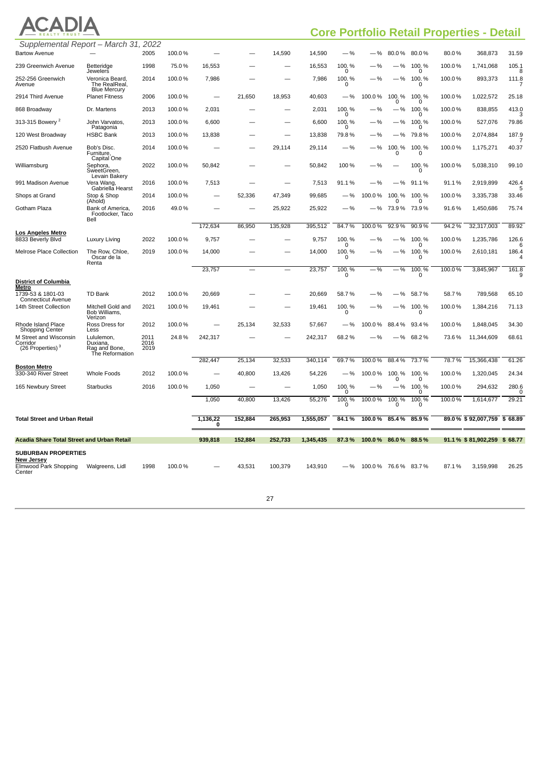|  |           | ADIA |
|--|-----------|------|
|  | FALTY TRU |      |

# **Core Portfolio Retail Properties - Detail**

| Supplemental Report – March 31, 2022                               |                                                            |                      |        |                          |         |                          |           |                   |                    |                       |                       |        |                            |            |
|--------------------------------------------------------------------|------------------------------------------------------------|----------------------|--------|--------------------------|---------|--------------------------|-----------|-------------------|--------------------|-----------------------|-----------------------|--------|----------------------------|------------|
| <b>Bartow Avenue</b>                                               |                                                            | 2005                 | 100.0% |                          |         | 14,590                   | 14,590    | $-$ %             | . %                | 80.0%                 | 80.0%                 | 80.0%  | 368,873                    | 31.59      |
| 239 Greenwich Avenue                                               | Betteridge<br>Jewelers                                     | 1998                 | 75.0%  | 16,553                   |         |                          | 16,553    | 100.%<br>0        | $-$ %              | -%                    | 100.%<br>0            | 100.0% | 1,741,068                  | 105.1<br>8 |
| 252-256 Greenwich<br>Avenue                                        | Veronica Beard,<br>The RealReal,<br><b>Blue Mercury</b>    | 2014                 | 100.0% | 7,986                    |         |                          | 7,986     | 100.%<br>0        | $-$ %              |                       | $-$ % 100. %<br>0     | 100.0% | 893,373                    | 111.8      |
| 2914 Third Avenue                                                  | <b>Planet Fitness</b>                                      | 2006                 | 100.0% |                          | 21,650  | 18,953                   | 40,603    | $-$ %             | 100.0%             | 100.%<br>n            | 100.%<br><sup>0</sup> | 100.0% | 1,022,572                  | 25.18      |
| 868 Broadway                                                       | Dr. Martens                                                | 2013                 | 100.0% | 2,031                    |         |                          | 2,031     | 100.%<br>$\Omega$ | —%                 | -%                    | 100.%<br>$\Omega$     | 100.0% | 838,855                    | 413.0      |
| 313-315 Bowery <sup>2</sup>                                        | John Varvatos,<br>Patagonia                                | 2013                 | 100.0% | 6,600                    |         |                          | 6,600     | 100.%<br>0        | $-$ %              | —%                    | 100.%<br>0            | 100.0% | 527,076                    | 79.86      |
| 120 West Broadway                                                  | <b>HSBC Bank</b>                                           | 2013                 | 100.0% | 13,838                   |         |                          | 13,838    | 79.8%             | $-$ %              | —%                    | 79.8%                 | 100.0% | 2,074,884                  | 187.9      |
| 2520 Flatbush Avenue                                               | Bob's Disc.<br>Furniture,<br>Capital One                   | 2014                 | 100.0% |                          |         | 29,114                   | 29,114    | $-$ %             | $-$ %              | 100.%<br>0            | 100.%<br>0            | 100.0% | 1,175,271                  | 40.37      |
| Williamsburg                                                       | Sephora,<br>SweetGreen,<br>Levain Bakery                   | 2022                 | 100.0% | 50,842                   |         |                          | 50,842    | 100 %             | —%                 |                       | 100.%<br>0            | 100.0% | 5,038,310                  | 99.10      |
| 991 Madison Avenue                                                 | Vera Wang,<br>Gabriella Hearst                             | 2016                 | 100.0% | 7,513                    |         | $\overline{\phantom{0}}$ | 7,513     | 91.1%             | $-$ %              | —%                    | 91.1%                 | 91.1%  | 2,919,899                  | 426.4<br>5 |
| Shops at Grand                                                     | Stop & Shop<br>(Ahold)                                     | 2014                 | 100.0% |                          | 52,336  | 47,349                   | 99,685    | $-$ %             | 100.0%             | 100.%<br>0            | 100.%<br>0            | 100.0% | 3,335,738                  | 33.46      |
| Gotham Plaza                                                       | Bank of America,<br>Footlocker, Taco<br>Bell               | 2016                 | 49.0%  |                          |         | 25,922                   | 25,922    | $-$ %             | —%                 |                       | 73.9% 73.9%           | 91.6%  | 1,450,686                  | 75.74      |
|                                                                    |                                                            |                      |        | 172,634                  | 86,950  | 135,928                  | 395,512   | 84.7%             | 100.0%             | 92.9%                 | 90.9%                 | 94.2%  | 32,317,003                 | 89.92      |
| <b>Los Angeles Metro</b><br>8833 Beverly Blvd                      | Luxury Living                                              | 2022                 | 100.0% | 9,757                    |         |                          | 9,757     | 100.%<br>0        | -%                 | -%                    | 100.%<br><sup>0</sup> | 100.0% | 1,235,786                  | 126.6      |
| Melrose Place Collection                                           | The Row, Chloe,<br>Oscar de la<br>Renta                    | 2019                 | 100.0% | 14,000                   |         |                          | 14,000    | 100.%<br>0        | $-$ %              | —%                    | 100.%<br>0            | 100.0% | 2,610,181                  | 186.4<br>4 |
|                                                                    |                                                            |                      |        | 23,757                   |         |                          | 23,757    | 100.%<br>0        | $-$ %              | - %                   | 100.%<br>0            | 100.0% | 3,845,967                  | 161.8      |
| <b>District of Columbia</b><br><b>Metro</b>                        |                                                            |                      |        |                          |         |                          |           |                   |                    |                       |                       |        |                            |            |
| 1739-53 & 1801-03<br><b>Connecticut Avenue</b>                     | TD Bank                                                    | 2012                 | 100.0% | 20,669                   |         |                          | 20,669    | 58.7%             | $-$ %              | $-$ %                 | 58.7%                 | 58.7%  | 789,568                    | 65.10      |
| 14th Street Collection                                             | Mitchell Gold and<br>Bob Williams,<br>Verizon              | 2021                 | 100.0% | 19,461                   |         |                          | 19,461    | 100.%<br>0        | $-$ %              | $-$ %                 | 100.%<br>O            | 100.0% | 1,384,216                  | 71.13      |
| Rhode Island Place<br><b>Shopping Center</b>                       | Ross Dress for<br>Less                                     | 2012                 | 100.0% |                          | 25,134  | 32.533                   | 57,667    | $-$ %             | 100.0%             | 88.4%                 | 93.4%                 | 100.0% | 1,848,045                  | 34.30      |
| M Street and Wisconsin<br>Corridor<br>(26 Properties) <sup>3</sup> | Lululemon,<br>Duxiana,<br>Rag and Bone,<br>The Reformation | 2011<br>2016<br>2019 | 24.8%  | 242,317                  |         |                          | 242,317   | 68.2%             | .9/0               | - %                   | 68.2%                 | 73.6%  | 11,344,609                 | 68.61      |
|                                                                    |                                                            |                      |        | 282,447                  | 25,134  | 32,533                   | 340,114   | 69.7%             | 100.0%             | 88.4%                 | 73.7%                 | 78.7%  | 15,366,438                 | 61.26      |
| <b>Boston Metro</b><br>330-340 River Street                        | <b>Whole Foods</b>                                         | 2012                 | 100.0% | $\overline{\phantom{0}}$ | 40,800  | 13,426                   | 54,226    | —%                | 100.0%             | 100.%<br><sup>0</sup> | 100.%<br>0            | 100.0% | 1,320,045                  | 24.34      |
| 165 Newbury Street                                                 | <b>Starbucks</b>                                           | 2016                 | 100.0% | 1,050                    |         |                          | 1,050     | 100.%<br>0        | $-$ %              | —%                    | 100.%<br>0            | 100.0% | 294,632                    | 280.6<br>0 |
|                                                                    |                                                            |                      |        | 1,050                    | 40,800  | 13,426                   | 55,276    | 100.%<br>0        | 100.0%             | 100.%<br>0            | 100.%<br>0            | 100.0% | 1,614,677                  | 29.21      |
| <b>Total Street and Urban Retail</b>                               |                                                            |                      |        | 1,136,22                 | 152,884 | 265,953                  | 1,555,057 | 84.1%             | 100.0%             | 85.4%                 | 85.9%                 |        | 89.0% \$92,007,759 \$68.89 |            |
|                                                                    |                                                            |                      |        | 0                        |         |                          |           |                   |                    |                       |                       |        |                            |            |
| <b>Acadia Share Total Street and Urban Retail</b>                  |                                                            |                      |        | 939,818                  | 152,884 | 252,733                  | 1,345,435 | 87.3%             | 100.0%             | 86.0%                 | 88.5%                 |        | 91.1% \$81,902,259 \$68.77 |            |
| <b>SUBURBAN PROPERTIES</b>                                         |                                                            |                      |        |                          |         |                          |           |                   |                    |                       |                       |        |                            |            |
| <b>New Jersey</b><br>Elmwood Park Shopping<br>Center               | Walgreens, Lidl                                            | 1998                 | 100.0% |                          | 43,531  | 100,379                  | 143,910   | $-$ %             | 100.0% 76.6% 83.7% |                       |                       | 87.1%  | 3,159,998                  | 26.25      |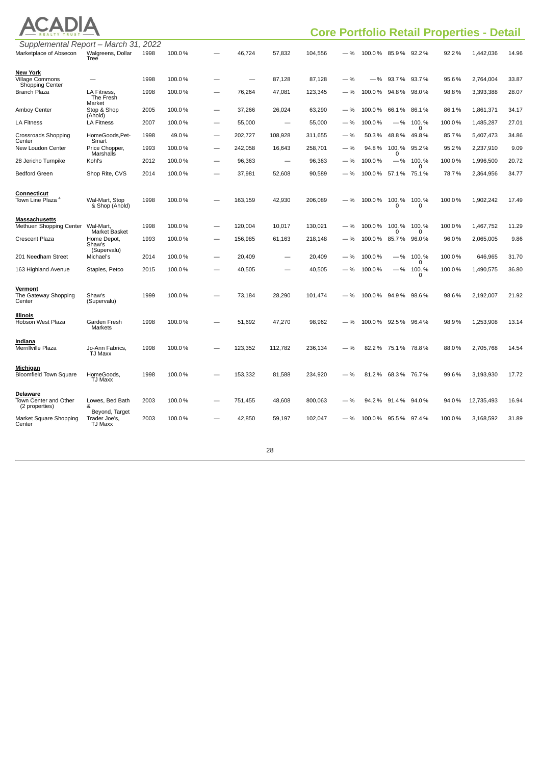|                                                            | <b>Core Portfolio Retail Properties - Detail</b> |      |        |   |         |                          |         |       |                       |                       |                       |        |            |       |
|------------------------------------------------------------|--------------------------------------------------|------|--------|---|---------|--------------------------|---------|-------|-----------------------|-----------------------|-----------------------|--------|------------|-------|
| Supplemental Report - March 31, 2022                       |                                                  |      |        |   |         |                          |         |       |                       |                       |                       |        |            |       |
| Marketplace of Absecon                                     | Walgreens, Dollar<br>Tree                        | 1998 | 100.0% |   | 46,724  | 57,832                   | 104,556 | $-$ % | 100.0 % 85.9 % 92.2 % |                       |                       | 92.2%  | 1,442,036  | 14.96 |
| <b>New York</b>                                            |                                                  |      |        |   |         |                          |         |       |                       |                       |                       |        |            |       |
| <b>Village Commons</b><br>Shopping Center                  |                                                  | 1998 | 100.0% |   |         | 87,128                   | 87,128  | $-$ % | —%                    |                       | 93.7% 93.7%           | 95.6%  | 2,764,004  | 33.87 |
| <b>Branch Plaza</b>                                        | LA Fitness,<br>The Fresh                         | 1998 | 100.0% |   | 76,264  | 47,081                   | 123,345 | $-$ % | 100.0%                | 94.8%                 | 98.0%                 | 98.8%  | 3,393,388  | 28.07 |
| Amboy Center                                               | Market<br>Stop & Shop<br>(Ahold)                 | 2005 | 100.0% |   | 37,266  | 26,024                   | 63,290  | $-$ % | 100.0%                |                       | 66.1% 86.1%           | 86.1%  | 1,861,371  | 34.17 |
| <b>LA Fitness</b>                                          | <b>LA Fitness</b>                                | 2007 | 100.0% |   | 55,000  |                          | 55,000  | $-$ % | 100.0%                | $-$ %                 | 100.%<br>0            | 100.0% | 1,485,287  | 27.01 |
| <b>Crossroads Shopping</b><br>Center                       | HomeGoods, Pet-<br>Smart                         | 1998 | 49.0%  | - | 202,727 | 108,928                  | 311,655 | $-$ % | 50.3%                 | 48.8%                 | 49.8%                 | 85.7%  | 5,407,473  | 34.86 |
| New Loudon Center                                          | Price Chopper,<br>Marshalls                      | 1993 | 100.0% |   | 242,058 | 16,643                   | 258,701 | $-$ % | 94.8%                 | 100.%<br>$\Omega$     | 95.2%                 | 95.2%  | 2,237,910  | 9.09  |
| 28 Jericho Turnpike                                        | Kohl's                                           | 2012 | 100.0% |   | 96,363  | $\overline{\phantom{m}}$ | 96,363  | $-$ % | 100.0%                | $-$ %                 | 100.%                 | 100.0% | 1,996,500  | 20.72 |
| <b>Bedford Green</b>                                       | Shop Rite, CVS                                   | 2014 | 100.0% |   | 37,981  | 52,608                   | 90,589  | $-$ % | 100.0%                | 57.1%                 | 0<br>75.1%            | 78.7%  | 2,364,956  | 34.77 |
|                                                            |                                                  |      |        |   |         |                          |         |       |                       |                       |                       |        |            |       |
| <b>Connecticut</b><br>Town Line Plaza <sup>4</sup>         | Wal-Mart, Stop<br>& Shop (Ahold)                 | 1998 | 100.0% |   | 163,159 | 42,930                   | 206,089 | $-$ % | 100.0%                | 100.%<br><sup>0</sup> | 100.%<br><sup>0</sup> | 100.0% | 1,902,242  | 17.49 |
| <b>Massachusetts</b>                                       |                                                  |      |        |   |         |                          |         |       |                       |                       |                       |        |            |       |
| Methuen Shopping Center                                    | Wal-Mart,<br>Market Basket                       | 1998 | 100.0% |   | 120,004 | 10,017                   | 130,021 | $-$ % | 100.0%                | 100.%<br>n            | 100.%<br>O            | 100.0% | 1,467,752  | 11.29 |
| <b>Crescent Plaza</b>                                      | Home Depot,<br>Shaw's                            | 1993 | 100.0% |   | 156,985 | 61,163                   | 218,148 | $-$ % | 100.0%                | 85.7%                 | 96.0%                 | 96.0%  | 2,065,005  | 9.86  |
| 201 Needham Street                                         | (Supervalu)<br>Michael's                         | 2014 | 100.0% |   | 20,409  |                          | 20,409  | $-$ % | 100.0%                | $-$ %                 | 100.%<br>0            | 100.0% | 646,965    | 31.70 |
| 163 Highland Avenue                                        | Staples, Petco                                   | 2015 | 100.0% |   | 40,505  |                          | 40,505  | $-$ % | 100.0%                | —%                    | 100.%<br>$\Omega$     | 100.0% | 1,490,575  | 36.80 |
|                                                            |                                                  |      |        |   |         |                          |         |       |                       |                       |                       |        |            |       |
| <u>Vermont</u><br>The Gateway Shopping<br>Center           | Shaw's<br>(Supervalu)                            | 1999 | 100.0% |   | 73,184  | 28,290                   | 101,474 | $-$ % | 100.0%                | 94.9%                 | 98.6%                 | 98.6%  | 2,192,007  | 21.92 |
| Illinois                                                   |                                                  |      |        |   |         |                          |         |       |                       |                       |                       |        |            |       |
| Hobson West Plaza                                          | Garden Fresh<br>Markets                          | 1998 | 100.0% |   | 51,692  | 47,270                   | 98,962  | $-$ % | 100.0%                |                       | 92.5% 96.4%           | 98.9%  | 1,253,908  | 13.14 |
| <u>Indiana</u><br>Merrillville Plaza                       | Jo-Ann Fabrics,<br>TJ Maxx                       | 1998 | 100.0% |   | 123,352 | 112,782                  | 236,134 | $-$ % | 82.2%                 | 75.1 % 78.8 %         |                       | 88.0%  | 2,705,768  | 14.54 |
| <u>Michigan</u><br><b>Bloomfield Town Square</b>           | HomeGoods,<br>TJ Maxx                            | 1998 | 100.0% |   | 153,332 | 81,588                   | 234,920 | $-$ % | 81.2%                 | 68.3% 76.7%           |                       | 99.6%  | 3,193,930  | 17.72 |
| <b>Delaware</b><br>Town Center and Other<br>(2 properties) | Lowes, Bed Bath<br>&                             | 2003 | 100.0% |   | 751,455 | 48,608                   | 800,063 | $-$ % | 94.2%                 | 91.4%                 | 94.0%                 | 94.0%  | 12,735,493 | 16.94 |
| Market Square Shopping<br>Center                           | Beyond, Target<br>Trader Joe's,<br>TJ Maxx       | 2003 | 100.0% |   | 42,850  | 59,197                   | 102,047 | $-$ % | 100.0% 95.5% 97.4%    |                       |                       | 100.0% | 3,168,592  | 31.89 |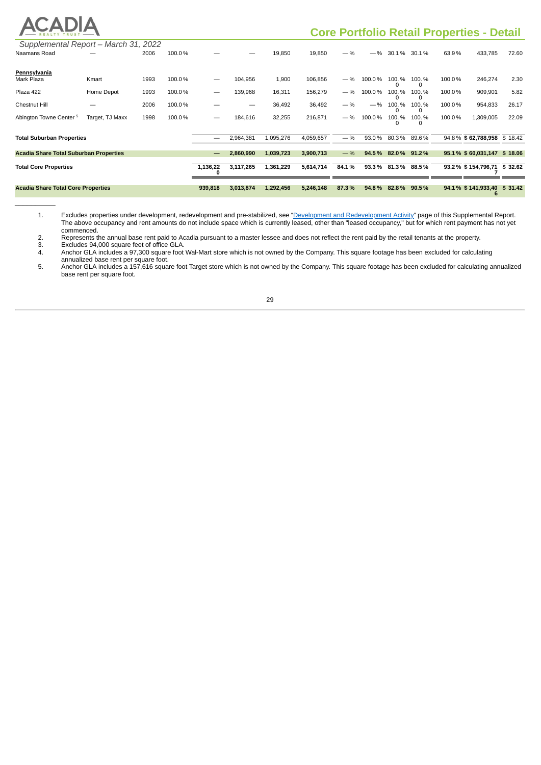# ACADIA

\_\_\_\_\_\_\_\_\_\_

# **Core Portfolio Retail Properties - Detail**

| Supplemental Report - March 31, 2022          |                 |      |        |          |           |           |           |       |        |               |       |        |                             |         |
|-----------------------------------------------|-----------------|------|--------|----------|-----------|-----------|-----------|-------|--------|---------------|-------|--------|-----------------------------|---------|
| Naamans Road                                  |                 | 2006 | 100.0% |          |           | 19,850    | 19,850    | $-$ % | $-$ %  | 30.1%         | 30.1% | 63.9%  | 433,785                     | 72.60   |
| Pennsylvania                                  |                 |      |        |          |           |           |           |       |        |               |       |        |                             |         |
| Mark Plaza                                    | Kmart           | 1993 | 100.0% | -        | 104,956   | 1,900     | 106,856   | $-96$ | 100.0% | 100.%         | 100.% | 100.0% | 246,274                     | 2.30    |
| Plaza 422                                     | Home Depot      | 1993 | 100.0% | —        | 139,968   | 16,311    | 156,279   | $-$ % | 100.0% | 100.%         | 100.% | 100.0% | 909,901                     | 5.82    |
| <b>Chestnut Hill</b>                          |                 | 2006 | 100.0% |          |           | 36,492    | 36,492    | $-$ % | $-$ %  | 100.%         | 100.% | 100.0% | 954,833                     | 26.17   |
| Abington Towne Center <sup>5</sup>            | Target, TJ Maxx | 1998 | 100.0% | -        | 184,616   | 32,255    | 216,871   | $-$ % | 100.0% | 100.%         | 100.% | 100.0% | 1,309,005                   | 22.09   |
| <b>Total Suburban Properties</b>              |                 |      |        |          | 2,964,381 | 1,095,276 | 4,059,657 | $-$ % | 93.0%  | 80.3%         | 89.6% |        | 94.8 % \$62,788,958 \$18.42 |         |
| <b>Acadia Share Total Suburban Properties</b> |                 |      |        | —        | 2,860,990 | 1,039,723 | 3,900,713 | $-$ % | 94.5%  | 82.0 % 91.2 % |       |        | 95.1% \$60,031,147 \$18.06  |         |
| <b>Total Core Properties</b>                  |                 |      |        | 1,136,22 | 3,117,265 | 1,361,229 | 5,614,714 | 84.1% | 93.3%  | 81.3%         | 88.5% |        | 93.2% \$154,796,71 \$32.62  |         |
| <b>Acadia Share Total Core Properties</b>     |                 |      |        | 939,818  | 3,013,874 | 1,292,456 | 5,246,148 | 87.3% | 94.8%  | 82.8%         | 90.5% |        | 94.1% \$141,933,40          | \$31.42 |

1. Excludes properties under development, redevelopment and pre-stabilized, see "Development and [Redevelopment](#page-53-0) Activity" page of this Supplemental Report. The above occupancy and rent amounts do not include space which is currently leased, other than "leased occupancy," but for which rent payment has not yet commenced.

2. Represents the annual base rent paid to Acadia pursuant to a master lessee and does not reflect the rent paid by the retail tenants at the property.<br>3. Excludes 94,000 square feet of office GLA.

3. Excludes 94,000 square feet of office GLA. 4. Anchor GLA includes a 97,300 square foot Wal-Mart store which is not owned by the Company. This square footage has been excluded for calculating annualized base rent per square foot.

5. Anchor GLA includes a 157,616 square foot Target store which is not owned by the Company. This square footage has been excluded for calculating annualized base rent per square foot.

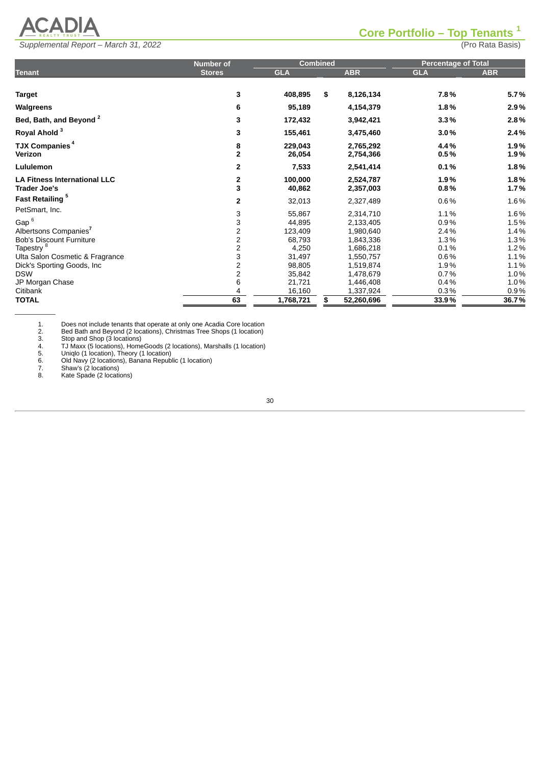

#### <span id="page-44-0"></span>**Core Portfolio – Top Tenants 1**

| Supplemental Report - March 31, 2022 | (Pro Rata Basis) |
|--------------------------------------|------------------|

|                                                            | <b>Number of</b>                           |                   | <b>Combined</b> |                        | <b>Percentage of Total</b> |              |
|------------------------------------------------------------|--------------------------------------------|-------------------|-----------------|------------------------|----------------------------|--------------|
| <b>Tenant</b>                                              | <b>Stores</b>                              | <b>GLA</b>        |                 | <b>ABR</b>             | <b>GLA</b>                 | <b>ABR</b>   |
| <b>Target</b>                                              | 3                                          | 408,895           | \$              | 8,126,134              | 7.8%                       | 5.7%         |
| Walgreens                                                  | 6                                          | 95,189            |                 | 4,154,379              | 1.8%                       | 2.9%         |
| Bed, Bath, and Beyond <sup>2</sup>                         | 3                                          | 172,432           |                 | 3,942,421              | 3.3%                       | 2.8%         |
| Royal Ahold <sup>3</sup>                                   | 3                                          | 155,461           |                 | 3,475,460              | 3.0%                       | 2.4%         |
| <b>TJX Companies<sup>4</sup></b><br>Verizon                | 8<br>$\mathbf{2}$                          | 229,043<br>26,054 |                 | 2,765,292<br>2,754,366 | 4.4%<br>0.5%               | 1.9%<br>1.9% |
| Lululemon                                                  | 2                                          | 7,533             |                 | 2,541,414              | 0.1%                       | 1.8%         |
| <b>LA Fitness International LLC</b><br><b>Trader Joe's</b> | $\frac{2}{3}$                              | 100,000<br>40,862 |                 | 2,524,787<br>2,357,003 | 1.9%<br>0.8%               | 1.8%<br>1.7% |
| Fast Retailing <sup>5</sup>                                | 2                                          | 32,013            |                 | 2,327,489              | $0.6\%$                    | 1.6%         |
| PetSmart, Inc.                                             |                                            | 55,867            |                 | 2,314,710              | 1.1%                       | 1.6%         |
| Gap <sup>6</sup>                                           | $\begin{array}{c} 3 \\ 2 \\ 2 \end{array}$ | 44,895            |                 | 2,133,405              | 0.9%                       | 1.5%         |
| Albertsons Companies <sup>7</sup>                          |                                            | 123,409           |                 | 1,980,640              | 2.4%                       | 1.4%         |
| <b>Bob's Discount Furniture</b>                            |                                            | 68,793            |                 | 1,843,336              | 1.3%                       | 1.3%         |
| Tapestry <sup>8</sup>                                      | $\frac{2}{3}$                              | 4,250             |                 | 1,686,218              | 0.1%                       | 1.2%         |
| Ulta Salon Cosmetic & Fragrance                            |                                            | 31,497            |                 | 1,550,757              | $0.6\%$                    | 1.1%         |
| Dick's Sporting Goods, Inc.                                | $\frac{2}{2}$                              | 98,805            |                 | 1,519,874              | 1.9%                       | 1.1%         |
| <b>DSW</b>                                                 |                                            | 35,842            |                 | 1,478,679              | 0.7%                       | 1.0%         |
| JP Morgan Chase                                            | 6                                          | 21,721            |                 | 1,446,408              | 0.4%                       | 1.0%         |
| Citibank                                                   | 4                                          | 16,160            |                 | 1,337,924              | 0.3%                       | 0.9%         |
| <b>TOTAL</b>                                               | 63                                         | 1,768,721         | \$              | 52,260,696             | 33.9%                      | 36.7%        |
|                                                            |                                            |                   |                 |                        |                            |              |

2. Bed Bath and Beyond (2 locations), Christmas Tree Shops (1 location)

3. Stop and Shop (3 locations)

1. Does not include tenants that operate at only one Acadia Core location<br>
2. Bed Bath and Beyond (2 locations), Christmas Tree Shops (1 location)<br>
3. Stop and Shop (3 locations)<br>
4. TJ Maxx (5 locations), HomeGoods (2 loc 4. TJ Maxx (5 locations), HomeGoods (2 locations), Marshalls (1 location) 5. Uniqlo (1 location), Theory (1 location)

6. Old Navy (2 locations), Banana Republic (1 location)

7. Shaw's (2 locations)

8. Kate Spade (2 locations)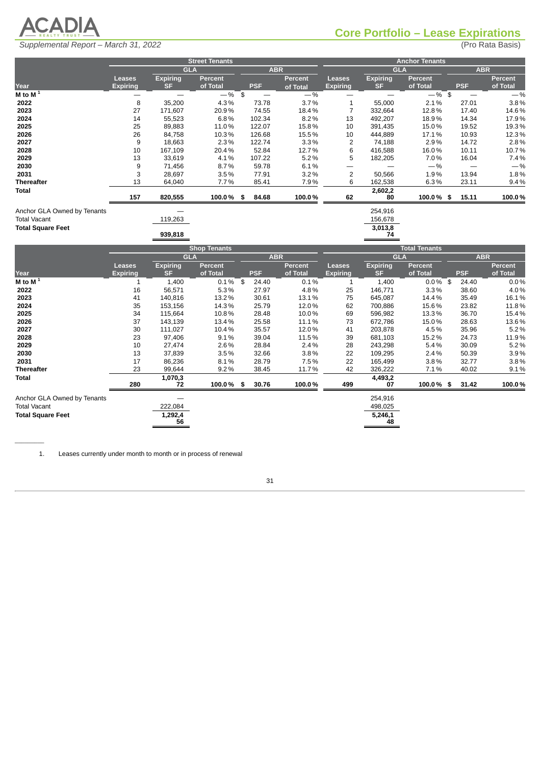

<span id="page-45-0"></span>

|                             |                 |                 | <b>Street Tenants</b> |            |                |                 |                 | <b>Anchor Tenants</b> |            |          |
|-----------------------------|-----------------|-----------------|-----------------------|------------|----------------|-----------------|-----------------|-----------------------|------------|----------|
|                             |                 | <b>GLA</b>      |                       | <b>ABR</b> |                |                 | <b>GLA</b>      |                       | <b>ABR</b> |          |
|                             | <b>Leases</b>   | <b>Expiring</b> | <b>Percent</b>        |            | <b>Percent</b> | <b>Leases</b>   | <b>Expiring</b> | Percent               |            | Percent  |
| Year                        | <b>Expiring</b> | <b>SF</b>       | of Total              | PSF.       | of Total       | <b>Expiring</b> | <b>SF</b>       | of Total              | <b>PSF</b> | of Total |
| M to M $\overline{1}$       |                 |                 | $-$ % \$              |            | $-$ %          |                 |                 | $-$ %\$               |            | $-$ %    |
| 2022                        | 8               | 35,200          | 4.3%                  | 73.78      | 3.7%           |                 | 55,000          | 2.1%                  | 27.01      | 3.8%     |
| 2023                        | 27              | 171,607         | 20.9%                 | 74.55      | 18.4%          |                 | 332,664         | 12.8%                 | 17.40      | 14.6%    |
| 2024                        | 14              | 55,523          | 6.8%                  | 102.34     | 8.2%           | 13              | 492,207         | 18.9%                 | 14.34      | 17.9%    |
| 2025                        | 25              | 89,883          | 11.0%                 | 122.07     | 15.8%          | 10              | 391,435         | 15.0%                 | 19.52      | 19.3%    |
| 2026                        | 26              | 84,758          | 10.3%                 | 126.68     | 15.5%          | 10              | 444,889         | 17.1%                 | 10.93      | 12.3%    |
| 2027                        | 9               | 18,663          | 2.3%                  | 122.74     | $3.3\%$        | 2               | 74,188          | 2.9%                  | 14.72      | 2.8%     |
| 2028                        | 10              | 167,109         | 20.4%                 | 52.84      | 12.7%          | 6               | 416,588         | 16.0%                 | 10.11      | 10.7%    |
| 2029                        | 13              | 33,619          | 4.1%                  | 107.22     | 5.2%           | 5               | 182,205         | 7.0%                  | 16.04      | 7.4%     |
| 2030                        | 9               | 71,456          | 8.7%                  | 59.78      | 6.1%           |                 |                 | $-\%$                 |            | $-$ %    |
| 2031                        | 3               | 28,697          | 3.5%                  | 77.91      | $3.2\%$        | 2               | 50,566          | 1.9%                  | 13.94      | 1.8%     |
| <b>Thereafter</b>           | 13              | 64,040          | 7.7%                  | 85.41      | 7.9%           | 6               | 162,538         | 6.3%                  | 23.11      | 9.4%     |
| Total                       |                 |                 |                       |            |                |                 | 2,602,2         |                       |            |          |
|                             | 157             | 820,555         | $100.0\%$ \$          | 84.68      | 100.0%         | 62              | 80              | $100.0\%$ \$          | 15.11      | 100.0%   |
| Anchor GLA Owned by Tenants |                 |                 |                       |            |                |                 | 254,916         |                       |            |          |
| <b>Total Vacant</b>         |                 | 119,263         |                       |            |                |                 | 156,678         |                       |            |          |
| <b>Total Square Feet</b>    |                 |                 |                       |            |                |                 | 3,013,8         |                       |            |          |
|                             |                 | 939,818         |                       |            |                |                 | 74              |                       |            |          |

 $\overline{\phantom{a}}$ 

|                             |                 |                 | <b>Shop Tenants</b> |             |            |                 |                 | <b>Total Tenants</b> |            |                |
|-----------------------------|-----------------|-----------------|---------------------|-------------|------------|-----------------|-----------------|----------------------|------------|----------------|
|                             |                 | <b>GLA</b>      |                     |             | <b>ABR</b> |                 | <b>GLA</b>      |                      | <b>ABR</b> |                |
|                             | Leases          | <b>Expiring</b> | <b>Percent</b>      |             | Percent    | <b>Leases</b>   | <b>Expiring</b> | <b>Percent</b>       |            | <b>Percent</b> |
| Year                        | <b>Expiring</b> | <b>SF</b>       | of Total            | <b>PSF</b>  | of Total   | <b>Expiring</b> | <b>SF</b>       | of Total             | <b>PSF</b> | of Total       |
| M to M $1$                  |                 | 1,400           | $0.1\%$             | \$<br>24.40 | $0.1\%$    |                 | 1,400           | $0.0\%$ \$           | 24.40      | 0.0%           |
| 2022                        | 16              | 56,571          | 5.3%                | 27.97       | 4.8%       | 25              | 146,771         | 3.3%                 | 38.60      | 4.0%           |
| 2023                        | 41              | 140,816         | 13.2%               | 30.61       | 13.1%      | 75              | 645,087         | 14.4%                | 35.49      | 16.1%          |
| 2024                        | 35              | 153,156         | 14.3%               | 25.79       | 12.0%      | 62              | 700,886         | 15.6%                | 23.82      | 11.8%          |
| 2025                        | 34              | 115,664         | 10.8%               | 28.48       | 10.0%      | 69              | 596,982         | 13.3%                | 36.70      | 15.4%          |
| 2026                        | 37              | 143,139         | 13.4%               | 25.58       | 11.1%      | 73              | 672,786         | 15.0%                | 28.63      | 13.6%          |
| 2027                        | 30              | 111,027         | 10.4%               | 35.57       | 12.0%      | 41              | 203,878         | 4.5%                 | 35.96      | 5.2%           |
| 2028                        | 23              | 97,406          | 9.1%                | 39.04       | 11.5%      | 39              | 681,103         | 15.2%                | 24.73      | 11.9%          |
| 2029                        | 10              | 27,474          | 2.6%                | 28.84       | 2.4%       | 28              | 243,298         | 5.4%                 | 30.09      | 5.2%           |
| 2030                        | 13              | 37,839          | 3.5%                | 32.66       | 3.8%       | 22              | 109,295         | 2.4%                 | 50.39      | 3.9%           |
| 2031                        | 17              | 86,236          | 8.1%                | 28.79       | 7.5%       | 22              | 165,499         | 3.8%                 | 32.77      | 3.8%           |
| <b>Thereafter</b>           | 23              | 99,644          | 9.2%                | 38.45       | 11.7%      | 42              | 326,222         | 7.1%                 | 40.02      | 9.1%           |
| <b>Total</b>                | 280             | 1,070,3<br>72   | 100.0% \$           | 30.76       | 100.0%     | 499             | 4,493,2<br>07   | 100.0% \$            | 31.42      | 100.0%         |
| Anchor GLA Owned by Tenants |                 |                 |                     |             |            |                 | 254,916         |                      |            |                |
| <b>Total Vacant</b>         |                 | 222,084         |                     |             |            |                 | 498,025         |                      |            |                |
| <b>Total Square Feet</b>    |                 | 1,292,4<br>56   |                     |             |            |                 | 5,246,1<br>48   |                      |            |                |

1. Leases currently under month to month or in process of renewal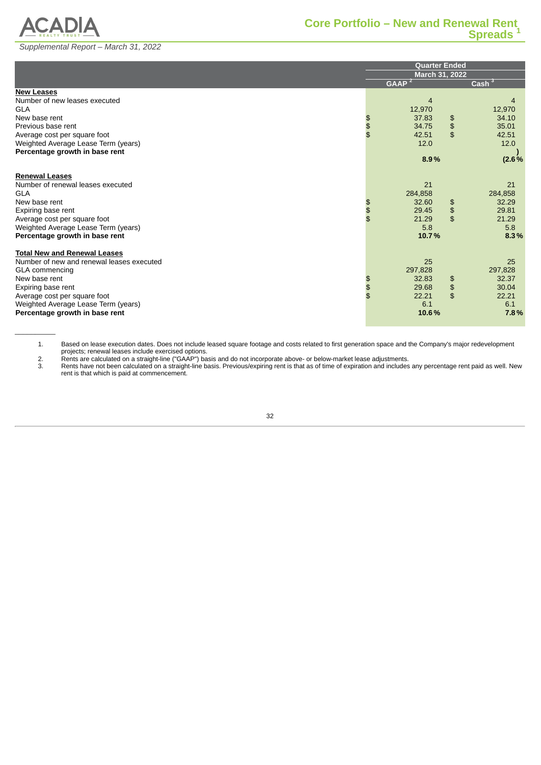

 $\overline{\phantom{a}}$ 

# <span id="page-46-0"></span>*Supplemental Report – March 31, 2022*

| 4        |
|----------|
| 12,970   |
| 34.10    |
| 35.01    |
| 42.51    |
| 12.0     |
|          |
| $(2.6\%$ |
|          |
| 21       |
| 284,858  |
| 32.29    |
| 29.81    |
| 21.29    |
| 5.8      |
| 8.3%     |
|          |
|          |
| 25       |
| 297,828  |
| 32.37    |
| 30.04    |
| 22.21    |
| 6.1      |
| 7.8%     |
|          |

1. Based on lease execution dates. Does not include leased square footage and costs related to first generation space and the Company's major redevelopment projects; renewal leases include exercised options.

2. Rents are calculated on a straight-line ("GAAP") basis and do not incorporate above- or below-market lease adjustments.

Frants are calculated on a straight-line ("GAAP") basis and do not incorporate above- or below-market lease adjustments.<br>3. Rents have not been calculated on a straight-line basis. Previous/expiring rent is that as of time rent is that which is paid at commencement.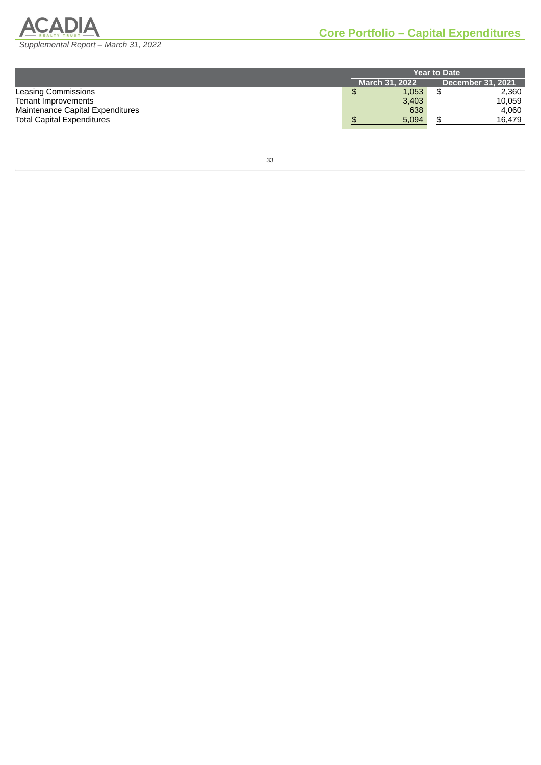

<span id="page-47-0"></span>

|                                   | <b>Year to Date</b>                               |  |        |  |  |  |  |  |
|-----------------------------------|---------------------------------------------------|--|--------|--|--|--|--|--|
|                                   | <b>March 31, 2022</b><br><b>December 31, 2021</b> |  |        |  |  |  |  |  |
| Leasing Commissions               | 1,053                                             |  | 2,360  |  |  |  |  |  |
| Tenant Improvements               | 3,403                                             |  | 10.059 |  |  |  |  |  |
| Maintenance Capital Expenditures  | 638                                               |  | 4.060  |  |  |  |  |  |
| <b>Total Capital Expenditures</b> | 5,094                                             |  | 16.479 |  |  |  |  |  |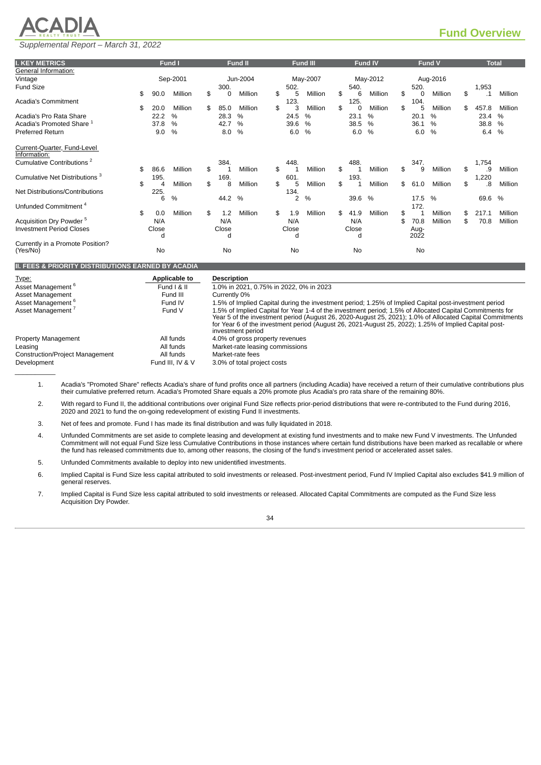# <span id="page-48-0"></span>**ACADIA**

# *Supplemental Report – March 31, 2022*

| <b>I. KEY METRICS</b>                       |            | Fund I        |                    | Fund II  |           | <b>Fund III</b> |            | Fund IV       |              | Fund V        |               | <b>Total</b>  |
|---------------------------------------------|------------|---------------|--------------------|----------|-----------|-----------------|------------|---------------|--------------|---------------|---------------|---------------|
| General Information:                        |            |               |                    |          |           |                 |            |               |              |               |               |               |
| Vintage                                     |            | Sep-2001      |                    | Jun-2004 |           | May-2007        |            | May-2012      |              | Aug-2016      |               |               |
| <b>Fund Size</b>                            |            |               | 300.               |          | 502.      |                 | 540.       |               | 520.         |               | 1,953         |               |
|                                             | \$<br>90.0 | Million       | \$<br>0            | Million  | \$<br>5   | Million         | \$<br>6    | Million       | \$<br>0      | Million       | \$<br>$\cdot$ | Million       |
| Acadia's Commitment                         |            |               |                    |          | 123.      |                 | 125.       |               | 104.         |               |               |               |
|                                             | \$<br>20.0 | Million       | \$<br>85.0         | Million  | \$<br>3   | Million         | \$<br>0    | Million       | \$<br>5      | Million       | \$<br>457.8   | Million       |
| Acadia's Pro Rata Share                     | 22.2       | $\%$          | 28.3               | $\%$     | 24.5      | $\%$            | 23.1       | $\frac{0}{0}$ | 20.1         | $\%$          | 23.4          | $\frac{0}{0}$ |
| Acadia's Promoted Share $^{\rm 1}$          | 37.8       | %             | 42.7               | %        | 39.6      | $\%$            | 38.5       | $\frac{0}{0}$ | 36.1         | $\%$          | 38.8          | $\%$          |
| <b>Preferred Return</b>                     | 9.0        | $\frac{0}{0}$ | 8.0                | $\%$     | 6.0       | $\%$            | 6.0        | $\frac{0}{0}$ | 6.0          | $\%$          | 6.4           | $\%$          |
| Current-Quarter, Fund-Level<br>Information: |            |               |                    |          |           |                 |            |               |              |               |               |               |
| Cumulative Contributions <sup>2</sup>       |            |               | 384.               |          | 448.      |                 | 488.       |               | 347.         |               | 1,754         |               |
|                                             | \$<br>86.6 | Million       | \$<br>$\mathbf{1}$ | Million  | \$<br>1   | Million         | \$         | Million       | \$<br>9      | Million       | \$<br>.9      | Million       |
| Cumulative Net Distributions <sup>3</sup>   | 195.       |               | 169.               |          | 601       |                 | 193.       |               |              |               | 1,220         |               |
|                                             | \$<br>4    | Million       | \$<br>8            | Million  | \$<br>5   | Million         | \$<br>1    | Million       | \$<br>61.0   | Million       | \$<br>8.      | Million       |
| Net Distributions/Contributions             | 225.       |               |                    |          | 134.      |                 |            |               |              |               |               |               |
|                                             | 6          | $\%$          | 44.2               | $\%$     | 2         | $\%$            | 39.6       | $\%$          | 17.5         | $\frac{0}{0}$ | 69.6          | $\%$          |
| Unfunded Commitment <sup>4</sup>            |            |               |                    |          |           |                 |            |               | 172.         |               |               |               |
|                                             | \$<br>0.0  | Million       | \$<br>1.2          | Million  | \$<br>1.9 | Million         | \$<br>41.9 | Million       | \$           | Million       | \$<br>217.1   | Million       |
| Acquisition Dry Powder <sup>5</sup>         | N/A        |               | N/A                |          | N/A       |                 | N/A        |               | \$<br>70.8   | Million       | \$<br>70.8    | Million       |
| <b>Investment Period Closes</b>             | Close      |               | Close              |          | Close     |                 | Close      |               |              |               |               |               |
|                                             | d          |               | d                  |          | d         |                 | d          |               | Aug-<br>2022 |               |               |               |
| Currently in a Promote Position?            |            |               |                    |          |           |                 |            |               |              |               |               |               |
| (Yes/No)                                    | <b>No</b>  |               | <b>No</b>          |          | No        |                 | No         |               | No           |               |               |               |

#### **II. FEES & PRIORITY DISTRIBUTIONS EARNED BY ACADIA**

| Type:                                  | Applicable to    | <b>Description</b>                                                                                                                                                                                                                                                                                                                                 |
|----------------------------------------|------------------|----------------------------------------------------------------------------------------------------------------------------------------------------------------------------------------------------------------------------------------------------------------------------------------------------------------------------------------------------|
| Asset Management <sup>o</sup>          | Fund   & II      | 1.0% in 2021, 0.75% in 2022, 0% in 2023                                                                                                                                                                                                                                                                                                            |
| Asset Management                       | Fund III         | Currently 0%                                                                                                                                                                                                                                                                                                                                       |
| Asset Management <sup>6</sup>          | Fund IV          | 1.5% of Implied Capital during the investment period; 1.25% of Implied Capital post-investment period                                                                                                                                                                                                                                              |
| Asset Management '                     | Fund V           | 1.5% of Implied Capital for Year 1-4 of the investment period; 1.5% of Allocated Capital Commitments for<br>Year 5 of the investment period (August 26, 2020-August 25, 2021); 1.0% of Allocated Capital Commitments<br>for Year 6 of the investment period (August 26, 2021-August 25, 2022); 1.25% of Implied Capital post-<br>investment period |
| <b>Property Management</b>             | All funds        | 4.0% of gross property revenues                                                                                                                                                                                                                                                                                                                    |
| Leasing                                | All funds        | Market-rate leasing commissions                                                                                                                                                                                                                                                                                                                    |
| <b>Construction/Project Management</b> | All funds        | Market-rate fees                                                                                                                                                                                                                                                                                                                                   |
| Development                            | Fund III. IV & V | 3.0% of total project costs                                                                                                                                                                                                                                                                                                                        |
|                                        |                  |                                                                                                                                                                                                                                                                                                                                                    |

1. Acadia's "Promoted Share" reflects Acadia's share of fund profits once all partners (including Acadia) have received a return of their cumulative contributions plus their cumulative preferred return. Acadia's Promoted Share equals a 20% promote plus Acadia's pro rata share of the remaining 80%.

2. With regard to Fund II, the additional contributions over original Fund Size reflects prior-period distributions that were re-contributed to the Fund during 2016, 2020 and 2021 to fund the on-going redevelopment of existing Fund II investments.

3. Net of fees and promote. Fund I has made its final distribution and was fully liquidated in 2018.

4. Unfunded Commitments are set aside to complete leasing and development at existing fund investments and to make new Fund V investments. The Unfunded Commitment will not equal Fund Size less Cumulative Contributions in those instances where certain fund distributions have been marked as recallable or where the fund has released commitments due to, among other reasons, the closing of the fund's investment period or accelerated asset sales.

5. Unfunded Commitments available to deploy into new unidentified investments.

6. Implied Capital is Fund Size less capital attributed to sold investments or released. Post-investment period, Fund IV Implied Capital also excludes \$41.9 million of general reserves.

7. Implied Capital is Fund Size less capital attributed to sold investments or released. Allocated Capital Commitments are computed as the Fund Size less Acquisition Dry Powder.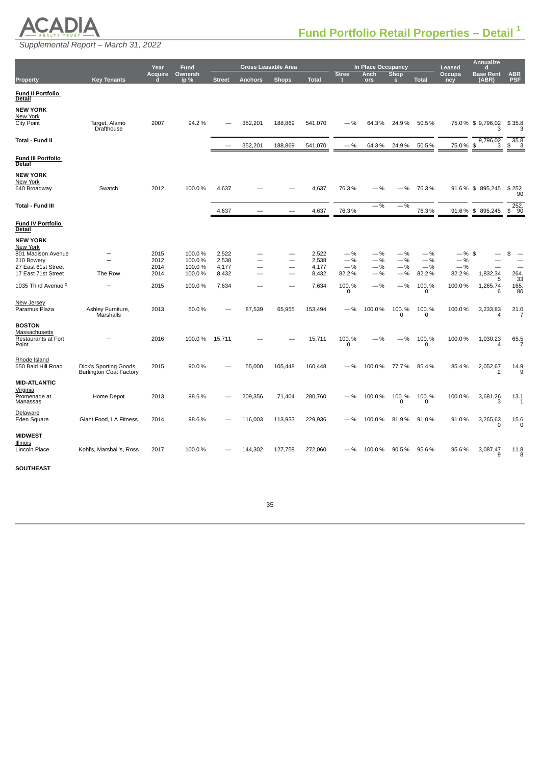

<span id="page-49-0"></span>*Supplemental Report – March 31, 2022*

|                                                                                                               |                                                          | Year                         | Fund                                 |                                  |                | <b>Gross Leasable Area</b> |                                  |                                  | In Place Occupancy               |                                  |                                  | Leased                             | <b>Annualize</b><br>d      |                                                             |
|---------------------------------------------------------------------------------------------------------------|----------------------------------------------------------|------------------------------|--------------------------------------|----------------------------------|----------------|----------------------------|----------------------------------|----------------------------------|----------------------------------|----------------------------------|----------------------------------|------------------------------------|----------------------------|-------------------------------------------------------------|
| <b>Property</b>                                                                                               | <b>Key Tenants</b>                                       | Acquire<br>п                 | Ownersh<br>ip%                       | <b>Street</b>                    | <b>Anchors</b> | <b>Shops</b>               | <b>Total</b>                     | <b>Stree</b>                     | Anch<br>ors                      | Shop<br>ß                        | <b>Total</b>                     | Occupa<br>ncy                      | <b>Base Rent</b><br>(ABR)  | $\begin{array}{c} \texttt{ABR} \\ \texttt{PSF} \end{array}$ |
| Fund II Portfolio<br>Detail                                                                                   |                                                          |                              |                                      |                                  |                |                            |                                  |                                  |                                  |                                  |                                  |                                    |                            |                                                             |
| NEW YORK<br>New York<br><b>City Point</b>                                                                     | Target, Alamo<br>Drafthouse                              | 2007                         | 94.2%                                |                                  | 352,201        | 188,869                    | 541,070                          | —%                               | 64.3%                            | 24.9%                            | 50.5%                            |                                    | 75.0 % \$ 9,796,02<br>3    | \$35.8<br>3                                                 |
| Total - Fund II                                                                                               |                                                          |                              |                                      |                                  | 352,201        | 188,869                    | 541,070                          | $-$ %                            | 64.3%                            | 24.9%                            | 50.5%                            | 75.0%\$                            | 9,796,02<br>3              | $\frac{35.8}{3}$<br>\$                                      |
| Fund III Portfolio<br><u>Detail</u>                                                                           |                                                          |                              |                                      |                                  |                |                            |                                  |                                  |                                  |                                  |                                  |                                    |                            |                                                             |
| <b>NEW YORK</b><br>New York<br>640 Broadway                                                                   | Swatch                                                   | 2012                         | 100.0%                               | 4,637                            |                |                            | 4,637                            | 76.3%                            | $-$ %                            | $-$ %                            | 76.3%                            |                                    | 91.6 % \$895,245           | \$252<br>90                                                 |
| Total - Fund III                                                                                              |                                                          |                              |                                      | 4,637                            |                |                            | 4,637                            | 76.3%                            | $-$ %                            | $-\%$                            | 76.3%                            |                                    | 91.6 % \$ 895,245          | 252.<br>90<br>\$                                            |
| <b>Fund IV Portfolio</b><br>Detail                                                                            |                                                          |                              |                                      |                                  |                |                            |                                  |                                  |                                  |                                  |                                  |                                    |                            |                                                             |
| <b>NEW YORK</b><br>New York<br>801 Madison Avenue<br>210 Bowery<br>27 East 61st Street<br>17 East 71st Street | ÷<br>The Row                                             | 2015<br>2012<br>2014<br>2014 | 100.0%<br>100.0%<br>100.0%<br>100.0% | 2,522<br>2,538<br>4,177<br>8,432 | -              |                            | 2,522<br>2,538<br>4,177<br>8,432 | $-$ %<br>$-$ %<br>$-$ %<br>82.2% | $-$ %<br>$-$ %<br>$-$ %<br>$-$ % | $-$ %<br>$-$ %<br>$-$ %<br>$-$ % | $-$ %<br>$-$ %<br>$-$ %<br>82.2% | $-$ %\$<br>$-$ %<br>$-\%$<br>82.2% | 1,832,34<br>5              | \$<br>264.<br>33                                            |
| 1035 Third Avenue <sup>2</sup>                                                                                |                                                          | 2015                         | 100.0%                               | 7,634                            |                |                            | 7,634                            | 100.%<br>$\mathbf 0$             | $-$ %                            | $-$ %                            | 100.%<br>0                       | 100.0%                             | 1,265,74<br>6              | 165.<br>80                                                  |
| New Jersey<br>Paramus Plaza                                                                                   | Ashley Furniture,<br>Marshalls                           | 2013                         | 50.0%                                |                                  | 87,539         | 65,955                     | 153,494                          | $-$ %                            | 100.0%                           | 100.%<br>0                       | 100.%<br>0                       | 100.0%                             | 3,233,83<br>4              | 21.0<br>7                                                   |
| <b>BOSTON</b><br>Massachusetts<br><b>Restaurants at Fort</b><br>Point                                         |                                                          | 2016                         | 100.0%                               | 15,711                           |                |                            | 15,711                           | 100.%<br>0                       | .96                              | $-$ %                            | 100.%<br>0                       | 100.0%                             | 1,030,23<br>4              | 65.5<br>7                                                   |
| Rhode Island<br>650 Bald Hill Road                                                                            | Dick's Sporting Goods,<br><b>Burlington Coat Factory</b> | 2015                         | 90.0%                                |                                  | 55,000         | 105,448                    | 160,448                          | $-$ %                            | 100.0%                           | 77.7%                            | 85.4%                            | 85.4%                              | 2,052,67<br>$\overline{2}$ | 14.9<br>9                                                   |
| <b>MID-ATLANTIC</b><br><u>Virginia</u><br>Promenade at<br>Manassas                                            | Home Depot                                               | 2013                         | 98.6%                                |                                  | 209,356        | 71,404                     | 280,760                          | —%                               | 100.0%                           | 100.%<br>0                       | 100.%<br>0                       | 100.0%                             | 3,681,26<br>3              | 13.1<br>1                                                   |
| Delaware<br>Eden Square                                                                                       | Giant Food, LA Fitness                                   | 2014                         | 98.6%                                |                                  | 116,003        | 113,933                    | 229,936                          | $-$ %                            | 100.0%                           | 81.9%                            | 91.0%                            | 91.0%                              | 3,265,63<br>0              | 15.6<br>$\mathbf 0$                                         |
| <b>MIDWEST</b><br>Illinois<br>Lincoln Place<br><b>SOUTHEAST</b>                                               | Kohl's, Marshall's, Ross                                 | 2017                         | 100.0%                               |                                  | 144,302        | 127,758                    | 272,060                          | $-$ %                            | 100.0%                           | 90.5%                            | 95.6%                            | 95.6%                              | 3,087,47<br>9              | 11.8<br>8                                                   |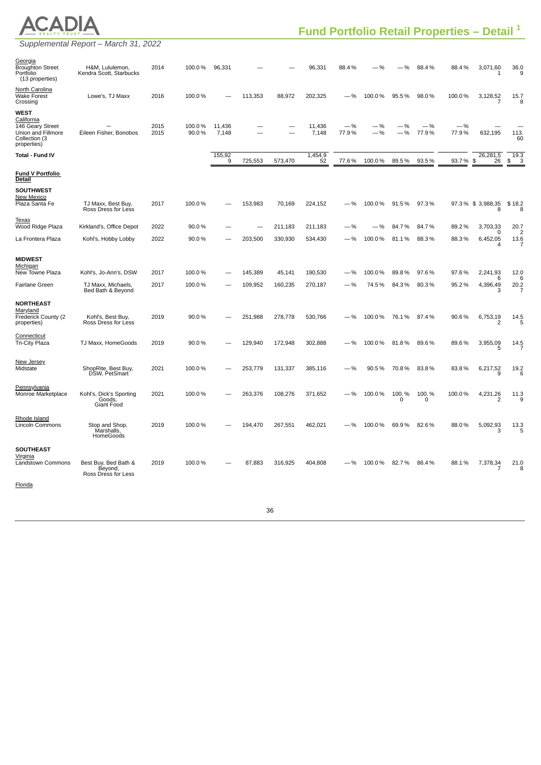

*Supplemental Report – March 31, 2022*

| <u>Georgia</u><br><b>Broughton Street</b><br>Portfolio<br>(13 properties)                    | H&M, Lululemon,<br>Kendra Scott, Starbucks                       | 2014         | 100.0%           | 96,331          |                    |                   | 96,331             | 88.4%          |                 | %                 | 88.4%          | 88.4%          | 3,071,60<br>1                    | 36.0<br>9                                |
|----------------------------------------------------------------------------------------------|------------------------------------------------------------------|--------------|------------------|-----------------|--------------------|-------------------|--------------------|----------------|-----------------|-------------------|----------------|----------------|----------------------------------|------------------------------------------|
| North Carolina<br><b>Wake Forest</b><br>Crossing                                             | Lowe's, TJ Maxx                                                  | 2016         | 100.0%           |                 | 113,353            | 88,972            | 202,325            | . %            | 100.0%          | 95.5%             | 98.0%          | 100.0%         | 3,128,52                         | 15.7<br>8                                |
| WEST<br>California<br>146 Geary Street<br>Union and Fillmore<br>Collection (3<br>properties) | Eileen Fisher, Bonobos                                           | 2015<br>2015 | 100.0%<br>90.0%  | 11,436<br>7,148 |                    |                   | 11,436<br>7,148    | $-$ %<br>77.9% | $-$ %<br>$-$ %  | $-$ %<br>$-$ %    | $-$ %<br>77.9% | $-$ %<br>77.9% | 632,195                          | 113.<br>60                               |
| Total - Fund IV                                                                              |                                                                  |              |                  | 155,92<br>9     | 725,553            | 573,470           | 1,454,9<br>52      | 77.6%          | 100.0%          | 89.5%             | 93.5%          | 93.7%          | 26,281,5<br>\$<br>26             | 19.3<br>\$<br>3                          |
| Fund V Portfolio<br>Detail                                                                   |                                                                  |              |                  |                 |                    |                   |                    |                |                 |                   |                |                |                                  |                                          |
| <b>SOUTHWEST</b><br>New Mexico<br>Plaza Santa Fe                                             | TJ Maxx, Best Buy,<br>Ross Dress for Less                        | 2017         | 100.0%           |                 | 153,983            | 70,169            | 224,152            | —%             | 100.0%          | 91.5%             | 97.3%          |                | 97.3% \$3,988,35<br>8            | \$18.2<br>8                              |
| Texas<br>Wood Ridge Plaza                                                                    | Kirkland's, Office Depot                                         | 2022         | 90.0%            |                 |                    | 211,183           | 211,183            | —%             | %               | 84.7%             | 84.7%          | 89.2%          | 3,703,33                         | 20.7                                     |
| La Frontera Plaza                                                                            | Kohl's, Hobby Lobby                                              | 2022         | 90.0%            |                 | 203,500            | 330,930           | 534,430            | $-$ %          | 100.0%          | 81.1%             | 88.3%          | 88.3%          | $\Omega$<br>6,452,05<br>$\Delta$ | $\overline{2}$<br>13.6<br>7              |
| <b>MIDWEST</b><br><u>Michigan</u><br>New Towne Plaza<br><b>Fairlane Green</b>                | Kohl's, Jo-Ann's, DSW<br>TJ Maxx, Michaels,<br>Bed Bath & Beyond | 2017<br>2017 | 100.0%<br>100.0% |                 | 145,389<br>109,952 | 45,141<br>160,235 | 190,530<br>270,187 | .9/0<br>$-$ %  | 100.0%<br>74.5% | 89.8%<br>84.3%    | 97.6%<br>80.3% | 97.6%<br>95.2% | 2,241,93<br>6<br>4,396,49<br>3   | 12.0<br>6<br>20.2<br>7                   |
| <b>NORTHEAST</b><br>Maryland<br>Frederick County (2<br>properties)                           | Kohl's, Best Buy,<br>Ross Dress for Less                         | 2019         | 90.0%            |                 | 251,988            | 278,778           | 530,766            | .96            | 100.0%          | 76.1%             | 87.4%          | 90.6%          | 6,753,19<br>$\overline{c}$       | 14.5<br>5                                |
| Connecticut<br><b>Tri-City Plaza</b>                                                         | TJ Maxx, HomeGoods                                               | 2019         | 90.0%            |                 | 129,940            | 172,948           | 302,888            | —%             | 100.0%          | 81.8%             | 89.6%          | 89.6%          | 3,955,09<br>5                    | 14.5<br>7                                |
| New Jersey<br>Midstate                                                                       | ShopRite, Best Buy,<br>DSW, PetSmart                             | 2021         | 100.0%           |                 | 253,779            | 131,337           | 385,116            | $-0/$          | 90.5%           | 70.8%             | 83.8%          | 83.8%          | 6,217,52<br>q                    | 19.2<br>6                                |
| Pennsylvania<br>Monroe Marketplace                                                           | Kohl's, Dick's Sporting<br>Goods,<br>Giant Food                  | 2021         | 100.0%           |                 | 263,376            | 108,276           | 371,652            | $-$ %          | 100.0%          | 100.%<br>$\Omega$ | 100.%<br>0     | 100.0%         | 4,231,26                         | 11.3<br>g                                |
| Rhode Island<br>Lincoln Commons                                                              | Stop and Shop,<br>Marshalls,<br>HomeGoods                        | 2019         | 100.0%           |                 | 194,470            | 267,551           | 462,021            | —%             | 100.0%          | 69.9%             | 82.6%          | 88.0%          | 5,092,93                         | $\begin{array}{c} 13.3 \\ 5 \end{array}$ |
| <b>SOUTHEAST</b><br><u>Virginia</u><br>Landstown Commons<br>Florida                          | Best Buy, Bed Bath &<br>Beyond,<br>Ross Dress for Less           | 2019         | 100.0%           |                 | 87,883             | 316,925           | 404,808            | $-$ %          | 100.0%          | 82.7%             | 86.4%          | 88.1%          | 7,378,34                         | 21.0<br>8                                |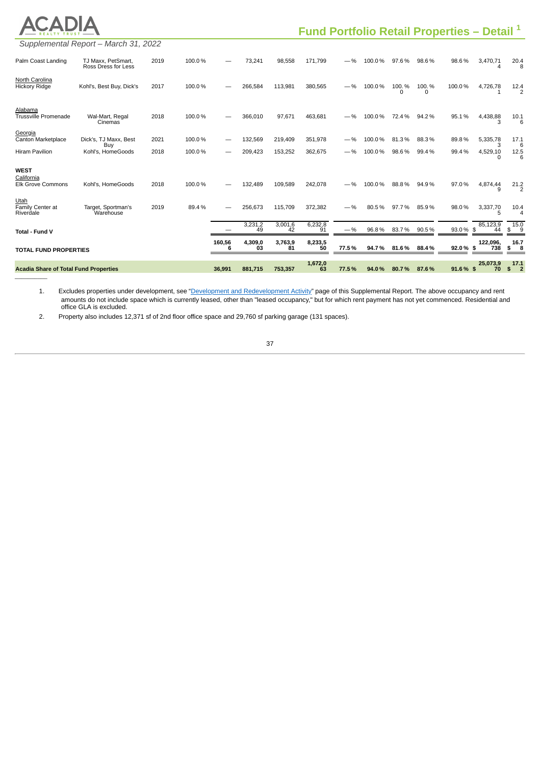| <b>Acadia Share of Total Fund Properties</b>          |                                           |      |        | 36.991      | 881.715       | 753,357           | 1,672,0<br>63 | 77.5%  | 94.0%  | 80.7%      | 87.6%      | 91.6% \$                                               | 25,073,9<br>70           | 17.1<br>$\overline{2}$<br>\$ |
|-------------------------------------------------------|-------------------------------------------|------|--------|-------------|---------------|-------------------|---------------|--------|--------|------------|------------|--------------------------------------------------------|--------------------------|------------------------------|
| <b>TOTAL FUND PROPERTIES</b>                          |                                           |      |        | 160,56<br>6 | 4,309,0<br>ÓЗ | 3,763,9<br>81     | 8,233,5<br>50 | 77.5%  | 94.7%  | 81.6%      | 88.4%      | 92.0%\$                                                | 122,096,<br>738          | 16.7<br>\$<br>8              |
| Total - Fund V                                        |                                           |      |        |             | 3,231,2<br>49 | $3,001,6$<br>$42$ | 6,232,8<br>91 | $-9/6$ | 96.8%  | 83.7%      | 90.5%      | 93.0% \$                                               | 85,123,9<br>44           | 15.0<br>\$<br>9              |
| Utah<br>Family Center at<br>Riverdale                 | Target, Sportman's<br>Warehouse           | 2019 | 89.4%  |             | 256,673       | 115,709           | 372,382       | $- 96$ | 80.5%  | 97.7%      | 85.9%      | 98.0%                                                  | 3,337,70<br>5            | 10.4<br>$\Delta$             |
| <b>WEST</b><br>California<br><b>Elk Grove Commons</b> | Kohl's. HomeGoods                         | 2018 | 100.0% |             | 132.489       | 109.589           | 242,078       | — %    | 100.0% | 88.8%      | 94.9%      | 97.0%                                                  | 4,874,44<br>q            | 21.2                         |
| <b>Hiram Pavilion</b>                                 | Kohl's, HomeGoods                         | 2018 | 100.0% |             | 209,423       | 153,252           | 362,675       | — %    | 100.0% | 98.6%      | 99.4%      | 99.4%                                                  | 4,529,10<br><sup>0</sup> | 12.5<br>6                    |
| Georgia<br>Canton Marketplace                         | Dick's, TJ Maxx, Best<br>Buy              | 2021 | 100.0% |             | 132,569       | 219,409           | 351,978       | — %    | 100.0% | 81.3%      | 88.3%      | 89.8%                                                  | 5,335,78<br>3            | 17.1                         |
| Alabama<br><b>Trussville Promenade</b>                | Wal-Mart, Regal<br>Cinemas                | 2018 | 100.0% |             | 366,010       | 97,671            | 463,681       |        | 100.0% | 72.4%      | 94.2%      | 95.1%                                                  | 4,438,88                 | 10.1<br>6                    |
| North Carolina<br><b>Hickory Ridge</b>                | Kohl's, Best Buy, Dick's                  | 2017 | 100.0% |             | 266,584       | 113,981           | 380,565       | $-$ %  | 100.0% | 100.%<br>n | 100.%<br>0 | 100.0%                                                 | 4,726,78<br>$\mathbf{1}$ | 12.4<br>$\mathcal{P}$        |
| Palm Coast Landing                                    | TJ Maxx, PetSmart,<br>Ross Dress for Less | 2019 | 100.0% |             | 73,241        | 98.558            | 171,799       | $-$ %  | 100.0% | 97.6%      | 98.6%      | 98.6%                                                  | 3,470,71<br>Δ            | 20.4                         |
|                                                       | Supplemental Report - March 31, 2022      |      |        |             |               |                   |               |        |        |            |            |                                                        |                          |                              |
|                                                       |                                           |      |        |             |               |                   |               |        |        |            |            | Fund Portfolio Retail Properties - Detail <sup>1</sup> |                          |                              |

1. Excludes properties under development, see "Development and [Redevelopment](#page-53-0) Activity" page of this Supplemental Report. The above occupancy and rent amounts do not include space which is currently leased, other than "leased occupancy," but for which rent payment has not yet commenced. Residential and office GLA is excluded.

2. Property also includes 12,371 sf of 2nd floor office space and 29,760 sf parking garage (131 spaces).

 $\overline{\phantom{a}}$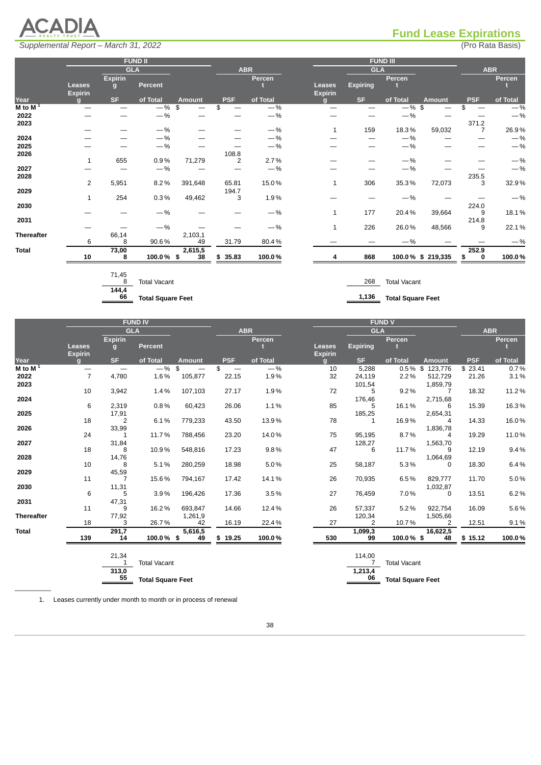

# <span id="page-52-0"></span>**Fund Lease Expirations**

|                   |                |                | <b>FUND II</b>      |               |            |            |                |                 | FUND III            |                   |            |            |
|-------------------|----------------|----------------|---------------------|---------------|------------|------------|----------------|-----------------|---------------------|-------------------|------------|------------|
|                   |                |                | <b>GLA</b>          |               |            | <b>ABR</b> |                | <b>GLA</b>      |                     |                   |            | <b>ABR</b> |
|                   |                | <b>Expirin</b> |                     |               |            | Percen     |                |                 | Percen              |                   |            | Percen     |
|                   | Leases         | $\mathbf{q}$   | <b>Percent</b>      |               |            |            | <b>Leases</b>  | <b>Expiring</b> |                     |                   |            |            |
|                   | <b>Expirin</b> |                |                     |               |            |            | <b>Expirin</b> |                 |                     |                   |            |            |
| Year              | σı             | <b>SF</b>      | of Total            | <b>Amount</b> | <b>PSF</b> | of Total   | $\sigma$       | <b>SF</b>       | of Total            | <b>Amount</b>     | <b>PSF</b> | of Total   |
| $M$ to $M1$       | —              |                | $-$ %\$             |               | \$         | $-$ %      |                |                 | $-$ %\$             |                   | \$         | $-$ %      |
| 2022              |                |                | $-$ %               | —             |            | $-$ %      |                |                 | $-$ %               |                   |            | $-$ %      |
| 2023              |                |                |                     |               |            |            |                |                 |                     |                   | 371.2      |            |
|                   |                |                | $-$ %               |               |            | $-$ %      | 1              | 159             | 18.3%               | 59,032            |            | 26.9%      |
| 2024              |                |                | $-$ %               |               |            | $-$ %      |                |                 | $-$ %               |                   |            | $-$ %      |
| 2025              |                |                | $-$ %               |               |            | $-$ %      |                |                 | $-$ %               | –                 |            | $-$ %      |
| 2026              |                |                |                     |               | 108.8      |            |                |                 |                     |                   |            |            |
|                   | $\mathbf{1}$   | 655            | $0.9\%$             | 71,279        | 2          | 2.7%       |                |                 | $-$ %               |                   |            | $-$ %      |
| 2027              |                |                | $-$ %               |               |            | $-$ %      |                |                 | $-$ %               |                   |            | $-$ %      |
| 2028              |                |                |                     |               |            |            |                |                 |                     |                   | 235.5      |            |
|                   | 2              | 5,951          | 8.2%                | 391,648       | 65.81      | 15.0%      | 1              | 306             | 35.3%               | 72,073            | 3          | 32.9%      |
| 2029              |                |                |                     |               | 194.7      |            |                |                 |                     |                   |            |            |
|                   | 1              | 254            | $0.3\%$             | 49,462        | 3          | 1.9%       |                |                 | $-$ %               |                   |            | $-$ %      |
| 2030              |                |                |                     |               |            |            |                |                 |                     |                   | 224.0      |            |
|                   |                |                | $-$ %               |               |            | $-$ %      | $\mathbf{1}$   | 177             | 20.4%               | 39,664            | 9          | 18.1%      |
| 2031              |                |                |                     |               |            |            |                |                 |                     |                   | 214.8      |            |
|                   |                |                | $-$ %               |               |            | $-$ %      | $\mathbf{1}$   | 226             | 26.0%               | 48,566            | 9          | 22.1%      |
| <b>Thereafter</b> |                | 66,14          |                     | 2,103,1       |            |            |                |                 |                     |                   |            |            |
|                   | 6              | 8              | 90.6%               | 49            | 31.79      | 80.4%      |                |                 | $-$ %               |                   |            | $-$ %      |
| <b>Total</b>      |                | 73,00          |                     | 2,615,5       |            |            |                |                 |                     |                   | 252.9      |            |
|                   | 10             | 8              | 100.0% \$           | 38            | \$35.83    | 100.0%     | 4              | 868             |                     | 100.0% \$ 219,335 | \$<br>0    | 100.0%     |
|                   |                |                |                     |               |            |            |                |                 |                     |                   |            |            |
|                   |                | 71,45          |                     |               |            |            |                |                 |                     |                   |            |            |
|                   |                | 8              | <b>Total Vacant</b> |               |            |            |                | 268             | <b>Total Vacant</b> |                   |            |            |
|                   |                |                |                     |               |            |            |                |                 |                     |                   |            |            |



**66 Total Square Feet 1,136 Total Square Feet**

**1,213,4 06 Total Square Feet**

|                   |                                 |                | <b>FUND IV</b>      |               |                                |            |                                 |                 | <b>FUND V</b>       |                |            |            |
|-------------------|---------------------------------|----------------|---------------------|---------------|--------------------------------|------------|---------------------------------|-----------------|---------------------|----------------|------------|------------|
|                   |                                 |                | <b>GLA</b>          |               |                                | <b>ABR</b> |                                 | <b>GLA</b>      |                     |                |            | <b>ABR</b> |
|                   |                                 | <b>Expirin</b> |                     |               |                                | Percen     |                                 |                 | Percen              |                |            | Percen     |
|                   | <b>Leases</b><br><b>Expirin</b> | g              | <b>Percent</b>      |               |                                |            | <b>Leases</b><br><b>Expirin</b> | <b>Expiring</b> |                     |                |            |            |
| Year              | $\mathbf{q}$                    | <b>SF</b>      | of Total            | <b>Amount</b> | <b>PSF</b>                     | of Total   | $\alpha$                        | SF.             | of Total            | <b>Amount</b>  | <b>PSF</b> | of Total   |
| M to M $1$        | $\overline{\phantom{0}}$        |                | $-$ %               | \$            | \$<br>$\overline{\phantom{0}}$ | $-$ %      | 10                              | 5,288           |                     | 0.5% \$123,776 | \$23.41    | 0.7%       |
| 2022              | $\overline{7}$                  | 4,780          | 1.6%                | 105,877       | 22.15                          | 1.9%       | 32                              | 24,119          | 2.2%                | 512,729        | 21.26      | 3.1%       |
| 2023              |                                 |                |                     |               |                                |            |                                 | 101,54          |                     | 1,859,79       |            |            |
|                   | 10                              | 3,942          | 1.4%                | 107,103       | 27.17                          | 1.9%       | 72                              | 5               | 9.2%                |                | 18.32      | 11.2%      |
| 2024              |                                 |                |                     |               |                                |            |                                 | 176,46          |                     | 2,715,68       |            |            |
|                   | 6                               | 2,319          | 0.8%                | 60,423        | 26.06                          | 1.1%       | 85                              | 5               | 16.1%               | -6             | 15.39      | 16.3%      |
| 2025              |                                 | 17,91          |                     |               |                                |            |                                 | 185,25          |                     | 2,654,31       |            |            |
|                   | 18                              | $\overline{c}$ | 6.1%                | 779,233       | 43.50                          | 13.9%      | 78                              | 1               | 16.9%               | 4              | 14.33      | 16.0%      |
| 2026              |                                 | 33,99          |                     |               |                                |            |                                 |                 |                     | 1,836,78       |            |            |
|                   | 24                              |                | 11.7%               | 788,456       | 23.20                          | 14.0%      | 75                              | 95,195          | 8.7%                | 4              | 19.29      | 11.0%      |
| 2027              |                                 | 31,84          |                     |               |                                |            |                                 | 128,27          |                     | 1,563,70       |            |            |
|                   | 18                              | 8              | 10.9%               | 548,816       | 17.23                          | 9.8%       | 47                              | 6               | 11.7%               | 9              | 12.19      | 9.4%       |
| 2028              |                                 | 14,76          |                     |               |                                |            |                                 |                 |                     | 1,064,69       |            |            |
|                   | 10                              | 8              | 5.1%                | 280,259       | 18.98                          | 5.0%       | 25                              | 58,187          | 5.3%                | $\Omega$       | 18.30      | 6.4%       |
| 2029              |                                 | 45,59          |                     |               |                                |            |                                 |                 |                     |                |            |            |
|                   | 11                              | $\overline{7}$ | 15.6%               | 794,167       | 17.42                          | 14.1%      | 26                              | 70,935          | 6.5%                | 829,777        | 11.70      | 5.0%       |
| 2030              |                                 | 11,31          |                     |               |                                |            |                                 |                 |                     | 1,032,87       |            |            |
|                   | 6                               | 5              | 3.9%                | 196,426       | 17.36                          | 3.5%       | 27                              | 76,459          | 7.0%                | 0              | 13.51      | 6.2%       |
| 2031              |                                 | 47,31          |                     |               |                                |            |                                 |                 |                     |                |            |            |
|                   | 11                              | 9              | 16.2%               | 693,847       | 14.66                          | 12.4%      | 26                              | 57,337          | 5.2%                | 922,754        | 16.09      | 5.6%       |
| <b>Thereafter</b> |                                 | 77,92          |                     | 1,261,9       |                                |            |                                 | 120,34          |                     | 1,505,66       |            |            |
|                   | 18                              | 3              | 26.7%               | 42            | 16.19                          | 22.4%      | 27                              | 2               | 10.7%               | 2              | 12.51      | 9.1%       |
| <b>Total</b>      |                                 | 291,7          |                     | 5,616,5       |                                |            |                                 | 1,099,3         |                     | 16,622,5       |            |            |
|                   | 139                             | 14             | 100.0% \$           | 49            | \$19.25                        | 100.0%     | 530                             | 99              | 100.0%\$            | 48             | \$15.12    | 100.0%     |
|                   |                                 |                |                     |               |                                |            |                                 |                 |                     |                |            |            |
|                   |                                 | 21,34          |                     |               |                                |            |                                 | 114,00          |                     |                |            |            |
|                   |                                 |                | <b>Total Vacant</b> |               |                                |            |                                 | 7               | <b>Total Vacant</b> |                |            |            |

1. Leases currently under month to month or in process of renewal

**55 Total Square Feet**

**313,0**

 $\mathcal{L}=\mathcal{L}^{\mathcal{L}}$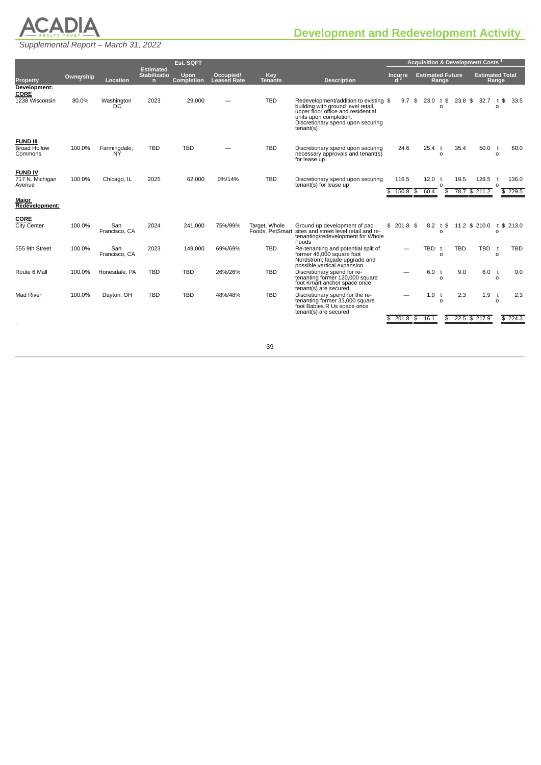

# <span id="page-53-0"></span>**Development and Redevelopment Activity**

*Supplemental Report – March 31, 2022*

|                                                                        |           |                      | Est. SQFT                               |                   |                    |                |                                                                                                                                                                                                     |                  | Acquisition & Development Costs <sup>1</sup> |                          |            |                        |                     |                  |  |  |
|------------------------------------------------------------------------|-----------|----------------------|-----------------------------------------|-------------------|--------------------|----------------|-----------------------------------------------------------------------------------------------------------------------------------------------------------------------------------------------------|------------------|----------------------------------------------|--------------------------|------------|------------------------|---------------------|------------------|--|--|
|                                                                        | Ownership |                      | <b>Estimated</b><br><b>Stabilizatio</b> | <b>Upon</b>       | Occupied/          | Key            |                                                                                                                                                                                                     | <b>Incurre</b>   | <b>Estimated Future</b>                      |                          |            | <b>Estimated Total</b> |                     |                  |  |  |
| <b>Property</b><br>Development:<br>CORE                                |           | Location             | n                                       | <b>Completion</b> | <b>Leased Rate</b> | <b>Tenants</b> | <b>Description</b>                                                                                                                                                                                  | d <sup>2</sup>   |                                              | Range                    |            |                        | Range               |                  |  |  |
| 1238 Wisconsin                                                         | 80.0%     | Washington<br>DC     | 2023                                    | 29,000            |                    | <b>TBD</b>     | Redevelopment/addition to existing \$<br>building with ground level retail,<br>upper floor office and residential<br>units upon completion.<br>Discretionary spend upon securing<br>$t$ enant $(s)$ | 9.7 <sup>5</sup> | 23.0                                         | t \$<br>$\Omega$         | $23.8$ \$  | 32.7                   | t \$<br>$\mathbf 0$ | 33.5             |  |  |
| <b>FUND III</b><br><b>Broad Hollow</b><br>Commons                      | 100.0%    | Farmingdale,<br>NÝ   | <b>TBD</b>                              | <b>TBD</b>        |                    | <b>TBD</b>     | Discretionary spend upon securing<br>necessary approvals and tenant(s)<br>for lease up                                                                                                              | 24.6             | 25.4 t                                       | $\Omega$                 | 35.4       | 50.0                   | t<br>$\Omega$       | 60.0             |  |  |
| <b>FUND IV</b><br>717 N. Michigan<br>Avenue<br>Major<br>Redevelopment: | 100.0%    | Chicago, IL          | 2025                                    | 62,000            | 0%/14%             | <b>TBD</b>     | Discretionary spend upon securing<br>tenant(s) for lease up                                                                                                                                         | 116.5<br>150.8   | 12.0<br>60.4<br>\$                           | $\Omega$<br>\$           | 19.5       | 128.5<br>78.7 \$ 211.2 | $\circ$             | 136.0<br>\$229.5 |  |  |
|                                                                        |           |                      |                                         |                   |                    |                |                                                                                                                                                                                                     |                  |                                              |                          |            |                        |                     |                  |  |  |
| <b>CORE</b><br><b>City Center</b>                                      | 100.0%    | San<br>Francisco, CA | 2024                                    | 241,000           | 75%/99%            | Target, Whole  | Ground up development of pad<br>Foods, PetSmart sites and street level retail and re-<br>tenanting/redevelopment for Whole<br>Foods                                                                 | \$201.8\$        |                                              | $8.2$ t \$<br>$\Omega$   |            | 11.2 \$ 210.0          | $\Omega$            | t \$ 213.0       |  |  |
| 555 9th Street                                                         | 100.0%    | San<br>Francisco, CA | 2023                                    | 149.000           | 69%/69%            | <b>TBD</b>     | Re-tenanting and potential split of<br>former 46,000 square foot<br>Nordstrom; facade upgrade and<br>possible vertical expansion                                                                    |                  | TBD                                          | $\mathsf{r}$<br>$\Omega$ | <b>TBD</b> | <b>TBD</b>             | t<br>$\Omega$       | <b>TBD</b>       |  |  |
| Route 6 Mall                                                           | 100.0%    | Honesdale, PA        | <b>TBD</b>                              | <b>TBD</b>        | 26%/26%            | <b>TBD</b>     | Discretionary spend for re-<br>tenanting former 120,000 square<br>foot Kmart anchor space once<br>tenant(s) are secured                                                                             |                  | 6.0 <sub>0</sub>                             | $\Omega$                 | 9.0        | 6.0                    | t<br>$\Omega$       | 9.0              |  |  |
| <b>Mad River</b>                                                       | 100.0%    | Dayton, OH           | <b>TBD</b>                              | <b>TBD</b>        | 48%/48%            | <b>TBD</b>     | Discretionary spend for the re-<br>tenanting former 33,000 square<br>foot Babies R Us space once<br>tenant(s) are secured                                                                           |                  | 1.9 <sub>1</sub>                             | $\circ$                  | 2.3        | 1.9                    | t<br>$\Omega$       | 2.3              |  |  |
|                                                                        |           |                      |                                         |                   |                    |                |                                                                                                                                                                                                     | $201.8$ \$<br>\$ | 16.1                                         | \$                       |            | $22.5 \t$ 217.9$       | \$                  | 224.3            |  |  |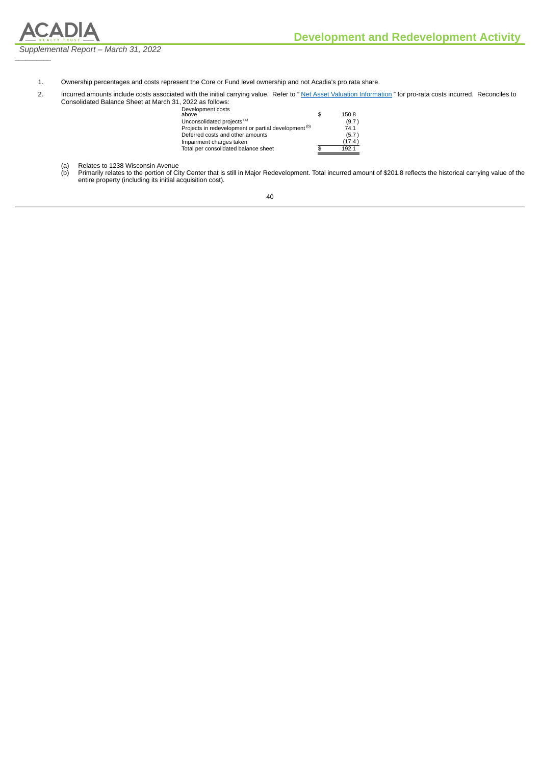

 $\frac{1}{2}$ 

1. Ownership percentages and costs represent the Core or Fund level ownership and not Acadia's pro rata share.

2. Incurred amounts include costs associated with the initial carrying value. Refer to "Net Asset Valuation [Information](#page-32-0)" for pro-rata costs incurred. Reconciles to Consolidated Balance Sheet at March 31, 2022 as follows:

| Development costs<br>above                                      | \$<br>150.8 |
|-----------------------------------------------------------------|-------------|
| Unconsolidated projects (a)                                     | (9.7)       |
| Projects in redevelopment or partial development <sup>(b)</sup> | 74.1        |
| Deferred costs and other amounts                                | (5.7)       |
| Impairment charges taken                                        | (17.4)      |
| Total per consolidated balance sheet                            | 1921        |

(a) Relates to 1238 Wisconsin Avenue

(b) Primarily relates to the portion of City Center that is still in Major Redevelopment. Total incurred amount of \$201.8 reflects the historical carrying value of the entire property (including its initial acquisition cost).